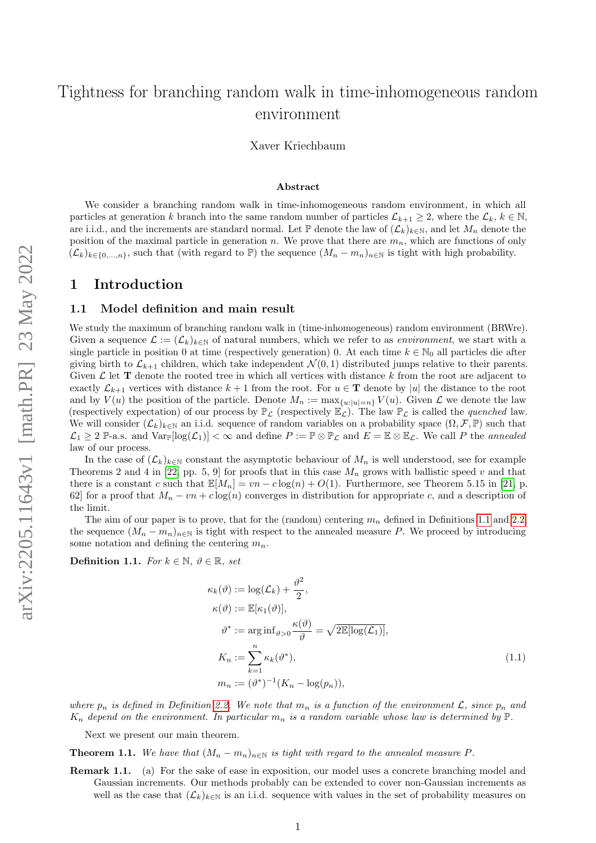# Tightness for branching random walk in time-inhomogeneous random environment

Xaver Kriechbaum

#### Abstract

We consider a branching random walk in time-inhomogeneous random environment, in which all particles at generation k branch into the same random number of particles  $\mathcal{L}_{k+1} \geq 2$ , where the  $\mathcal{L}_k, k \in \mathbb{N}$ , are i.i.d., and the increments are standard normal. Let  $\mathbb P$  denote the law of  $(\mathcal{L}_k)_{k\in\mathbb N}$ , and let  $M_n$  denote the position of the maximal particle in generation n. We prove that there are  $m_n$ , which are functions of only  $(\mathcal{L}_k)_{k\in\{0,\ldots,n\}}$ , such that (with regard to P) the sequence  $(M_n - m_n)_{n\in\mathbb{N}}$  is tight with high probability.

#### 1 Introduction

#### 1.1 Model definition and main result

We study the maximum of branching random walk in (time-inhomogeneous) random environment (BRWre). Given a sequence  $\mathcal{L} := (\mathcal{L}_k)_{k \in \mathbb{N}}$  of natural numbers, which we refer to as *environment*, we start with a single particle in position 0 at time (respectively generation) 0. At each time  $k \in \mathbb{N}_0$  all particles die after giving birth to  $\mathcal{L}_{k+1}$  children, which take independent  $\mathcal{N}(0,1)$  distributed jumps relative to their parents. Given  $\mathcal L$  let **T** denote the rooted tree in which all vertices with distance k from the root are adjacent to exactly  $\mathcal{L}_{k+1}$  vertices with distance  $k+1$  from the root. For  $u \in \mathbf{T}$  denote by |u| the distance to the root and by  $V(u)$  the position of the particle. Denote  $M_n := \max_{\{u: |u|=n\}} V(u)$ . Given  $\mathcal L$  we denote the law (respectively expectation) of our process by  $\mathbb{P}_{\mathcal{L}}$  (respectively  $\mathbb{E}_{\mathcal{L}}$ ). The law  $\mathbb{P}_{\mathcal{L}}$  is called the *quenched* law. We will consider  $(\mathcal{L}_k)_{k\in\mathbb{N}}$  an i.i.d. sequence of random variables on a probability space  $(\Omega, \mathcal{F}, \mathbb{P})$  such that  $\mathcal{L}_1 \geq 2$  P-a.s. and  $\text{Var}_{\mathbb{P}}[\log(\mathcal{L}_1)] < \infty$  and define  $P := \mathbb{P} \otimes \mathbb{P}_{\mathcal{L}}$  and  $E = \mathbb{E} \otimes \mathbb{E}_{\mathcal{L}}$ . We call P the *annealed* law of our process.

In the case of  $(\mathcal{L}_k)_{k\in\mathbb{N}}$  constant the asymptotic behaviour of  $M_n$  is well understood, see for example Theorems 2 and 4 in [\[22,](#page-49-0) pp. 5, 9] for proofs that in this case  $M_n$  grows with ballistic speed v and that there is a constant c such that  $\mathbb{E}[M_n] = vn - c \log(n) + O(1)$ . Furthermore, see Theorem 5.15 in [\[21,](#page-49-1) p. 62] for a proof that  $M_n - v_n + c \log(n)$  converges in distribution for appropriate c, and a description of the limit.

The aim of our paper is to prove, that for the (random) centering  $m_n$  defined in Definitions [1.1](#page-0-0) and [2.2,](#page-2-0) the sequence  $(M_n - m_n)_{n \in \mathbb{N}}$  is tight with respect to the annealed measure P. We proceed by introducing some notation and defining the centering  $m_n$ .

<span id="page-0-0"></span>Definition 1.1. For  $k \in \mathbb{N}$ ,  $\vartheta \in \mathbb{R}$ , set

<span id="page-0-2"></span>
$$
\kappa_k(\vartheta) := \log(\mathcal{L}_k) + \frac{\vartheta^2}{2},
$$
  
\n
$$
\kappa(\vartheta) := \mathbb{E}[\kappa_1(\vartheta)],
$$
  
\n
$$
\vartheta^* := \arg \inf_{\vartheta > 0} \frac{\kappa(\vartheta)}{\vartheta} = \sqrt{2\mathbb{E}[\log(\mathcal{L}_1)]},
$$
  
\n
$$
K_n := \sum_{k=1}^n \kappa_k(\vartheta^*),
$$
  
\n
$$
m_n := (\vartheta^*)^{-1}(K_n - \log(p_n)),
$$
\n(1.1)

where  $p_n$  is defined in Definition [2.2.](#page-2-0) We note that  $m_n$  is a function of the environment  $\mathcal{L}$ , since  $p_n$  and  $K_n$  depend on the environment. In particular  $m_n$  is a random variable whose law is determined by  $\mathbb P$ .

Next we present our main theorem.

<span id="page-0-1"></span>**Theorem 1.1.** We have that  $(M_n - m_n)_{n \in \mathbb{N}}$  is tight with regard to the annealed measure P.

Remark 1.1. (a) For the sake of ease in exposition, our model uses a concrete branching model and Gaussian increments. Our methods probably can be extended to cover non-Gaussian increments as well as the case that  $(\mathcal{L}_k)_{k\in\mathbb{N}}$  is an i.i.d. sequence with values in the set of probability measures on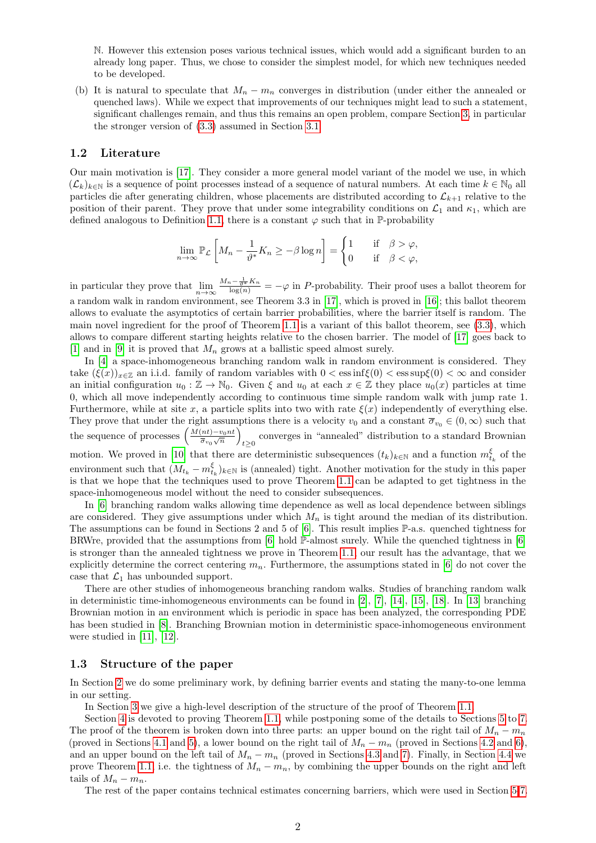N. However this extension poses various technical issues, which would add a significant burden to an already long paper. Thus, we chose to consider the simplest model, for which new techniques needed to be developed.

(b) It is natural to speculate that  $M_n - m_n$  converges in distribution (under either the annealed or quenched laws). While we expect that improvements of our techniques might lead to such a statement, significant challenges remain, and thus this remains an open problem, compare Section [3,](#page-3-0) in particular the stronger version of [\(3.3\)](#page-3-1) assumed in Section [3.1.](#page-4-0)

#### 1.2 Literature

Our main motivation is [\[17\]](#page-48-0). They consider a more general model variant of the model we use, in which  $(\mathcal{L}_k)_{k\in\mathbb{N}}$  is a sequence of point processes instead of a sequence of natural numbers. At each time  $k\in\mathbb{N}_0$  all particles die after generating children, whose placements are distributed according to  $\mathcal{L}_{k+1}$  relative to the position of their parent. They prove that under some integrability conditions on  $\mathcal{L}_1$  and  $\kappa_1$ , which are defined analogous to Definition [1.1,](#page-0-0) there is a constant  $\varphi$  such that in P-probability

$$
\lim_{n \to \infty} \mathbb{P}_{\mathcal{L}} \left[ M_n - \frac{1}{\vartheta^*} K_n \ge -\beta \log n \right] = \begin{cases} 1 & \text{if } \beta > \varphi, \\ 0 & \text{if } \beta < \varphi, \end{cases}
$$

in particular they prove that  $\lim_{n\to\infty}\frac{M_n-\frac{1}{\theta^*}K_n}{\log(n)}=-\varphi$  in P-probability. Their proof uses a ballot theorem for a random walk in random environment, see Theorem 3.3 in [\[17\]](#page-48-0), which is proved in [\[16\]](#page-48-1); this ballot theorem allows to evaluate the asymptotics of certain barrier probabilities, where the barrier itself is random. The main novel ingredient for the proof of Theorem [1.1](#page-0-1) is a variant of this ballot theorem, see [\(3.3\)](#page-3-1), which allows to compare different starting heights relative to the chosen barrier. The model of [\[17\]](#page-48-0) goes back to [\[1\]](#page-48-2) and in [\[9\]](#page-48-3) it is proved that  $M_n$  grows at a ballistic speed almost surely.

In [\[4\]](#page-48-4) a space-inhomogeneous branching random walk in random environment is considered. They take  $(\xi(x))_{x\in\mathbb{Z}}$  an i.i.d. family of random variables with  $0 < \cos(\xi(0)) < \cos(\xi(0)) < \infty$  and consider an initial configuration  $u_0 : \mathbb{Z} \to \mathbb{N}_0$ . Given  $\xi$  and  $u_0$  at each  $x \in \mathbb{Z}$  they place  $u_0(x)$  particles at time 0, which all move independently according to continuous time simple random walk with jump rate 1. Furthermore, while at site x, a particle splits into two with rate  $\xi(x)$  independently of everything else. They prove that under the right assumptions there is a velocity  $v_0$  and a constant  $\overline{\sigma}_{v_0} \in (0,\infty)$  such that the sequence of processes  $\left(\frac{M(nt)-v_0nt}{\bar{\sigma}+\sqrt{n}}\right)$  $\frac{(nt)-v_0nt}{\overline{\sigma}_{v_0}\sqrt{n}}\Big)$ converges in "annealed" distribution to a standard Brownian  $t \ge 0$ motion. We proved in [\[10\]](#page-48-5) that there are deterministic subsequences  $(t_k)_{k\in\mathbb{N}}$  and a function  $m_{t_k}^{\xi}$  of the environment such that  $(M_{t_k} - m_{t_k}^{\xi})_{k \in \mathbb{N}}$  is (annealed) tight. Another motivation for the study in this paper is that we hope that the techniques used to prove Theorem [1.1](#page-0-1) can be adapted to get tightness in the space-inhomogeneous model without the need to consider subsequences.

In [\[6\]](#page-48-6) branching random walks allowing time dependence as well as local dependence between siblings are considered. They give assumptions under which  $M_n$  is tight around the median of its distribution. The assumptions can be found in Sections 2 and 5 of [\[6\]](#page-48-6). This result implies P-a.s. quenched tightness for BRWre, provided that the assumptions from  $[6]$  hold  $\mathbb{P}\text{-almost surely.}$  While the quenched tightness in  $[6]$ is stronger than the annealed tightness we prove in Theorem [1.1,](#page-0-1) our result has the advantage, that we explicitly determine the correct centering  $m_n$ . Furthermore, the assumptions stated in [\[6\]](#page-48-6) do not cover the case that  $\mathcal{L}_1$  has unbounded support.

There are other studies of inhomogeneous branching random walks. Studies of branching random walk in deterministic time-inhomogeneous environments can be found in [\[2\]](#page-48-7), [\[7\]](#page-48-8), [\[14\]](#page-48-9), [\[15\]](#page-48-10), [\[18\]](#page-48-11). In [\[13\]](#page-48-12) branching Brownian motion in an environment which is periodic in space has been analyzed, the corresponding PDE has been studied in [\[8\]](#page-48-13). Branching Brownian motion in deterministic space-inhomogeneous environment were studied in [\[11\]](#page-48-14), [\[12\]](#page-48-15).

#### 1.3 Structure of the paper

In Section [2](#page-2-1) we do some preliminary work, by defining barrier events and stating the many-to-one lemma in our setting.

In Section [3](#page-3-0) we give a high-level description of the structure of the proof of Theorem [1.1.](#page-0-1)

Section [4](#page-5-0) is devoted to proving Theorem [1.1,](#page-0-1) while postponing some of the details to Sections [5](#page-9-0) to [7.](#page-15-0) The proof of the theorem is broken down into three parts: an upper bound on the right tail of  $M_n - m_n$ (proved in Sections [4.1](#page-5-1) and [5\)](#page-9-0), a lower bound on the right tail of  $M_n - m_n$  (proved in Sections [4.2](#page-6-0) and [6\)](#page-13-0), and an upper bound on the left tail of  $M_n - m_n$  (proved in Sections [4.3](#page-9-1) and [7\)](#page-15-0). Finally, in Section [4.4](#page-9-2) we prove Theorem [1.1,](#page-0-1) i.e. the tightness of  $M_n - m_n$ , by combining the upper bounds on the right and left tails of  $M_n - m_n$ .

The rest of the paper contains technical estimates concerning barriers, which were used in Section [5-](#page-9-0)[7.](#page-15-0)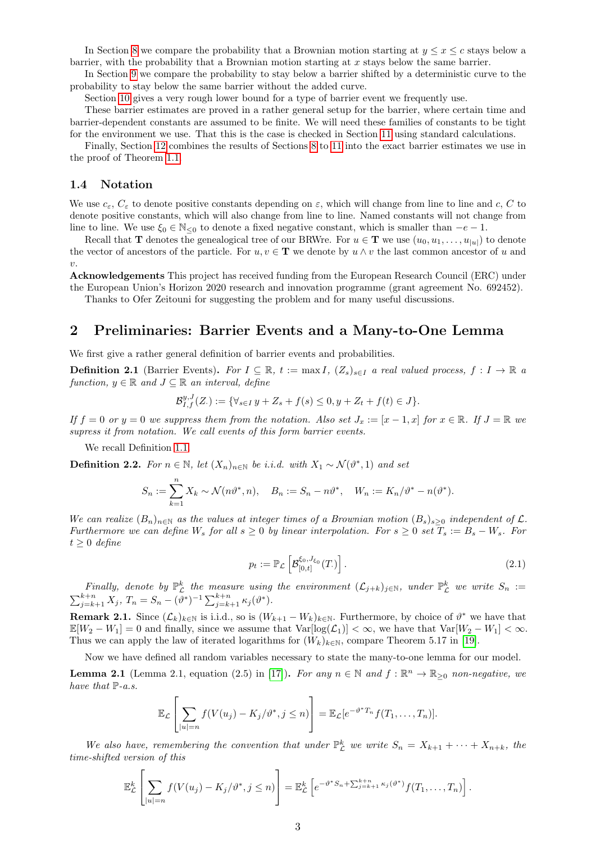In Section [8](#page-17-0) we compare the probability that a Brownian motion starting at  $y \leq x \leq c$  stays below a barrier, with the probability that a Brownian motion starting at x stays below the same barrier.

In Section [9](#page-28-0) we compare the probability to stay below a barrier shifted by a deterministic curve to the probability to stay below the same barrier without the added curve.

Section [10](#page-35-0) gives a very rough lower bound for a type of barrier event we frequently use.

These barrier estimates are proved in a rather general setup for the barrier, where certain time and barrier-dependent constants are assumed to be finite. We will need these families of constants to be tight for the environment we use. That this is the case is checked in Section [11](#page-38-0) using standard calculations.

Finally, Section [12](#page-42-0) combines the results of Sections [8](#page-17-0) to [11](#page-38-0) into the exact barrier estimates we use in the proof of Theorem [1.1.](#page-0-1)

#### 1.4 Notation

We use  $c_{\varepsilon}$ ,  $C_{\varepsilon}$  to denote positive constants depending on  $\varepsilon$ , which will change from line to line and c, C to denote positive constants, which will also change from line to line. Named constants will not change from line to line. We use  $\xi_0 \in \mathbb{N}_{\leq 0}$  to denote a fixed negative constant, which is smaller than  $-e-1$ .

Recall that **T** denotes the genealogical tree of our BRWre. For  $u \in \mathbf{T}$  we use  $(u_0, u_1, \ldots, u_{|u|})$  to denote the vector of ancestors of the particle. For  $u, v \in \mathbf{T}$  we denote by  $u \wedge v$  the last common ancestor of u and  $v$ .

Acknowledgements This project has received funding from the European Research Council (ERC) under the European Union's Horizon 2020 research and innovation programme (grant agreement No. 692452).

Thanks to Ofer Zeitouni for suggesting the problem and for many useful discussions.

### <span id="page-2-1"></span>2 Preliminaries: Barrier Events and a Many-to-One Lemma

We first give a rather general definition of barrier events and probabilities.

<span id="page-2-4"></span>**Definition 2.1** (Barrier Events). For  $I \subseteq \mathbb{R}$ ,  $t := \max I$ ,  $(Z_s)_{s \in I}$  a real valued process,  $f : I \to \mathbb{R}$  a function,  $y \in \mathbb{R}$  and  $J \subseteq \mathbb{R}$  an interval, define

$$
\mathcal{B}_{I,f}^{y,J}(Z) := \{ \forall_{s \in I} \, y + Z_s + f(s) \le 0, y + Z_t + f(t) \in J \}.
$$

If  $f = 0$  or  $y = 0$  we suppress them from the notation. Also set  $J_x := [x - 1, x]$  for  $x \in \mathbb{R}$ . If  $J = \mathbb{R}$  we supress it from notation. We call events of this form barrier events.

We recall Definition [1.1.](#page-0-0)

<span id="page-2-0"></span>**Definition 2.2.** For  $n \in \mathbb{N}$ , let  $(X_n)_{n \in \mathbb{N}}$  be i.i.d. with  $X_1 \sim \mathcal{N}(\vartheta^*, 1)$  and set

$$
S_n := \sum_{k=1}^n X_k \sim \mathcal{N}(n\vartheta^*, n), \quad B_n := S_n - n\vartheta^*, \quad W_n := K_n/\vartheta^* - n(\vartheta^*).
$$

We can realize  $(B_n)_{n\in\mathbb{N}}$  as the values at integer times of a Brownian motion  $(B_s)_{s>0}$  independent of  $\mathcal{L}$ . Furthermore we can define W<sub>s</sub> for all  $s \geq 0$  by linear interpolation. For  $s \geq 0$  set  $T_s := B_s - W_s$ . For  $t > 0$  define

<span id="page-2-3"></span>
$$
p_t := \mathbb{P}_{\mathcal{L}}\left[\mathcal{B}_{[0,t]}^{\xi_0,J_{\xi_0}}(T)\right].\tag{2.1}
$$

Finally, denote by  $\mathbb{P}_{\mathcal{L}}^k$  the measure using the environment  $(\mathcal{L}_{j+k})_{j\in\mathbb{N}}$ , under  $\mathbb{P}_{\mathcal{L}}^k$  we write  $S_n$  :=  $\sum_{j=k+1}^{k+n} X_j$ ,  $T_n = S_n - (\vartheta^*)^{-1} \sum_{j=k+1}^{k+n} \kappa_j(\vartheta^*)$ .

<span id="page-2-5"></span>**Remark 2.1.** Since  $(L_k)_{k \in \mathbb{N}}$  is i.i.d., so is  $(W_{k+1} - W_k)_{k \in \mathbb{N}}$ . Furthermore, by choice of  $\vartheta^*$  we have that  $\mathbb{E}[W_2 - W_1] = 0$  and finally, since we assume that  $\text{Var}[\log(\mathcal{L}_1)] < \infty$ , we have that  $\text{Var}[W_2 - W_1] < \infty$ . Thus we can apply the law of iterated logarithms for  $(W_k)_{k\in\mathbb{N}}$ , compare Theorem 5.17 in [\[19\]](#page-49-2).

Now we have defined all random variables necessary to state the many-to-one lemma for our model.

<span id="page-2-2"></span>**Lemma 2.1** (Lemma 2.1, equation (2.5) in [\[17\]](#page-48-0)). For any  $n \in \mathbb{N}$  and  $f : \mathbb{R}^n \to \mathbb{R}_{\geq 0}$  non-negative, we have that  $\mathbb{P}\text{-}a.s.$ 

$$
\mathbb{E}_{\mathcal{L}}\left[\sum_{|u|=n}f(V(u_j)-K_j/\vartheta^*,j\leq n)\right]=\mathbb{E}_{\mathcal{L}}[e^{-\vartheta^*T_n}f(T_1,\ldots,T_n)].
$$

We also have, remembering the convention that under  $\mathbb{P}_{\mathcal{L}}^k$  we write  $S_n = X_{k+1} + \cdots + X_{n+k}$ , the time-shifted version of this

$$
\mathbb{E}_{\mathcal{L}}^{k}\left[\sum_{|u|=n}f(V(u_{j})-K_{j}/\vartheta^{*},j\leq n)\right]=\mathbb{E}_{\mathcal{L}}^{k}\left[e^{-\vartheta^{*}S_{n}+\sum_{j=k+1}^{k+n}\kappa_{j}(\vartheta^{*})}f(T_{1},\ldots,T_{n})\right].
$$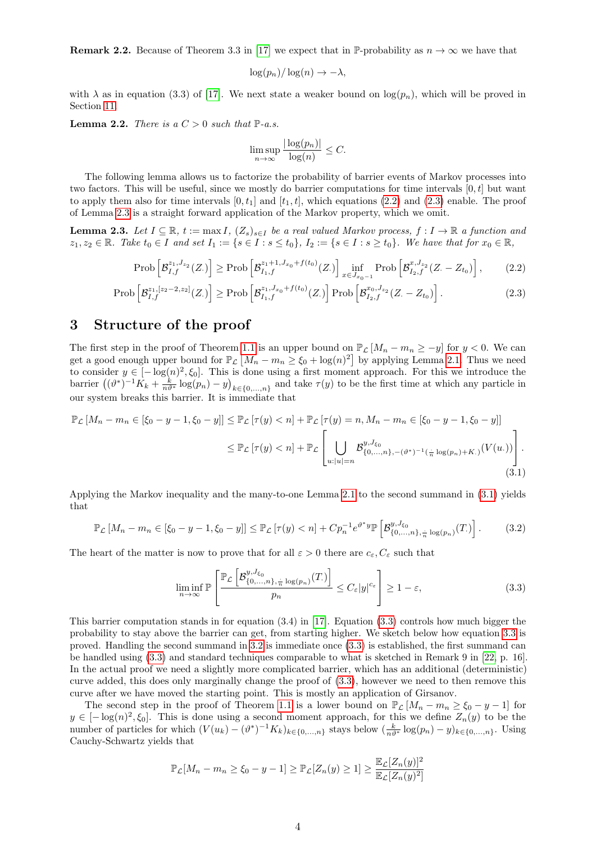**Remark 2.2.** Because of Theorem 3.3 in [\[17\]](#page-48-0) we expect that in P-probability as  $n \to \infty$  we have that

$$
\log(p_n)/\log(n) \to -\lambda,
$$

with  $\lambda$  as in equation (3.3) of [\[17\]](#page-48-0). We next state a weaker bound on  $\log(p_n)$ , which will be proved in Section [11.](#page-38-0)

<span id="page-3-7"></span>**Lemma 2.2.** There is a  $C > 0$  such that  $\mathbb{P}\text{-}a.s.$ 

<span id="page-3-3"></span><span id="page-3-2"></span>
$$
\limsup_{n \to \infty} \frac{|\log(p_n)|}{\log(n)} \le C.
$$

The following lemma allows us to factorize the probability of barrier events of Markov processes into two factors. This will be useful, since we mostly do barrier computations for time intervals  $[0, t]$  but want to apply them also for time intervals  $[0, t_1]$  and  $[t_1, t]$ , which equations [\(2.2\)](#page-3-2) and [\(2.3\)](#page-3-3) enable. The proof of Lemma [2.3](#page-3-4) is a straight forward application of the Markov property, which we omit.

<span id="page-3-4"></span>**Lemma 2.3.** Let  $I \subseteq \mathbb{R}$ ,  $t := \max I$ ,  $(Z_s)_{s \in I}$  be a real valued Markov process,  $f : I \to \mathbb{R}$  a function and  $z_1, z_2 \in \mathbb{R}$ . Take  $t_0 \in I$  and set  $I_1 := \{s \in I : s \leq t_0\}$ ,  $I_2 := \{s \in I : s \geq t_0\}$ . We have that for  $x_0 \in \mathbb{R}$ ,

$$
\text{Prob}\left[\mathcal{B}_{I,f}^{z_1,J_{z_2}}(Z.)\right] \ge \text{Prob}\left[\mathcal{B}_{I_1,f}^{z_1+1,J_{x_0}+f(t_0)}(Z.)\right] \inf_{x \in J_{x_0-1}} \text{Prob}\left[\mathcal{B}_{I_2,f}^{x,J_{z_2}}(Z.-Z_{t_0})\right],\tag{2.2}
$$

$$
\text{Prob}\left[\mathcal{B}_{I,f}^{z_1,[z_2-2,z_2]}(Z.)\right] \ge \text{Prob}\left[\mathcal{B}_{I_1,f}^{z_1,J_{x_0}+f(t_0)}(Z.)\right] \text{Prob}\left[\mathcal{B}_{I_2,f}^{x_0,J_{z_2}}(Z.-Z_{t_0})\right].\tag{2.3}
$$

### <span id="page-3-0"></span>3 Structure of the proof

The first step in the proof of Theorem [1.1](#page-0-1) is an upper bound on  $\mathbb{P}_{\mathcal{L}}[M_n - m_n \ge -y]$  for  $y < 0$ . We can get a good enough upper bound for  $\mathbb{P}_{\mathcal{L}}\left[M_n - m_n \geq \xi_0 + \log(n)^2\right]$  by applying Lemma [2.1.](#page-2-2) Thus we need to consider  $y \in [-\log(n)^2, \xi_0]$ . This is done using a first moment approach. For this we introduce the barrier  $((\vartheta^*)^{-1}\tilde{K}_k + \frac{k}{n\vartheta^*}\log(p_n) - y)_{k \in \{0,\ldots,n\}}$  and take  $\tau(y)$  to be the first time at which any particle in our system breaks this barrier. It is immediate that

$$
\mathbb{P}_{\mathcal{L}}\left[M_n - m_n \in [\xi_0 - y - 1, \xi_0 - y]\right] \leq \mathbb{P}_{\mathcal{L}}\left[\tau(y) < n\right] + \mathbb{P}_{\mathcal{L}}\left[\tau(y) = n, M_n - m_n \in [\xi_0 - y - 1, \xi_0 - y]\right] \\
\leq \mathbb{P}_{\mathcal{L}}\left[\tau(y) < n\right] + \mathbb{P}_{\mathcal{L}}\left[\bigcup_{u:|u|=n} \mathcal{B}_{\{0,\dots,n\},-(\vartheta^*)^{-1}(\frac{1}{n}\log(p_n) + K.)}(V(u))\right].\n\tag{3.1}
$$

Applying the Markov inequality and the many-to-one Lemma [2.1](#page-2-2) to the second summand in [\(3.1\)](#page-3-5) yields that

<span id="page-3-6"></span>
$$
\mathbb{P}_{\mathcal{L}}\left[M_n - m_n \in [\xi_0 - y - 1, \xi_0 - y]\right] \le \mathbb{P}_{\mathcal{L}}\left[\tau(y) < n\right] + C p_n^{-1} e^{\vartheta^* y} \mathbb{P}\left[\mathcal{B}_{\{0, \ldots, n\}, \frac{1}{n} \log(p_n)}^{y, J_{\xi_0}}(T)\right].\tag{3.2}
$$

The heart of the matter is now to prove that for all  $\varepsilon > 0$  there are  $c_{\varepsilon}, C_{\varepsilon}$  such that

<span id="page-3-5"></span><span id="page-3-1"></span>
$$
\liminf_{n \to \infty} \mathbb{P}\left[\frac{\mathbb{P}_{\mathcal{L}}\left[\mathcal{B}_{\{0,\ldots,n\},\frac{1}{n}\log(p_n)}^{y,J_{\xi_0}}(T)\right]}{p_n} \le C_{\varepsilon}|y|^{c_{\varepsilon}}\right] \ge 1 - \varepsilon,
$$
\n(3.3)

This barrier computation stands in for equation  $(3.4)$  in [\[17\]](#page-48-0). Equation  $(3.3)$  controls how much bigger the probability to stay above the barrier can get, from starting higher. We sketch below how equation [3.3](#page-3-1) is proved. Handling the second summand in [3.2](#page-3-6) is immediate once [\(3.3\)](#page-3-1) is established, the first summand can be handled using [\(3.3\)](#page-3-1) and standard techniques comparable to what is sketched in Remark 9 in [\[22,](#page-49-0) p. 16]. In the actual proof we need a slightly more complicated barrier, which has an additional (deterministic) curve added, this does only marginally change the proof of [\(3.3\)](#page-3-1), however we need to then remove this curve after we have moved the starting point. This is mostly an application of Girsanov.

The second step in the proof of Theorem [1.1](#page-0-1) is a lower bound on  $\mathbb{P}_{\mathcal{L}}[M_n - m_n \geq \xi_0 - y - 1]$  for  $y \in [-\log(n)^2, \xi_0]$ . This is done using a second moment approach, for this we define  $Z_n(y)$  to be the number of particles for which  $(V(u_k) - (\vartheta^*)^{-1} K_k)_{k \in \{0,\ldots,n\}}$  stays below  $(\frac{k}{n\vartheta^*} \log(p_n) - y)_{k \in \{0,\ldots,n\}}$ . Using Cauchy-Schwartz yields that

$$
\mathbb{P}_{\mathcal{L}}[M_n - m_n \ge \xi_0 - y - 1] \ge \mathbb{P}_{\mathcal{L}}[Z_n(y) \ge 1] \ge \frac{\mathbb{E}_{\mathcal{L}}[Z_n(y)]^2}{\mathbb{E}_{\mathcal{L}}[Z_n(y)^2]}
$$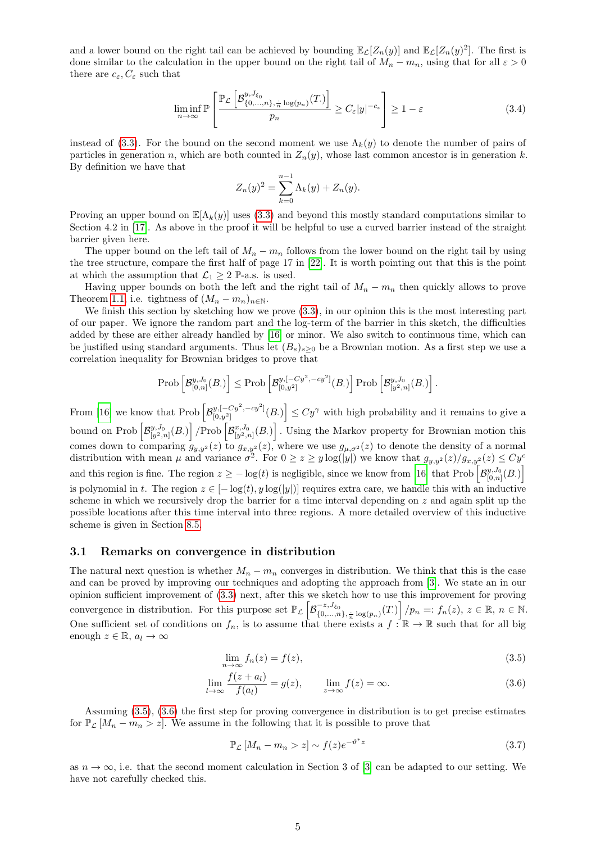and a lower bound on the right tail can be achieved by bounding  $\mathbb{E}_{\mathcal{L}}[Z_n(y)]$  and  $\mathbb{E}_{\mathcal{L}}[Z_n(y)^2]$ . The first is done similar to the calculation in the upper bound on the right tail of  $M_n - m_n$ , using that for all  $\varepsilon > 0$ there are  $c_{\varepsilon}, C_{\varepsilon}$  such that

$$
\liminf_{n \to \infty} \mathbb{P}\left[\frac{\mathbb{P}_{\mathcal{L}}\left[\mathcal{B}_{\{0,\ldots,n\},\frac{\cdot}{n}\log(p_n)}^{y,J_{\xi_0}}(T)\right]}{p_n} \ge C_{\varepsilon}|y|^{-c_{\varepsilon}}\right] \ge 1 - \varepsilon \tag{3.4}
$$

instead of [\(3.3\)](#page-3-1). For the bound on the second moment we use  $\Lambda_k(y)$  to denote the number of pairs of particles in generation n, which are both counted in  $Z_n(y)$ , whose last common ancestor is in generation k. By definition we have that

$$
Z_n(y)^2 = \sum_{k=0}^{n-1} \Lambda_k(y) + Z_n(y).
$$

Proving an upper bound on  $\mathbb{E}[\Lambda_k(y)]$  uses [\(3.3\)](#page-3-1) and beyond this mostly standard computations similar to Section 4.2 in [\[17\]](#page-48-0). As above in the proof it will be helpful to use a curved barrier instead of the straight barrier given here.

The upper bound on the left tail of  $M_n - m_n$  follows from the lower bound on the right tail by using the tree structure, compare the first half of page 17 in [\[22\]](#page-49-0). It is worth pointing out that this is the point at which the assumption that  $\mathcal{L}_1 \geq 2$  P-a.s. is used.

Having upper bounds on both the left and the right tail of  $M_n - m_n$  then quickly allows to prove Theorem [1.1,](#page-0-1) i.e. tightness of  $(M_n - m_n)_{n \in \mathbb{N}}$ .

We finish this section by sketching how we prove [\(3.3\)](#page-3-1), in our opinion this is the most interesting part of our paper. We ignore the random part and the log-term of the barrier in this sketch, the difficulties added by these are either already handled by [\[16\]](#page-48-1) or minor. We also switch to continuous time, which can be justified using standard arguments. Thus let  $(B_s)_{s>0}$  be a Brownian motion. As a first step we use a correlation inequality for Brownian bridges to prove that

$$
\mathrm{Prob}\left[\mathcal{B}_{[0,n]}^{y,J_0}(B_\cdot)\right]\leq \mathrm{Prob}\left[\mathcal{B}_{[0,y^2]}^{y,[-Cy^2,-cy^2]}(B_\cdot)\right]\mathrm{Prob}\left[\mathcal{B}_{[y^2,n]}^{y,J_0}(B_\cdot)\right].
$$

From [\[16\]](#page-48-1) we know that Prob  $\left[\mathcal{B}_{[0, u^2]}^{y, [-Cy^2, -cy^2]} \right]$  $\left[\psi_{[0,y^2]}^{(1)}[-Cy^2,-cy^2](B)\right] \leq Cy^{\gamma}$  with high probability and it remains to give a bound on Prob  $\left[\mathcal{B}_{[y^2,n]}^{y,J_0}(B)\right]$  /Prob  $\left[\mathcal{B}_{[y^2,n]}^{x,J_0}(B)\right]$ . Using the Markov property for Brownian motion this comes down to comparing  $g_{y,y^2}(z)$  to  $g_{x,y^2}(z)$ , where we use  $g_{\mu,\sigma^2}(z)$  to denote the density of a normal distribution with mean  $\mu$  and variance  $\sigma^2$ . For  $0 \ge z \ge y \log(|y|)$  we know that  $g_{y,y^2}(z)/g_{x,y^2}(z) \le Cy^c$ and this region is fine. The region  $z \ge -\log(t)$  is negligible, since we know from [\[16\]](#page-48-1) that Prob  $\left[\mathcal{B}_{[0,n]}^{y,J_0}(B)\right]$ is polynomial in t. The region  $z \in [-\log(t), y \log(|y|)]$  requires extra care, we handle this with an inductive scheme in which we recursively drop the barrier for a time interval depending on  $z$  and again split up the possible locations after this time interval into three regions. A more detailed overview of this inductive scheme is given in Section [8.5.](#page-20-0)

#### <span id="page-4-0"></span>3.1 Remarks on convergence in distribution

The natural next question is whether  $M_n - m_n$  converges in distribution. We think that this is the case and can be proved by improving our techniques and adopting the approach from [\[3\]](#page-48-16). We state an in our opinion sufficient improvement of [\(3.3\)](#page-3-1) next, after this we sketch how to use this improvement for proving convergence in distribution. For this purpose set  $\mathbb{P}_{\mathcal{L}}\left[\mathcal{B}_{\{0,\ldots,n\},\frac{1}{n}\log(p_n)}^{-z,J_{\xi_0}}(T)\right]/p_n =: f_n(z), z \in \mathbb{R}, n \in \mathbb{N}.$ One sufficient set of conditions on  $f_n$ , is to assume that there exists a  $f : \mathbb{R} \to \mathbb{R}$  such that for all big enough  $z \in \mathbb{R}$ ,  $a_l \to \infty$ 

<span id="page-4-2"></span><span id="page-4-1"></span>
$$
\lim_{n \to \infty} f_n(z) = f(z),\tag{3.5}
$$

$$
\lim_{l \to \infty} \frac{f(z + a_l)}{f(a_l)} = g(z), \qquad \lim_{z \to \infty} f(z) = \infty.
$$
\n(3.6)

Assuming [\(3.5\)](#page-4-1), [\(3.6\)](#page-4-2) the first step for proving convergence in distribution is to get precise estimates for  $\mathbb{P}_{\mathcal{L}}[M_n - m_n > z]$ . We assume in the following that it is possible to prove that

<span id="page-4-3"></span>
$$
\mathbb{P}_{\mathcal{L}}\left[M_n - m_n > z\right] \sim f(z)e^{-\vartheta^*z} \tag{3.7}
$$

as  $n \to \infty$ , i.e. that the second moment calculation in Section 3 of [\[3\]](#page-48-16) can be adapted to our setting. We have not carefully checked this.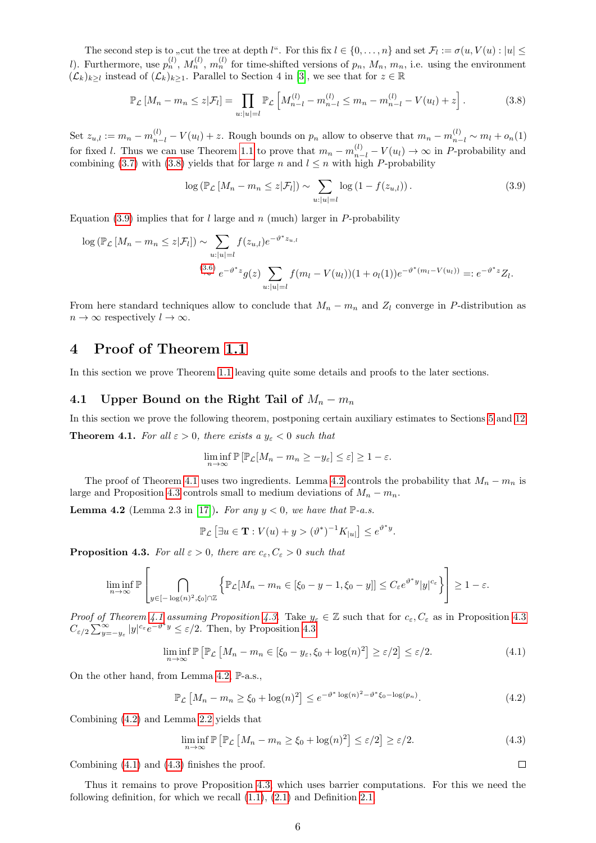The second step is to "cut the tree at depth l". For this fix  $l \in \{0, \ldots, n\}$  and set  $\mathcal{F}_l := \sigma(u, V(u) : |u| \leq$ l). Furthermore, use  $p_n^{(l)}$ ,  $M_n^{(l)}$ ,  $m_n^{(l)}$  for time-shifted versions of  $p_n$ ,  $M_n$ ,  $m_n$ , i.e. using the environment  $(\mathcal{L}_k)_{k\geq l}$  instead of  $(\mathcal{L}_k)_{k\geq 1}$ . Parallel to Section 4 in [\[3\]](#page-48-16), we see that for  $z \in \mathbb{R}$ 

<span id="page-5-2"></span>
$$
\mathbb{P}_{\mathcal{L}}\left[M_n - m_n \le z | \mathcal{F}_l\right] = \prod_{u:|u|=l} \mathbb{P}_{\mathcal{L}}\left[M_{n-l}^{(l)} - m_{n-l}^{(l)} \le m_n - m_{n-l}^{(l)} - V(u_l) + z\right].
$$
\n(3.8)

Set  $z_{u,l} := m_n - m_{n-l}^{(l)} - V(u_l) + z$ . Rough bounds on  $p_n$  allow to observe that  $m_n - m_{n-l}^{(l)} \sim m_l + o_n(1)$ for fixed l. Thus we can use Theorem [1.1](#page-0-1) to prove that  $m_n - m_{n-l}^{(l)} - V(u_l) \to \infty$  in P-probability and combining [\(3.7\)](#page-4-3) with [\(3.8\)](#page-5-2) yields that for large n and  $l \leq n$  with high P-probability

<span id="page-5-3"></span>
$$
\log \left( \mathbb{P}_{\mathcal{L}} \left[ M_n - m_n \le z | \mathcal{F}_l \right] \right) \sim \sum_{u: |u| = l} \log \left( 1 - f(z_{u,l}) \right). \tag{3.9}
$$

Equation [\(3.9\)](#page-5-3) implies that for l large and n (much) larger in P-probability

$$
\log (\mathbb{P}_{\mathcal{L}} \left[ M_n - m_n \le z | \mathcal{F}_l \right]) \sim \sum_{u: |u| = l} f(z_{u,l}) e^{-\vartheta^* z_{u,l}}
$$
  

$$
\stackrel{(3.6)}{\sim} e^{-\vartheta^* z} g(z) \sum_{u: |u| = l} f(m_l - V(u_l))(1 + o_l(1)) e^{-\vartheta^* (m_l - V(u_l))} =: e^{-\vartheta^* z} Z_l.
$$

From here standard techniques allow to conclude that  $M_n - m_n$  and  $Z_l$  converge in P-distribution as  $n \to \infty$  respectively  $l \to \infty$ .

## <span id="page-5-0"></span>4 Proof of Theorem [1.1](#page-0-1)

In this section we prove Theorem [1.1](#page-0-1) leaving quite some details and proofs to the later sections.

#### <span id="page-5-1"></span>4.1 Upper Bound on the Right Tail of  $M_n - m_n$

<span id="page-5-4"></span>In this section we prove the following theorem, postponing certain auxiliary estimates to Sections [5](#page-9-0) and [12.](#page-42-0) **Theorem 4.1.** For all  $\varepsilon > 0$ , there exists a  $y_{\varepsilon} < 0$  such that

$$
\liminf_{n \to \infty} \mathbb{P} \left[ \mathbb{P}_{\mathcal{L}} [M_n - m_n \ge -y_\varepsilon] \le \varepsilon \right] \ge 1 - \varepsilon.
$$

The proof of Theorem [4.1](#page-5-4) uses two ingredients. Lemma [4.2](#page-5-5) controls the probability that  $M_n - m_n$  is large and Proposition [4.3](#page-5-6) controls small to medium deviations of  $M_n - m_n$ .

<span id="page-5-5"></span>**Lemma 4.2** (Lemma 2.3 in [\[17\]](#page-48-0)). For any  $y < 0$ , we have that  $\mathbb{P}\text{-}a.s.$ 

$$
\mathbb{P}_{\mathcal{L}}\left[\exists u\in\mathbf{T}:V(u)+y>(\vartheta^*)^{-1}K_{|u|}\right]\leq e^{\vartheta^*y}.
$$

<span id="page-5-6"></span>**Proposition 4.3.** For all  $\varepsilon > 0$ , there are  $c_{\varepsilon}, C_{\varepsilon} > 0$  such that

$$
\liminf_{n\to\infty}\mathbb{P}\left[\bigcap_{y\in[-\log(n)^2,\xi_0]\cap\mathbb{Z}}\left\{\mathbb{P}_{\mathcal{L}}[M_n-m_n\in[\xi_0-y-1,\xi_0-y]]\leq C_\varepsilon e^{\vartheta^*y}|y|^{c_\varepsilon}\right\}\right]\geq 1-\varepsilon.
$$

Proof of Theorem [4.1](#page-5-4) assuming Proposition [4.3.](#page-5-6) Take  $y_{\varepsilon} \in \mathbb{Z}$  such that for  $c_{\varepsilon}, C_{\varepsilon}$  as in Proposition [4.3](#page-5-6)  $C_{\varepsilon/2} \sum_{y=-y_{\varepsilon}}^{\infty} |y|^{c_{\varepsilon}} e^{-\vartheta^* y} \leq \varepsilon/2$ . Then, by Proposition [4.3](#page-5-6)

$$
\liminf_{n \to \infty} \mathbb{P} \left[ \mathbb{P}_{\mathcal{L}} \left[ M_n - m_n \in [\xi_0 - y_\varepsilon, \xi_0 + \log(n)^2] \ge \varepsilon/2 \right] \le \varepsilon/2. \tag{4.1}
$$

On the other hand, from Lemma [4.2,](#page-5-5) P-a.s.,

$$
\mathbb{P}_{\mathcal{L}}\left[M_n - m_n \ge \xi_0 + \log(n)^2\right] \le e^{-\vartheta^* \log(n)^2 - \vartheta^* \xi_0 - \log(p_n)}.\tag{4.2}
$$

Combining [\(4.2\)](#page-5-7) and Lemma [2.2](#page-3-7) yields that

$$
\liminf_{n \to \infty} \mathbb{P} \left[ \mathbb{P}_{\mathcal{L}} \left[ M_n - m_n \ge \xi_0 + \log(n)^2 \right] \le \varepsilon/2 \right] \ge \varepsilon/2. \tag{4.3}
$$

<span id="page-5-9"></span><span id="page-5-8"></span><span id="page-5-7"></span> $\Box$ 

Combining [\(4.1\)](#page-5-8) and [\(4.3\)](#page-5-9) finishes the proof.

Thus it remains to prove Proposition [4.3,](#page-5-6) which uses barrier computations. For this we need the following definition, for which we recall [\(1.1\)](#page-0-2), [\(2.1\)](#page-2-3) and Definition [2.1.](#page-2-4)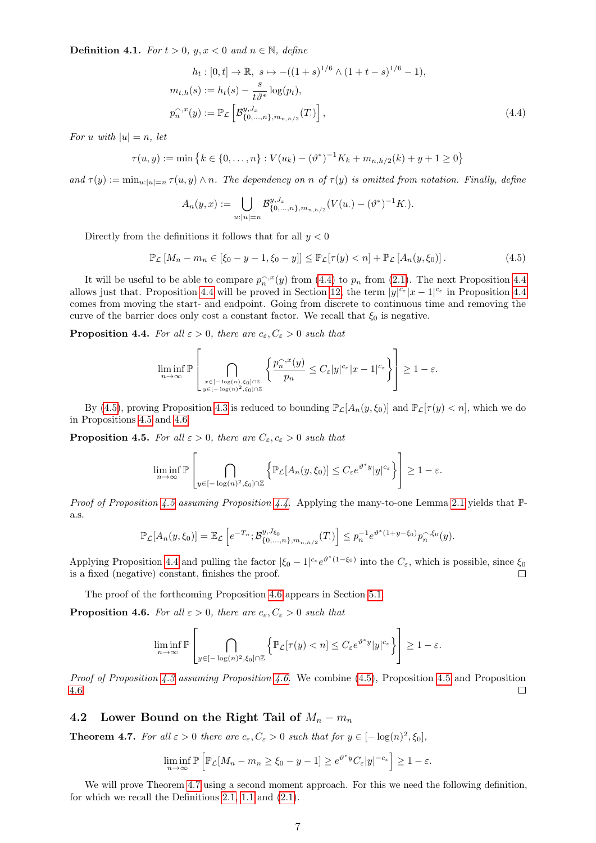<span id="page-6-7"></span>**Definition 4.1.** For  $t > 0$ ,  $y, x < 0$  and  $n \in \mathbb{N}$ , define

<span id="page-6-1"></span>
$$
h_t: [0, t] \to \mathbb{R}, \ s \mapsto -((1+s)^{1/6} \wedge (1+t-s)^{1/6} - 1),
$$
  
\n
$$
m_{t,h}(s) := h_t(s) - \frac{s}{t\vartheta^*} \log(p_t),
$$
  
\n
$$
p_n^{\frown x}(y) := \mathbb{P}_{\mathcal{L}}\left[\mathcal{B}_{\{0,\dots,n\},m_{n,h/2}}^{y,J_x}(T)\right],
$$
\n(4.4)

For u with  $|u|=n$ , let

$$
\tau(u, y) := \min \left\{ k \in \{0, \dots, n\} : V(u_k) - (\vartheta^*)^{-1} K_k + m_{n, h/2}(k) + y + 1 \ge 0 \right\}
$$

and  $\tau(y) := \min_{u:|u|=n} \tau(u, y) \wedge n$ . The dependency on n of  $\tau(y)$  is omitted from notation. Finally, define

<span id="page-6-3"></span>
$$
A_n(y,x) := \bigcup_{u:|u|=n} \mathcal{B}_{\{0,\ldots,n\},m_{n,h/2}}^{y,J_x}(V(u.) - (\vartheta^*)^{-1}K.).
$$

Directly from the definitions it follows that for all  $y < 0$ 

$$
\mathbb{P}_{\mathcal{L}}\left[M_n - m_n \in \left[\xi_0 - y - 1, \xi_0 - y\right]\right] \le \mathbb{P}_{\mathcal{L}}[\tau(y) < n] + \mathbb{P}_{\mathcal{L}}\left[A_n(y, \xi_0)\right].\tag{4.5}
$$

It will be useful to be able to compare  $p_n^{\frown x}(y)$  from [\(4.4\)](#page-6-1) to  $p_n$  from [\(2.1\)](#page-2-3). The next Proposition [4.4](#page-6-2) allows just that. Proposition [4.4](#page-6-2) will be proved in Section [12,](#page-42-0) the term  $|y|^{c_{\varepsilon}}|x-1|^{c_{\varepsilon}}$  in Proposition 4.4 comes from moving the start- and endpoint. Going from discrete to continuous time and removing the curve of the barrier does only cost a constant factor. We recall that  $\xi_0$  is negative.

<span id="page-6-2"></span>**Proposition 4.4.** For all  $\varepsilon > 0$ , there are  $c_{\varepsilon}, C_{\varepsilon} > 0$  such that

$$
\liminf_{n\to\infty}\mathbb{P}\left[\bigcap_{\substack{x\in[-\log(n),\xi_0]\cap\mathbb{Z}\\y\in[-\log(n)^2,\xi_0]\cap\mathbb{Z}}}\left\{\frac{p_n^{\frown,x}(y)}{p_n}\leq C_\varepsilon|y|^{c_\varepsilon}|x-1|^{c_\varepsilon}\right\}\right]\geq 1-\varepsilon.
$$

By [\(4.5\)](#page-6-3), proving Proposition [4.3](#page-5-6) is reduced to bounding  $\mathbb{P}_{\mathcal{L}}[A_n(y,\xi_0)]$  and  $\mathbb{P}_{\mathcal{L}}[\tau(y) < n]$ , which we do in Propositions [4.5](#page-6-4) and [4.6.](#page-6-5)

<span id="page-6-4"></span>**Proposition 4.5.** For all  $\varepsilon > 0$ , there are  $C_{\varepsilon}, c_{\varepsilon} > 0$  such that

$$
\liminf_{n\to\infty}\mathbb{P}\left[\bigcap_{y\in[-\log(n)^2,\xi_0]\cap\mathbb{Z}}\left\{\mathbb{P}_{\mathcal{L}}[A_n(y,\xi_0)]\leq C_\varepsilon e^{\vartheta^*y}|y|^{c_\varepsilon}\right\}\right]\geq 1-\varepsilon.
$$

*Proof of Proposition [4.5](#page-6-4) assuming Proposition [4.4.](#page-6-2)* Applying the many-to-one Lemma [2.1](#page-2-2) yields that  $\mathbb{P}$ a.s.

$$
\mathbb{P}_{\mathcal{L}}[A_n(y,\xi_0)] = \mathbb{E}_{\mathcal{L}}\left[e^{-T_n}; \mathcal{B}_{\{0,\ldots,n\},m_{n,h/2}}^{y,J_{\xi_0}}(T)\right] \le p_n^{-1}e^{\vartheta^*(1+y-\xi_0)}p_n^{-,\xi_0}(y).
$$

Applying Proposition [4.4](#page-6-2) and pulling the factor  $|\xi_0 - 1|^{c_{\varepsilon}} e^{\vartheta^*(1-\xi_0)}$  into the  $C_{\varepsilon}$ , which is possible, since  $\xi_0$ is a fixed (negative) constant, finishes the proof.  $\Box$ 

The proof of the forthcoming Proposition [4.6](#page-6-5) appears in Section [5.1.](#page-9-3)

<span id="page-6-5"></span>**Proposition 4.6.** For all  $\varepsilon > 0$ , there are  $c_{\varepsilon}, C_{\varepsilon} > 0$  such that

 $\mathbf{r}$ 

$$
\liminf_{n\to\infty}\mathbb{P}\left[\bigcap_{y\in[-\log(n)^2,\xi_0]\cap\mathbb{Z}}\left\{\mathbb{P}_{\mathcal{L}}[\tau(y)
$$

*Proof of Proposition [4.3](#page-5-6) assuming Proposition [4.6.](#page-6-5)* We combine  $(4.5)$ , Proposition [4.5](#page-6-4) and Proposition [4.6.](#page-6-5)  $\Box$ 

#### <span id="page-6-0"></span>4.2 Lower Bound on the Right Tail of  $M_n - m_n$

<span id="page-6-6"></span>**Theorem 4.7.** For all  $\varepsilon > 0$  there are  $c_{\varepsilon}, C_{\varepsilon} > 0$  such that for  $y \in [-\log(n)^2, \xi_0]$ ,

$$
\liminf_{n \to \infty} \mathbb{P}\left[\mathbb{P}_{\mathcal{L}}[M_n - m_n \ge \xi_0 - y - 1] \ge e^{\vartheta^* y} C_{\varepsilon} |y|^{-c_{\varepsilon}}\right] \ge 1 - \varepsilon.
$$

We will prove Theorem [4.7](#page-6-6) using a second moment approach. For this we need the following definition, for which we recall the Definitions [2.1,](#page-2-4) [1.1](#page-0-0) and [\(2.1\)](#page-2-3).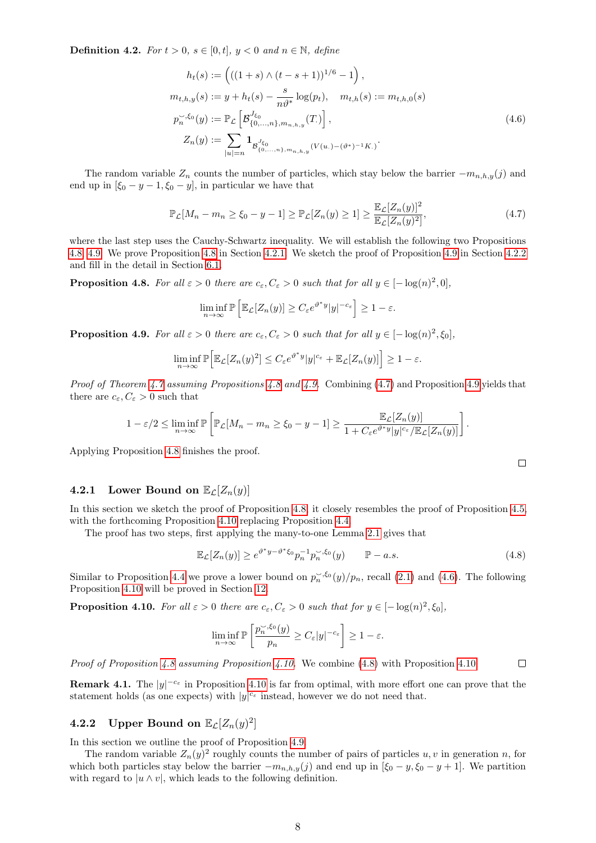<span id="page-7-8"></span>**Definition 4.2.** For  $t > 0$ ,  $s \in [0, t]$ ,  $y < 0$  and  $n \in \mathbb{N}$ , define

<span id="page-7-6"></span>
$$
h_t(s) := \left( ((1+s) \wedge (t-s+1))^{1/6} - 1 \right),
$$
  
\n
$$
m_{t,h,y}(s) := y + h_t(s) - \frac{s}{n\vartheta^*} \log(p_t), \quad m_{t,h}(s) := m_{t,h,0}(s)
$$
  
\n
$$
p_n^{\sim, \xi_0}(y) := \mathbb{P}_{\mathcal{L}} \left[ \mathcal{B}_{\{0,\dots,n\},m_{n,h,y}}^{J_{\xi_0}}(T) \right],
$$
  
\n
$$
Z_n(y) := \sum_{|u|=n} \mathbf{1}_{\mathcal{B}_{\{0,\dots,n\},m_{n,h,y}}^{J_{\xi_0}}(V(u \cdot) - (\vartheta^*)^{-1} K.)}.
$$
\n(4.6)

The random variable  $Z_n$  counts the number of particles, which stay below the barrier  $-m_{n,h,y}(j)$  and end up in  $[\xi_0 - y - 1, \xi_0 - y]$ , in particular we have that

$$
\mathbb{P}_{\mathcal{L}}[M_n - m_n \ge \xi_0 - y - 1] \ge \mathbb{P}_{\mathcal{L}}[Z_n(y) \ge 1] \ge \frac{\mathbb{E}_{\mathcal{L}}[Z_n(y)]^2}{\mathbb{E}_{\mathcal{L}}[Z_n(y)^2]},
$$
\n(4.7)

where the last step uses the Cauchy-Schwartz inequality. We will establish the following two Propositions [4.8,](#page-7-0) [4.9.](#page-7-1) We prove Proposition [4.8](#page-7-0) in Section [4.2.1.](#page-7-2) We sketch the proof of Proposition [4.9](#page-7-1) in Section [4.2.2](#page-7-3) and fill in the detail in Section [6.1.](#page-13-1)

<span id="page-7-0"></span>**Proposition 4.8.** For all  $\varepsilon > 0$  there are  $c_{\varepsilon}, C_{\varepsilon} > 0$  such that for all  $y \in [-\log(n)^2, 0]$ ,

$$
\liminf_{n\to\infty} \mathbb{P}\left[\mathbb{E}_{\mathcal{L}}[Z_n(y)] \ge C_{\varepsilon} e^{\vartheta^* y} |y|^{-c_{\varepsilon}}\right] \ge 1-\varepsilon.
$$

<span id="page-7-1"></span>**Proposition 4.9.** For all  $\varepsilon > 0$  there are  $c_{\varepsilon}, C_{\varepsilon} > 0$  such that for all  $y \in [-\log(n)^2, \xi_0]$ ,

$$
\liminf_{n\to\infty}\mathbb{P}\Big[\mathbb{E}_{\mathcal{L}}[Z_n(y)^2]\leq C_{\varepsilon}e^{\vartheta^*y}|y|^{c_{\varepsilon}}+\mathbb{E}_{\mathcal{L}}[Z_n(y)]\Big]\geq 1-\varepsilon.
$$

*Proof of Theorem [4.7](#page-6-6) assuming Propositions [4.8](#page-7-0) and [4.9.](#page-7-1)* Combining  $(4.7)$  and Proposition [4.9](#page-7-1) yields that there are  $c_{\varepsilon}, C_{\varepsilon} > 0$  such that

$$
1 - \varepsilon/2 \leq \liminf_{n \to \infty} \mathbb{P}\left[\mathbb{P}_{\mathcal{L}}[M_n - m_n \geq \xi_0 - y - 1] \geq \frac{\mathbb{E}_{\mathcal{L}}[Z_n(y)]}{1 + C_{\varepsilon}e^{\vartheta^*y}|y|^{c_{\varepsilon}}/\mathbb{E}_{\mathcal{L}}[Z_n(y)]}\right].
$$

Applying Proposition [4.8](#page-7-0) finishes the proof.

#### <span id="page-7-2"></span>4.2.1 Lower Bound on  $\mathbb{E}_{\mathcal{L}}[Z_n(y)]$

In this section we sketch the proof of Proposition [4.8,](#page-7-0) it closely resembles the proof of Proposition [4.5,](#page-6-4) with the forthcoming Proposition [4.10](#page-7-5) replacing Proposition [4.4.](#page-6-2)

The proof has two steps, first applying the many-to-one Lemma [2.1](#page-2-2) gives that

<span id="page-7-7"></span>
$$
\mathbb{E}_{\mathcal{L}}[Z_n(y)] \ge e^{\vartheta^* y - \vartheta^* \xi_0} p_n^{-1} p_n^{\prec, \xi_0}(y) \qquad \mathbb{P}-a.s.
$$
\n(4.8)

<span id="page-7-4"></span> $\Box$ 

 $\Box$ 

Similar to Proposition [4.4](#page-6-2) we prove a lower bound on  $p_n^{\leq \xi_0}(y)/p_n$ , recall [\(2.1\)](#page-2-3) and [\(4.6\)](#page-7-6). The following Proposition [4.10](#page-7-5) will be proved in Section [12.](#page-42-0)

<span id="page-7-5"></span>**Proposition 4.10.** For all  $\varepsilon > 0$  there are  $c_{\varepsilon}, C_{\varepsilon} > 0$  such that for  $y \in [-\log(n)^2, \xi_0]$ ,

$$
\liminf_{n\to\infty}\mathbb{P}\left[\frac{p_n^{\smile,\xi_0}(y)}{p_n}\geq C_\varepsilon|y|^{-c_\varepsilon}\right]\geq 1-\varepsilon.
$$

*Proof of Proposition [4.8](#page-7-0) assuming Proposition [4.10.](#page-7-5)* We combine [\(4.8\)](#page-7-7) with Proposition 4.10.

**Remark 4.1.** The  $|y|^{-c_{\varepsilon}}$  in Proposition [4.10](#page-7-5) is far from optimal, with more effort one can prove that the statement holds (as one expects) with  $|y|^{c_{\varepsilon}}$  instead, however we do not need that.

## <span id="page-7-3"></span>**4.2.2** Upper Bound on  $\mathbb{E}_{\mathcal{L}}[Z_n(y)^2]$

In this section we outline the proof of Proposition [4.9.](#page-7-1)

The random variable  $Z_n(y)^2$  roughly counts the number of pairs of particles u, v in generation n, for which both particles stay below the barrier  $-m_{n,h,y}(j)$  and end up in  $[\xi_0 - y, \xi_0 - y + 1]$ . We partition with regard to  $|u \wedge v|$ , which leads to the following definition.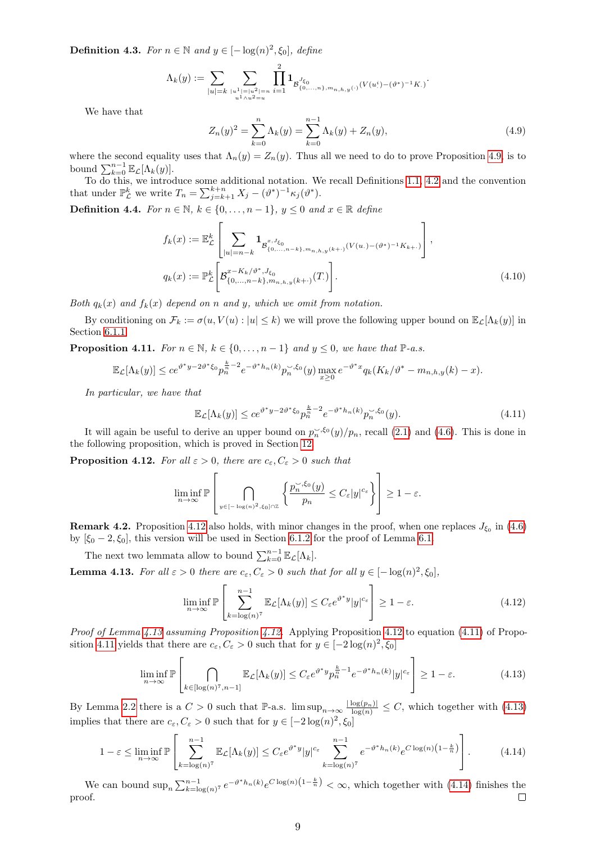**Definition 4.3.** For  $n \in \mathbb{N}$  and  $y \in [-\log(n)^2, \xi_0]$ , define

$$
\Lambda_k(y):=\sum_{|u|=k}\sum_{\substack{|u^1|=|u^2|=n\\u^1\wedge u^2=u}}\prod_{i=1}^2\mathbf{1}_{\mathcal{B}_{\{0,\ldots,n\},m_{n,h,y}(\cdot)}^{J_{\xi_0}}(V(u^i)-(\vartheta^*)^{-1}K.)}.
$$

We have that

<span id="page-8-9"></span><span id="page-8-7"></span>
$$
Z_n(y)^2 = \sum_{k=0}^n \Lambda_k(y) = \sum_{k=0}^{n-1} \Lambda_k(y) + Z_n(y),
$$
\n(4.9)

where the second equality uses that  $\Lambda_n(y) = Z_n(y)$ . Thus all we need to do to prove Proposition [4.9,](#page-7-1) is to bound  $\sum_{k=0}^{n-1} \mathbb{E}_{\mathcal{L}}[\Lambda_k(y)].$ 

To do this, we introduce some additional notation. We recall Definitions [1.1,](#page-0-0) [4.2](#page-7-8) and the convention that under  $\mathbb{P}_{\mathcal{L}}^{k'}$  we write  $T_n = \sum_{j=k+1}^{k+n} X_j - (\vartheta^*)^{-1} \kappa_j(\vartheta^*).$ 

<span id="page-8-8"></span>**Definition 4.4.** For  $n \in \mathbb{N}$ ,  $k \in \{0, ..., n-1\}$ ,  $y \leq 0$  and  $x \in \mathbb{R}$  define

$$
f_k(x) := \mathbb{E}_{\mathcal{L}}^k \left[ \sum_{|u|=n-k} \mathbf{1}_{\mathcal{B}_{\{0,\ldots,n-k\},m_{n,h,y}(k+\cdot)}^{x,J_{\xi_0}}(V(u,\cdot)-(\vartheta^*)^{-1}K_{k+\cdot})} \right],
$$
  

$$
q_k(x) := \mathbb{P}_{\mathcal{L}}^k \left[ \mathcal{B}_{\{0,\ldots,n-k\},m_{n,h,y}(k+\cdot)}^{x-K_k/\vartheta^*,J_{\xi_0}}(T) \right].
$$
 (4.10)

Both  $q_k(x)$  and  $f_k(x)$  depend on n and y, which we omit from notation.

By conditioning on  $\mathcal{F}_k := \sigma(u, V(u): |u| \leq k)$  we will prove the following upper bound on  $\mathbb{E}_{\mathcal{L}}[\Lambda_k(y)]$  in Section [6.1.1.](#page-13-2)

<span id="page-8-3"></span>**Proposition 4.11.** For  $n \in \mathbb{N}$ ,  $k \in \{0, ..., n-1\}$  and  $y \leq 0$ , we have that  $\mathbb{P}\text{-}a.s.$ 

$$
\mathbb{E}_{\mathcal{L}}[\Lambda_k(y)] \le ce^{\vartheta^*y - 2\vartheta^*\xi_0} p_n^{\frac{k}{n} - 2} e^{-\vartheta^*h_n(k)} p_n^{-,\xi_0}(y) \max_{x \ge 0} e^{-\vartheta^*x} q_k(K_k/\vartheta^* - m_{n,h,y}(k) - x).
$$

In particular, we have that

<span id="page-8-2"></span>
$$
\mathbb{E}_{\mathcal{L}}[\Lambda_k(y)] \le ce^{\vartheta^* y - 2\vartheta^* \xi_0} p_n^{\frac{k}{n} - 2} e^{-\vartheta^* h_n(k)} p_n^{\prec, \xi_0}(y). \tag{4.11}
$$

It will again be useful to derive an upper bound on  $p_n^{\leq 0}(y)/p_n$ , recall [\(2.1\)](#page-2-3) and [\(4.6\)](#page-7-6). This is done in the following proposition, which is proved in Section [12.](#page-42-0)

<span id="page-8-0"></span>**Proposition 4.12.** For all  $\varepsilon > 0$ , there are  $c_{\varepsilon}, C_{\varepsilon} > 0$  such that

$$
\liminf_{n\to\infty} \mathbb{P}\left[\bigcap_{y\in[-\log(n)^2,\xi_0]\cap\mathbb{Z}}\left\{\frac{p_n^{\sim,\xi_0}(y)}{p_n}\leq C_{\varepsilon}|y|^{c_{\varepsilon}}\right\}\right]\geq 1-\varepsilon.
$$

**Remark 4.2.** Proposition [4.12](#page-8-0) also holds, with minor changes in the proof, when one replaces  $J_{\xi_0}$  in [\(4.6\)](#page-7-6) by  $[\xi_0 - 2, \xi_0]$ , this version will be used in Section [6.1.2](#page-13-3) for the proof of Lemma [6.1.](#page-14-0)

The next two lemmata allow to bound  $\sum_{k=0}^{n-1} \mathbb{E}_{\mathcal{L}}[\Lambda_k]$ .

<span id="page-8-1"></span>**Lemma 4.13.** For all  $\varepsilon > 0$  there are  $c_{\varepsilon}, C_{\varepsilon} > 0$  such that for all  $y \in [-\log(n)^2, \xi_0]$ ,

<span id="page-8-6"></span><span id="page-8-5"></span><span id="page-8-4"></span>
$$
\liminf_{n \to \infty} \mathbb{P}\left[\sum_{k=\log(n)^7}^{n-1} \mathbb{E}_{\mathcal{L}}[\Lambda_k(y)] \le C_{\varepsilon} e^{\vartheta^* y} |y|^{c_{\varepsilon}}\right] \ge 1 - \varepsilon. \tag{4.12}
$$

Proof of Lemma [4.13](#page-8-1) assuming Proposition [4.12.](#page-8-0) Applying Proposition [4.12](#page-8-0) to equation [\(4.11\)](#page-8-2) of Propo-sition [4.11](#page-8-3) yields that there are  $c_{\varepsilon}, C_{\varepsilon} > 0$  such that for  $y \in [-2\log(n)^2, \xi_0]$ 

$$
\liminf_{n \to \infty} \mathbb{P}\left[\bigcap_{k \in [\log(n)^7, n-1]} \mathbb{E}_{\mathcal{L}}[\Lambda_k(y)] \le C_{\varepsilon} e^{\vartheta^* y} p_n^{\frac{k}{n}-1} e^{-\vartheta^* h_n(k)} |y|^{c_{\varepsilon}} \right] \ge 1 - \varepsilon. \tag{4.13}
$$

By Lemma [2.2](#page-3-7) there is a  $C > 0$  such that P-a.s.  $\limsup_{n\to\infty} \frac{|\log(p_n)|}{\log(n)} \leq C$ , which together with [\(4.13\)](#page-8-4) implies that there are  $c_{\varepsilon}, C_{\varepsilon} > 0$  such that for  $y \in [-2\log(n)^2, \xi_0]$ 

$$
1 - \varepsilon \le \liminf_{n \to \infty} \mathbb{P}\left[\sum_{k=\log(n)^7}^{n-1} \mathbb{E}_{\mathcal{L}}[\Lambda_k(y)] \le C_{\varepsilon} e^{\vartheta^* y} |y|^{c_{\varepsilon}} \sum_{k=\log(n)^7}^{n-1} e^{-\vartheta^* h_n(k)} e^{C \log(n) \left(1 - \frac{k}{n}\right)}\right].
$$
 (4.14)

We can bound  $\sup_n \sum_{k=\log(n)^7}^{\infty} e^{-\theta^* h_n(k)} e^{C \log(n) \left(1-\frac{k}{n}\right)} < \infty$ , which together with [\(4.14\)](#page-8-5) finishes the proof.  $\Box$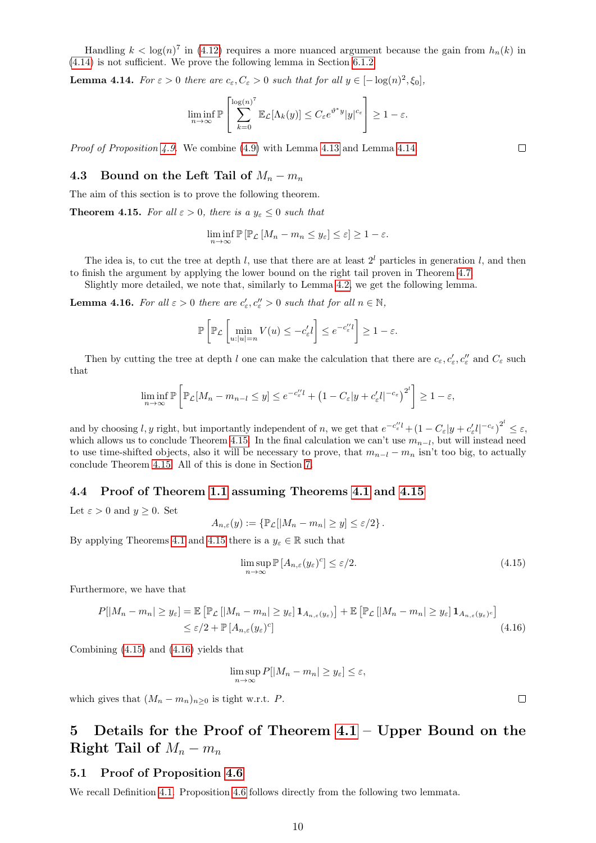Handling  $k < log(n)^7$  in [\(4.12\)](#page-8-6) requires a more nuanced argument because the gain from  $h_n(k)$  in [\(4.14\)](#page-8-5) is not sufficient. We prove the following lemma in Section [6.1.2.](#page-13-3)

<span id="page-9-4"></span>**Lemma 4.14.** For  $\varepsilon > 0$  there are  $c_{\varepsilon}, C_{\varepsilon} > 0$  such that for all  $y \in [-\log(n)^2, \xi_0]$ ,

$$
\liminf_{n\to\infty} \mathbb{P}\left[\sum_{k=0}^{\log(n)^7} \mathbb{E}_{\mathcal{L}}[\Lambda_k(y)] \le C_{\varepsilon} e^{\vartheta^* y} |y|^{c_{\varepsilon}}\right] \ge 1-\varepsilon.
$$

Proof of Proposition [4.9.](#page-7-1) We combine [\(4.9\)](#page-8-7) with Lemma [4.13](#page-8-1) and Lemma [4.14.](#page-9-4)

#### <span id="page-9-1"></span>4.3 Bound on the Left Tail of  $M_n - m_n$

The aim of this section is to prove the following theorem.

<span id="page-9-5"></span>**Theorem 4.15.** For all  $\varepsilon > 0$ , there is a  $y_{\varepsilon} \leq 0$  such that

$$
\liminf_{n \to \infty} \mathbb{P} \left[ \mathbb{P}_{\mathcal{L}} \left[ M_n - m_n \le y_\varepsilon \right] \le \varepsilon \right] \ge 1 - \varepsilon.
$$

The idea is, to cut the tree at depth l, use that there are at least  $2<sup>l</sup>$  particles in generation l, and then to finish the argument by applying the lower bound on the right tail proven in Theorem [4.7.](#page-6-6)

Slightly more detailed, we note that, similarly to Lemma [4.2,](#page-5-5) we get the following lemma.

<span id="page-9-8"></span>**Lemma 4.16.** For all  $\varepsilon > 0$  there are  $c'_{\varepsilon}, c''_{\varepsilon} > 0$  such that for all  $n \in \mathbb{N}$ ,

$$
\mathbb{P}\left[\mathbb{P}_{\mathcal{L}}\left[\min_{u:|u|=n}V(u)\leq-c'_{\varepsilon}l\right]\leq e^{-c''_{\varepsilon}l}\right]\geq1-\varepsilon.
$$

Then by cutting the tree at depth l one can make the calculation that there are  $c_{\varepsilon}, c'_{\varepsilon}, c''_{\varepsilon}$  and  $C_{\varepsilon}$  such that

$$
\liminf_{n\to\infty}\mathbb{P}\left[\mathbb{P}_{\mathcal{L}}[M_n - m_{n-l} \le y] \le e^{-c''_{\varepsilon}t} + \left(1 - C_{\varepsilon}|y + c'_{\varepsilon}t|^{-c_{\varepsilon}}\right)^{2^l}\right] \ge 1 - \varepsilon,
$$

and by choosing l, y right, but importantly independent of n, we get that  $e^{-c''_e l} + (1 - C_{\varepsilon}|y + c'_{\varepsilon} l|^{-c_{\varepsilon}})^{2^l} \leq \varepsilon$ , which allows us to conclude Theorem [4.15.](#page-9-5) In the final calculation we can't use  $m_{n-l}$ , but will instead need to use time-shifted objects, also it will be necessary to prove, that  $m_{n-l} - m_n$  isn't too big, to actually conclude Theorem [4.15.](#page-9-5) All of this is done in Section [7.](#page-15-0)

#### <span id="page-9-2"></span>4.4 Proof of Theorem [1.1](#page-0-1) assuming Theorems [4.1](#page-5-4) and [4.15](#page-9-5)

Let  $\varepsilon > 0$  and  $y \geq 0$ . Set

$$
A_{n,\varepsilon}(y) := \{ \mathbb{P}_{\mathcal{L}}[|M_n - m_n| \ge y] \le \varepsilon/2 \}.
$$

By applying Theorems [4.1](#page-5-4) and [4.15](#page-9-5) there is a  $y_{\varepsilon} \in \mathbb{R}$  such that

<span id="page-9-6"></span>
$$
\limsup_{n \to \infty} \mathbb{P}\left[A_{n,\varepsilon}(y_{\varepsilon})^c\right] \le \varepsilon/2. \tag{4.15}
$$

Furthermore, we have that

$$
P[|M_n - m_n| \ge y_{\varepsilon}] = \mathbb{E}\left[\mathbb{P}_{\mathcal{L}}\left[|M_n - m_n| \ge y_{\varepsilon}\right] \mathbf{1}_{A_{n,\varepsilon}(y_{\varepsilon})}\right] + \mathbb{E}\left[\mathbb{P}_{\mathcal{L}}\left[|M_n - m_n| \ge y_{\varepsilon}\right] \mathbf{1}_{A_{n,\varepsilon}(y_{\varepsilon})^c}\right]
$$
  

$$
\le \varepsilon/2 + \mathbb{P}\left[A_{n,\varepsilon}(y_{\varepsilon})^c\right]
$$
(4.16)

Combining [\(4.15\)](#page-9-6) and [\(4.16\)](#page-9-7) yields that

$$
\limsup_{n \to \infty} P[|M_n - m_n| \ge y_{\varepsilon}] \le \varepsilon,
$$

which gives that  $(M_n - m_n)_{n>0}$  is tight w.r.t. P.

# <span id="page-9-0"></span>5 Details for the Proof of Theorem [4.1](#page-5-4) – Upper Bound on the Right Tail of  $M_n - m_n$

#### <span id="page-9-3"></span>5.1 Proof of Proposition [4.6](#page-6-5)

We recall Definition [4.1.](#page-6-7) Proposition [4.6](#page-6-5) follows directly from the following two lemmata.

<span id="page-9-7"></span> $\Box$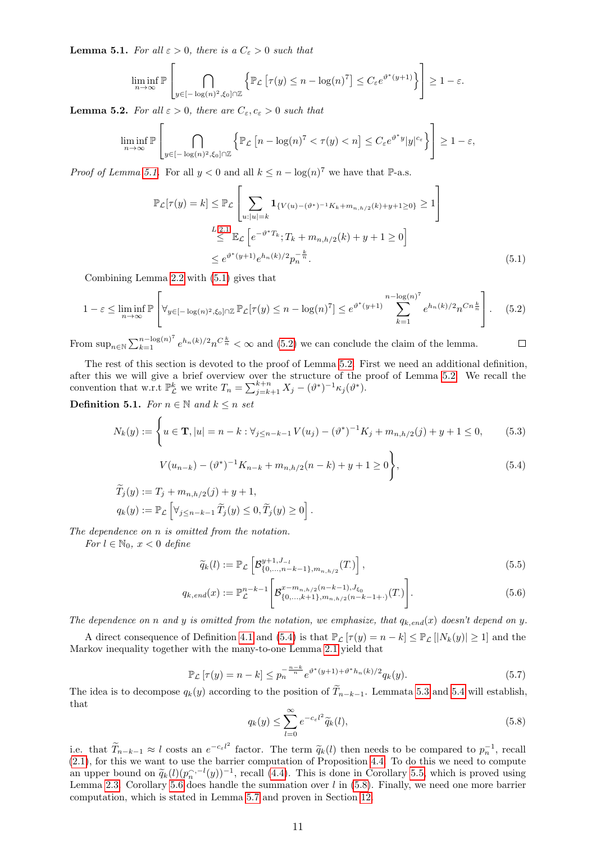<span id="page-10-0"></span>**Lemma 5.1.** For all  $\varepsilon > 0$ , there is a  $C_{\varepsilon} > 0$  such that

$$
\liminf_{n \to \infty} \mathbb{P}\left[\bigcap_{y \in [-\log(n)^2, \xi_0] \cap \mathbb{Z}} \left\{\mathbb{P}_{\mathcal{L}}\left[\tau(y) \le n - \log(n)^7\right] \le C_{\varepsilon} e^{\vartheta^*(y+1)}\right\}\right] \ge 1 - \varepsilon.
$$

<span id="page-10-3"></span>**Lemma 5.2.** For all  $\varepsilon > 0$ , there are  $C_{\varepsilon}, c_{\varepsilon} > 0$  such that

$$
\liminf_{n\to\infty} \mathbb{P}\left[\bigcap_{y\in[-\log(n)^2,\xi_0]\cap\mathbb{Z}} \left\{\mathbb{P}_{\mathcal{L}}\left[n-\log(n)^7 < \tau(y)< n\right]\leq C_{\varepsilon}e^{\vartheta^*y}|y|^{c_{\varepsilon}}\right\}\right] \geq 1-\varepsilon,
$$

*Proof of Lemma [5.1.](#page-10-0)* For all  $y < 0$  and all  $k \leq n - \log(n)^7$  we have that  $\mathbb{P}\text{-a.s.}$ 

$$
\mathbb{P}_{\mathcal{L}}[\tau(y) = k] \leq \mathbb{P}_{\mathcal{L}}\left[\sum_{u:|u|=k} \mathbf{1}_{\{V(u) - (\vartheta^*)^{-1}K_k + m_{n,h/2}(k) + y + 1 \geq 0\}} \geq 1\right]
$$
  

$$
\leq \mathbb{E}_{\mathcal{L}}\left[e^{-\vartheta^*T_k}; T_k + m_{n,h/2}(k) + y + 1 \geq 0\right]
$$
  

$$
\leq e^{\vartheta^*(y+1)}e^{h_n(k)/2}p_n^{-\frac{k}{n}}.
$$
 (5.1)

Combining Lemma [2.2](#page-3-7) with [\(5.1\)](#page-10-1) gives that

$$
1 - \varepsilon \le \liminf_{n \to \infty} \mathbb{P}\left[\forall_{y \in [-\log(n)^2, \xi_0] \cap \mathbb{Z}} \mathbb{P}_{\mathcal{L}}[\tau(y) \le n - \log(n)^7] \le e^{\vartheta^*(y+1)} \sum_{k=1}^{n - \log(n)^7} e^{h_n(k)/2} n^{Cn \frac{k}{n}}\right].
$$
 (5.2)

From  $\sup_{n\in\mathbb{N}}\sum_{k=1}^{n-\log(n)^7}e^{h_n(k)/2}n^{C\frac{k}{n}}<\infty$  and [\(5.2\)](#page-10-2) we can conclude the claim of the lemma.

The rest of this section is devoted to the proof of Lemma [5.2.](#page-10-3) First we need an additional definition, after this we will give a brief overview over the structure of the proof of Lemma [5.2.](#page-10-3) We recall the convention that w.r.t  $\mathbb{P}_{\mathcal{L}}^k$  we write  $T_n = \sum_{j=k+1}^{k+n} X_j - (\vartheta^*)^{-1} \kappa_j (\vartheta^*).$ 

<span id="page-10-6"></span>Definition 5.1. For  $n \in \mathbb{N}$  and  $k \leq n$  set

$$
N_k(y) := \begin{cases} u \in \mathbf{T}, |u| = n - k : \forall_{j \le n - k - 1} V(u_j) - (\vartheta^*)^{-1} K_j + m_{n, h/2}(j) + y + 1 \le 0, \end{cases} (5.3)
$$

$$
V(u_{n-k}) - (\vartheta^*)^{-1} K_{n-k} + m_{n,h/2}(n-k) + y + 1 \ge 0,
$$
\n(5.4)

<span id="page-10-8"></span><span id="page-10-7"></span><span id="page-10-4"></span><span id="page-10-2"></span><span id="page-10-1"></span> $\Box$ 

$$
T_j(y) := T_j + m_{n,h/2}(j) + y + 1,
$$
  
\n
$$
q_k(y) := \mathbb{P}_{\mathcal{L}} \left[ \forall_{j \le n-k-1} \widetilde{T}_j(y) \le 0, \widetilde{T}_j(y) \ge 0 \right].
$$

The dependence on n is omitted from the notation.

For  $l \in \mathbb{N}_0$ ,  $x < 0$  define

$$
\widetilde{q}_k(l) := \mathbb{P}_{\mathcal{L}}\left[\mathcal{B}_{\{0,\dots,n-k-1\},m_{n,h/2}}^{y+1,J_{-l}}(T.)\right],\tag{5.5}
$$

$$
q_{k,end}(x) := \mathbb{P}_{\mathcal{L}}^{n-k-1} \left[ \mathcal{B}_{\{0,\ldots,k+1\},m_{n,h/2}(n-k-1+\cdot)}^{x-m_{n,h/2}(n-k-1),J_{\xi_0}}(T) \right].
$$
 (5.6)

The dependence on n and y is omitted from the notation, we emphasize, that  $q_{k,end}(x)$  doesn't depend on y.

A direct consequence of Definition [4.1](#page-6-7) and [\(5.4\)](#page-10-4) is that  $\mathbb{P}_{\mathcal{L}}[\tau(y) = n - k] \leq \mathbb{P}_{\mathcal{L}}[|N_k(y)| \geq 1]$  and the Markov inequality together with the many-to-one Lemma [2.1](#page-2-2) yield that

<span id="page-10-9"></span>
$$
\mathbb{P}_{\mathcal{L}}\left[\tau(y) = n - k\right] \le p_n^{-\frac{n-k}{n}} e^{\vartheta^*(y+1) + \vartheta^* h_n(k)/2} q_k(y). \tag{5.7}
$$

The idea is to decompose  $q_k(y)$  according to the position of  $T_{n-k-1}$ . Lemmata [5.3](#page-11-0) and [5.4](#page-11-1) will establish, that

<span id="page-10-5"></span>
$$
q_k(y) \le \sum_{l=0}^{\infty} e^{-c_{\varepsilon}l^2} \widetilde{q}_k(l),
$$
\n(5.8)

i.e. that  $\widetilde{T}_{n-k-1} \approx l$  costs an  $e^{-c_{\varepsilon}l^2}$  factor. The term  $\widetilde{q}_k(l)$  then needs to be compared to  $p_n^{-1}$ , recall  $(2,1)$  for this we want to we the beginning computation of Proposition 4.4. To do this we nee  $(2.1)$ , for this we want to use the barrier computation of Proposition [4.4.](#page-6-2) To do this we need to compute an upper bound on  $\tilde{q}_k(l)(p_n^{\gamma,-l}(y))^{-1}$ , recall [\(4.4\)](#page-6-1). This is done in Corollary [5.5,](#page-11-2) which is proved using<br>Lomma 2.3. Corollary 5.6 does hardle the summation over  $l$  in (5.8). Finally we need one more harrier Lemma [2.3.](#page-3-4) Corollary [5.6](#page-11-3) does handle the summation over  $l$  in [\(5.8\)](#page-10-5). Finally, we need one more barrier computation, which is stated in Lemma [5.7](#page-12-0) and proven in Section [12.](#page-42-0)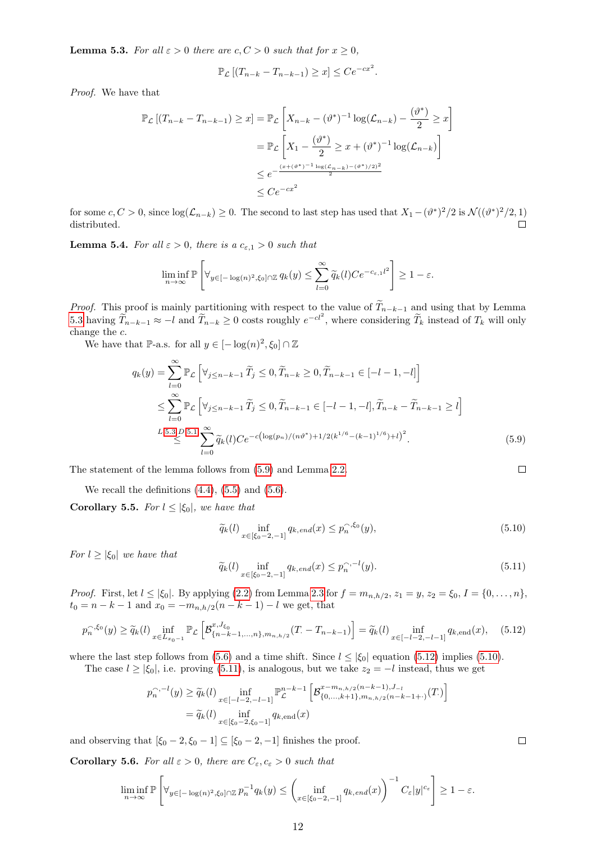<span id="page-11-0"></span>**Lemma 5.3.** For all  $\varepsilon > 0$  there are  $c, C > 0$  such that for  $x \ge 0$ ,

$$
\mathbb{P}_{\mathcal{L}}\left[ (T_{n-k} - T_{n-k-1}) \geq x \right] \leq Ce^{-cx^2}.
$$

Proof. We have that

$$
\mathbb{P}_{\mathcal{L}}\left[ (T_{n-k} - T_{n-k-1}) \ge x \right] = \mathbb{P}_{\mathcal{L}}\left[ X_{n-k} - (\vartheta^*)^{-1} \log(\mathcal{L}_{n-k}) - \frac{(\vartheta^*)}{2} \ge x \right]
$$
  
\n
$$
= \mathbb{P}_{\mathcal{L}}\left[ X_1 - \frac{(\vartheta^*)}{2} \ge x + (\vartheta^*)^{-1} \log(\mathcal{L}_{n-k}) \right]
$$
  
\n
$$
\le e^{-\frac{(x + (\vartheta^*)^{-1} \log(\mathcal{L}_{n-k}) - (\vartheta^*)/2)^2}{2}}
$$
  
\n
$$
\le Ce^{-cx^2}
$$

for some  $c, C > 0$ , since  $\log(\mathcal{L}_{n-k}) \geq 0$ . The second to last step has used that  $X_1 - (\vartheta^*)^2/2$  is  $\mathcal{N}((\vartheta^*)^2/2, 1)$ distributed.  $\Box$ 

<span id="page-11-1"></span>**Lemma 5.4.** For all  $\varepsilon > 0$ , there is a  $c_{\varepsilon,1} > 0$  such that

$$
\liminf_{n\to\infty} \mathbb{P}\left[\forall_{y\in[-\log(n)^2,\xi_0]\cap\mathbb{Z}} q_k(y)\leq \sum_{l=0}^{\infty}\widetilde{q}_k(l)Ce^{-c_{\varepsilon,1}l^2}\right] \geq 1-\varepsilon.
$$

*Proof.* This proof is mainly partitioning with respect to the value of  $\widetilde{T}_{n-k-1}$  and using that by Lemma [5.3](#page-11-0) having  $\widetilde{T}_{n-k-1} \approx -l$  and  $\widetilde{T}_{n-k} \ge 0$  costs roughly  $e^{-cl^2}$ , where considering  $\widetilde{T}_k$  instead of  $T_k$  will only change the c.

We have that P-a.s. for all  $y \in [-\log(n)^2, \xi_0] \cap \mathbb{Z}$ 

$$
q_k(y) = \sum_{l=0}^{\infty} \mathbb{P}_{\mathcal{L}} \left[ \forall_{j \le n-k-1} \widetilde{T}_j \le 0, \widetilde{T}_{n-k} \ge 0, \widetilde{T}_{n-k-1} \in [-l-1, -l] \right]
$$
  
\n
$$
\le \sum_{l=0}^{\infty} \mathbb{P}_{\mathcal{L}} \left[ \forall_{j \le n-k-1} \widetilde{T}_j \le 0, \widetilde{T}_{n-k-1} \in [-l-1, -l], \widetilde{T}_{n-k} - \widetilde{T}_{n-k-1} \ge l \right]
$$
  
\n
$$
L.5.3, D.5.1 \sum_{l=0}^{\infty} \widetilde{q}_k(l) Ce^{-c\left(\log(p_n)/(n\vartheta^*) + 1/2(k^{1/6} - (k-1)^{1/6}) + l\right)^2}.
$$
 (5.9)

The statement of the lemma follows from [\(5.9\)](#page-11-4) and Lemma [2.2.](#page-3-7)

We recall the definitions  $(4.4)$ ,  $(5.5)$  and  $(5.6)$ .

<span id="page-11-2"></span>Corollary 5.5. For  $l \leq |\xi_0|$ , we have that

<span id="page-11-6"></span><span id="page-11-4"></span>
$$
\widetilde{q}_k(l) \inf_{x \in [\xi_0 - 2, -1]} q_{k, end}(x) \le p_n^{\widehat{\zeta}_0}(y),\tag{5.10}
$$

For  $l \geq |\xi_0|$  we have that

<span id="page-11-7"></span>
$$
\widetilde{q}_k(l) \inf_{x \in [\xi_0 - 2, -1]} q_{k, end}(x) \le p_n^{\gamma, -l}(y). \tag{5.11}
$$

*Proof.* First, let  $l \le |\xi_0|$ . By applying [\(2.2\)](#page-3-2) from Lemma [2.3](#page-3-4) for  $f = m_{n,h/2}$ ,  $z_1 = y$ ,  $z_2 = \xi_0$ ,  $I = \{0, ..., n\}$ ,  $t_0 = n - k - 1$  and  $x_0 = -m_{n,h/2}(n - k - 1) - l$  we get, that

$$
p_n^{\gamma, \xi_0}(y) \ge \widetilde{q}_k(l) \inf_{x \in L_{x_0-1}} \mathbb{P}_{\mathcal{L}} \left[ \mathcal{B}_{\{n-k-1, \dots, n\}, m_{n,h/2}}^{x, J_{\xi_0}}(T) - T_{n-k-1} \right] = \widetilde{q}_k(l) \inf_{x \in [-l-2, -l-1]} q_{k, \text{end}}(x), \quad (5.12)
$$

where the last step follows from [\(5.6\)](#page-10-8) and a time shift. Since  $l \leq |\xi_0|$  equation [\(5.12\)](#page-11-5) implies [\(5.10\)](#page-11-6).

The case  $l \ge |\xi_0|$ , i.e. proving [\(5.11\)](#page-11-7), is analogous, but we take  $z_2 = -l$  instead, thus we get

$$
p_n^{\gamma, -l}(y) \ge \widetilde{q}_k(l) \inf_{x \in [-l-2, -l-1]} \mathbb{P}_{\mathcal{L}}^{n-k-1} \left[ \mathcal{B}_{\{0, \ldots, k+1\}, m_{n,h/2}(n-k-1+) }^{\pi - m_{n,h/2}(n-k-1), J_{-l}}(T) \right]
$$
  
=  $\widetilde{q}_k(l)$  inf<sub>x \in [\xi\_0 - 2, \xi\_0 - 1]}  $q_{k, \text{end}}(x)$</sub> 

and observing that  $[\xi_0 - 2, \xi_0 - 1] \subseteq [\xi_0 - 2, -1]$  finishes the proof.

<span id="page-11-3"></span>**Corollary 5.6.** For all  $\varepsilon > 0$ , there are  $C_{\varepsilon}, c_{\varepsilon} > 0$  such that

$$
\liminf_{n\to\infty} \mathbb{P}\left[\forall_{y\in[-\log(n)^2,\xi_0]\cap\mathbb{Z}} p_n^{-1}q_k(y)\leq \left(\inf_{x\in[\xi_0-2,-1]} q_{k,\text{end}}(x)\right)^{-1} C_{\varepsilon}|y|^{c_{\varepsilon}}\right] \geq 1-\varepsilon.
$$

<span id="page-11-5"></span> $\Box$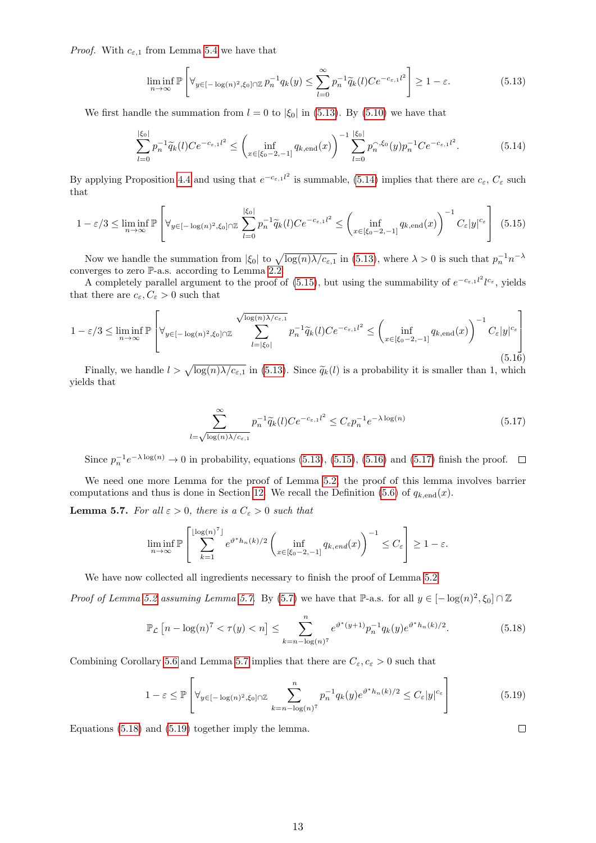*Proof.* With  $c_{\varepsilon,1}$  from Lemma [5.4](#page-11-1) we have that

<span id="page-12-2"></span><span id="page-12-1"></span>
$$
\liminf_{n \to \infty} \mathbb{P}\left[\forall_{y \in [-\log(n)^2, \xi_0] \cap \mathbb{Z}} p_n^{-1} q_k(y) \le \sum_{l=0}^{\infty} p_n^{-1} \widetilde{q}_k(l) C e^{-c_{\varepsilon, 1} l^2} \right] \ge 1 - \varepsilon. \tag{5.13}
$$

We first handle the summation from  $l = 0$  to  $|\xi_0|$  in [\(5.13\)](#page-12-1). By [\(5.10\)](#page-11-6) we have that

$$
\sum_{l=0}^{|\xi_0|} p_n^{-1} \widetilde{q}_k(l) C e^{-c_{\varepsilon,1} l^2} \le \left( \inf_{x \in [\xi_0 - 2, -1]} q_{k,\text{end}}(x) \right)^{-1} \sum_{l=0}^{|\xi_0|} p_n^{-\xi_0}(y) p_n^{-1} C e^{-c_{\varepsilon,1} l^2}.
$$
 (5.14)

By applying Proposition [4.4](#page-6-2) and using that  $e^{-c_{\varepsilon,1}l^2}$  is summable, [\(5.14\)](#page-12-2) implies that there are  $c_{\varepsilon}$ ,  $C_{\varepsilon}$  such that

<span id="page-12-3"></span>
$$
1 - \varepsilon/3 \le \liminf_{n \to \infty} \mathbb{P}\left[\forall_{y \in [-\log(n)^2, \xi_0] \cap \mathbb{Z}} \sum_{l=0}^{|\xi_0|} p_n^{-1} \widetilde{q}_k(l) C e^{-c_{\varepsilon, 1} l^2} \le \left(\inf_{x \in [\xi_0 - 2, -1]} q_{k, \text{end}}(x)\right)^{-1} C_{\varepsilon} |y|^{c_{\varepsilon}}\right] (5.15)
$$

Now we handle the summation from  $|\xi_0|$  to  $\sqrt{\log(n)\lambda/c_{\epsilon,1}}$  in [\(5.13\)](#page-12-1), where  $\lambda > 0$  is such that  $p_n^{-1}n^{-\lambda}$ converges to zero P-a.s. according to Lemma [2.2.](#page-3-7)

A completely parallel argument to the proof of [\(5.15\)](#page-12-3), but using the summability of  $e^{-c_{\varepsilon,1}l^2}l^{c_{\varepsilon}}$ , yields that there are  $c_{\varepsilon}, C_{\varepsilon} > 0$  such that

<span id="page-12-4"></span>
$$
1 - \varepsilon/3 \le \liminf_{n \to \infty} \mathbb{P}\left[\forall_{y \in [-\log(n)^2, \xi_0] \cap \mathbb{Z}} \sum_{l=|\xi_0|}^{\sqrt{\log(n)\lambda/c_{\varepsilon,1}}} p_n^{-1} \widetilde{q}_k(l) C e^{-c_{\varepsilon,1} l^2} \le \left(\inf_{x \in [\xi_0 - 2, -1]} q_{k, \text{end}}(x)\right)^{-1} C_{\varepsilon}|y|^{c_{\varepsilon}}\right]
$$
(5.16)

Finally, we handle  $l > \sqrt{\log(n)\lambda/c_{\varepsilon,1}}$  in [\(5.13\)](#page-12-1). Since  $\widetilde{q}_k(l)$  is a probability it is smaller than 1, which de that yields that

<span id="page-12-5"></span>
$$
\sum_{l=\sqrt{\log(n)\lambda/c_{\varepsilon,1}}}^{\infty} p_n^{-1} \widetilde{q}_k(l) C e^{-c_{\varepsilon,1}l^2} \le C_{\varepsilon} p_n^{-1} e^{-\lambda \log(n)} \tag{5.17}
$$

Since  $p_n^{-1}e^{-\lambda \log(n)} \to 0$  in probability, equations [\(5.13\)](#page-12-1), [\(5.15\)](#page-12-3), [\(5.16\)](#page-12-4) and [\(5.17\)](#page-12-5) finish the proof.

We need one more Lemma for the proof of Lemma [5.2,](#page-10-3) the proof of this lemma involves barrier computations and thus is done in Section [12.](#page-42-0) We recall the Definition [\(5.6\)](#page-10-8) of  $q_{k, end}(x)$ .

<span id="page-12-0"></span>**Lemma 5.7.** For all  $\varepsilon > 0$ , there is a  $C_{\varepsilon} > 0$  such that

$$
\liminf_{n\to\infty} \mathbb{P}\left[\sum_{k=1}^{\lfloor \log(n)^7 \rfloor} e^{\vartheta^* h_n(k)/2} \left( \inf_{x \in [\xi_0 - 2, -1]} q_{k, end}(x) \right)^{-1} \le C_{\varepsilon} \right] \ge 1 - \varepsilon.
$$

We have now collected all ingredients necessary to finish the proof of Lemma [5.2](#page-10-3)

*Proof of Lemma [5.2](#page-10-3) assuming Lemma [5.7.](#page-12-0)* By [\(5.7\)](#page-10-9) we have that P-a.s. for all  $y \in [-\log(n)^2, \xi_0] \cap \mathbb{Z}$ 

<span id="page-12-6"></span>
$$
\mathbb{P}_{\mathcal{L}}\left[n - \log(n)^7 < \tau(y) < n\right] \le \sum_{k=n - \log(n)^7} n^{-\theta^*(y+1)} p_n^{-1} q_k(y) e^{\theta^* h_n(k)/2}.\tag{5.18}
$$

Combining Corollary [5.6](#page-11-3) and Lemma [5.7](#page-12-0) implies that there are  $C_{\varepsilon}, c_{\varepsilon} > 0$  such that

<span id="page-12-7"></span>
$$
1 - \varepsilon \le \mathbb{P}\left[\forall_{y \in [-\log(n)^2, \xi_0] \cap \mathbb{Z}} \sum_{k=n-\log(n)^7}^{n} p_n^{-1} q_k(y) e^{\vartheta^* h_n(k)/2} \le C_{\varepsilon} |y|^{c_{\varepsilon}}\right]
$$
(5.19)

Equations [\(5.18\)](#page-12-6) and [\(5.19\)](#page-12-7) together imply the lemma.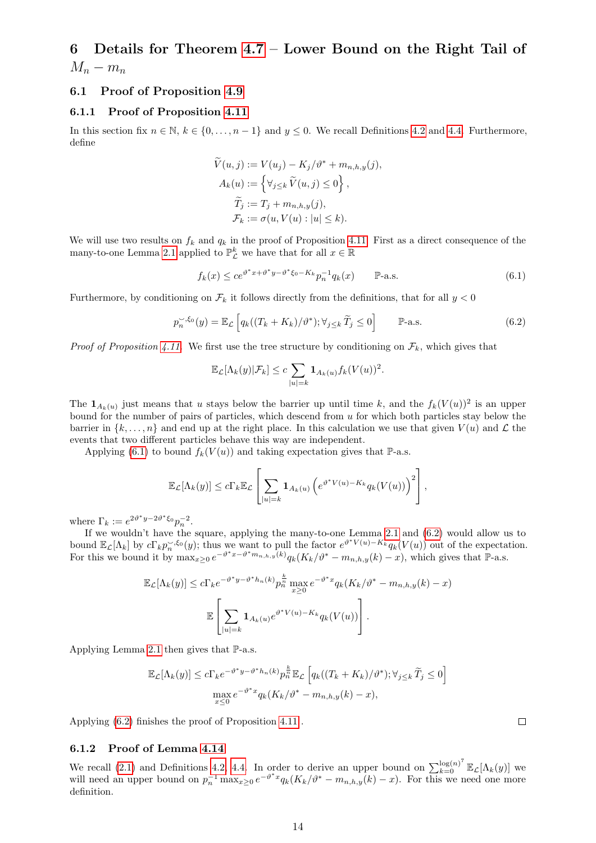# <span id="page-13-0"></span>6 Details for Theorem [4.7](#page-6-6) – Lower Bound on the Right Tail of  $M_n - m_n$

#### <span id="page-13-1"></span>6.1 Proof of Proposition [4.9](#page-7-1)

#### <span id="page-13-2"></span>6.1.1 Proof of Proposition [4.11](#page-8-3)

In this section fix  $n \in \mathbb{N}$ ,  $k \in \{0, ..., n-1\}$  and  $y \leq 0$ . We recall Definitions [4.2](#page-7-8) and [4.4.](#page-8-8) Furthermore, define

$$
\widetilde{V}(u,j) := V(u_j) - K_j/\vartheta^* + m_{n,h,y}(j),
$$
  
\n
$$
A_k(u) := \left\{ \forall_{j \leq k} \widetilde{V}(u,j) \leq 0 \right\},
$$
  
\n
$$
\widetilde{T}_j := T_j + m_{n,h,y}(j),
$$
  
\n
$$
\mathcal{F}_k := \sigma(u, V(u) : |u| \leq k).
$$

We will use two results on  $f_k$  and  $q_k$  in the proof of Proposition [4.11.](#page-8-3) First as a direct consequence of the many-to-one Lemma [2.1](#page-2-2) applied to  $\mathbb{P}^k_{\mathcal{L}}$  we have that for all  $x \in \mathbb{R}$ 

<span id="page-13-4"></span>
$$
f_k(x) \le ce^{\vartheta^* x + \vartheta^* y - \vartheta^* \xi_0 - K_k} p_n^{-1} q_k(x) \qquad \mathbb{P}\text{-a.s.}
$$
\n(6.1)

Furthermore, by conditioning on  $\mathcal{F}_k$  it follows directly from the definitions, that for all  $y < 0$ 

<span id="page-13-5"></span>
$$
p_n^{\sim,\xi_0}(y) = \mathbb{E}_{\mathcal{L}}\left[q_k((T_k + K_k)/\vartheta^*); \forall_{j \leq k} \widetilde{T}_j \leq 0\right] \qquad \mathbb{P}\text{-a.s.} \tag{6.2}
$$

*Proof of Proposition [4.11.](#page-8-3)* We first use the tree structure by conditioning on  $\mathcal{F}_k$ , which gives that

$$
\mathbb{E}_{\mathcal{L}}[\Lambda_k(y)|\mathcal{F}_k] \le c \sum_{|u|=k} \mathbf{1}_{A_k(u)} f_k(V(u))^2.
$$

The  $\mathbf{1}_{A_k(u)}$  just means that u stays below the barrier up until time k, and the  $f_k(V(u))^2$  is an upper bound for the number of pairs of particles, which descend from u for which both particles stay below the barrier in  $\{k, \ldots, n\}$  and end up at the right place. In this calculation we use that given  $V(u)$  and  $\mathcal L$  the events that two different particles behave this way are independent.

Applying [\(6.1\)](#page-13-4) to bound  $f_k(V(u))$  and taking expectation gives that  $\mathbb{P}\text{-a.s.}$ 

$$
\mathbb{E}_{\mathcal{L}}[\Lambda_k(y)] \leq c \Gamma_k \mathbb{E}_{\mathcal{L}}\left[\sum_{|u|=k} \mathbf{1}_{A_k(u)} \left(e^{\vartheta^* V(u) - K_k} q_k(V(u))\right)^2\right],
$$

where  $\Gamma_k := e^{2\vartheta^* y - 2\vartheta^* \xi_0} p_n^{-2}$ .

If we wouldn't have the square, applying the many-to-one Lemma [2.1](#page-2-2) and [\(6.2\)](#page-13-5) would allow us to bound  $\mathbb{E}_{\mathcal{L}}[\Lambda_k]$  by  $c\Gamma_k p_n^{\sim,\xi_0}(y)$ ; thus we want to pull the factor  $e^{\vartheta^*V(u)-K_k}q_k(V(u))$  out of the expectation. For this we bound it by  $\max_{x\geq 0} e^{-\vartheta^*x-\vartheta^*m_{n,h,y}(k)}q_k(K_k/\vartheta^*-m_{n,h,y}(k)-x)$ , which gives that  $\mathbb{P}_{-a.s.}$ 

$$
\mathbb{E}_{\mathcal{L}}[\Lambda_k(y)] \le c \Gamma_k e^{-\vartheta^* y - \vartheta^* h_n(k)} p_n^{\frac{k}{m}} \max_{x \ge 0} e^{-\vartheta^* x} q_k(K_k/\vartheta^* - m_{n,h,y}(k) - x)
$$

$$
\mathbb{E}\left[\sum_{|u|=k} \mathbf{1}_{A_k(u)} e^{\vartheta^* V(u) - K_k} q_k(V(u))\right].
$$

Applying Lemma [2.1](#page-2-2) then gives that  $\mathbb{P}\text{-a.s.}$ 

$$
\mathbb{E}_{\mathcal{L}}[\Lambda_k(y)] \le c \Gamma_k e^{-\vartheta^* y - \vartheta^* h_n(k)} p_n^{\frac{k}{n}} \mathbb{E}_{\mathcal{L}} \left[ q_k((T_k + K_k)/\vartheta^*); \forall_{j \le k} \widetilde{T}_j \le 0 \right]
$$

$$
\max_{x \le 0} e^{-\vartheta^* x} q_k(K_k/\vartheta^* - m_{n,h,y}(k) - x),
$$

Applying [\(6.2\)](#page-13-5) finishes the proof of Proposition [4.11](#page-8-3) .

#### <span id="page-13-3"></span>6.1.2 Proof of Lemma [4.14](#page-9-4)

We recall [\(2.1\)](#page-2-3) and Definitions [4.2,](#page-7-8) [4.4.](#page-8-8) In order to derive an upper bound on  $\sum_{k=0}^{\log(n)^7} \mathbb{E}_{\mathcal{L}}[\Lambda_k(y)]$  we will need an upper bound on  $p_n^{-1} \max_{x \geq 0} e^{-\vartheta^* x} q_k (K_k/\vartheta^* - m_{n,h,y}(k) - x)$ . For this we need one more definition.

```
\Box
```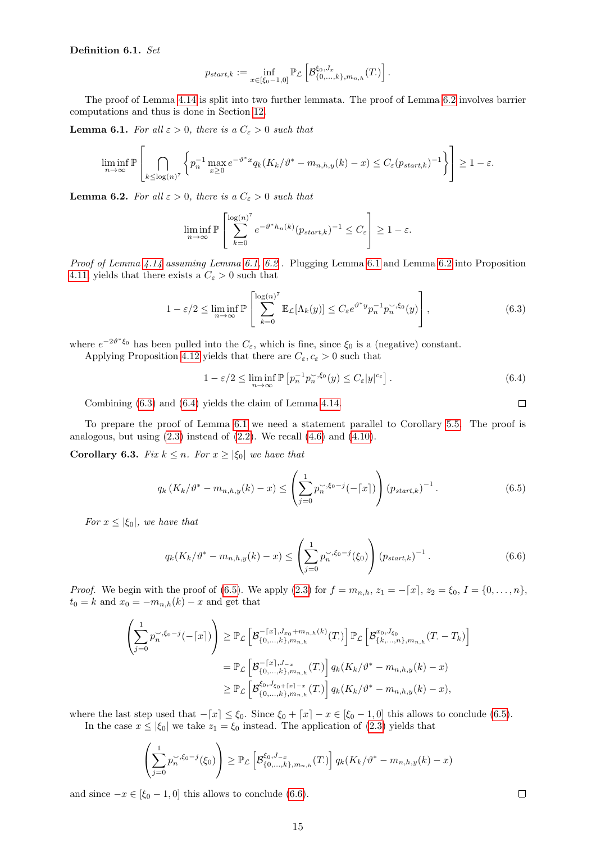#### <span id="page-14-7"></span>Definition 6.1. Set

$$
p_{start,k} := \inf_{x \in [\xi_0 - 1,0]} \mathbb{P}_{\mathcal{L}} \left[ \mathcal{B}_{\{0,\ldots,k\},m_{n,h}}^{\xi_0,J_x}(T) \right].
$$

The proof of Lemma [4.14](#page-9-4) is split into two further lemmata. The proof of Lemma [6.2](#page-14-1) involves barrier computations and thus is done in Section [12.](#page-42-0)

<span id="page-14-0"></span>**Lemma 6.1.** For all  $\varepsilon > 0$ , there is a  $C_{\varepsilon} > 0$  such that

$$
\liminf_{n\to\infty}\mathbb{P}\left[\bigcap_{k\leq\log(n)^7}\left\{p_n^{-1}\max_{x\geq 0}e^{-\vartheta^*x}q_k(K_k/\vartheta^*-m_{n,h,y}(k)-x)\leq C_\varepsilon(p_{start,k})^{-1}\right\}\right]\geq 1-\varepsilon.
$$

<span id="page-14-1"></span>**Lemma 6.2.** For all  $\varepsilon > 0$ , there is a  $C_{\varepsilon} > 0$  such that

$$
\liminf_{n \to \infty} \mathbb{P}\left[\sum_{k=0}^{\log(n)^7} e^{-\vartheta^* h_n(k)} (p_{start,k})^{-1} \le C_{\varepsilon}\right] \ge 1 - \varepsilon.
$$

Proof of Lemma [4.14](#page-9-4) assuming Lemma [6.1,](#page-14-0) [6.2](#page-14-1). Plugging Lemma [6.1](#page-14-0) and Lemma 6.2 into Proposition [4.11,](#page-8-3) yields that there exists a  $C_{\varepsilon} > 0$  such that

$$
1 - \varepsilon/2 \le \liminf_{n \to \infty} \mathbb{P}\left[\sum_{k=0}^{\log(n)^7} \mathbb{E}_{\mathcal{L}}[\Lambda_k(y)] \le C_{\varepsilon} e^{\vartheta^* y} p_n^{-1} p_n^{\prec, \xi_0}(y)\right],\tag{6.3}
$$

where  $e^{-2\vartheta^*\xi_0}$  has been pulled into the  $C_{\varepsilon}$ , which is fine, since  $\xi_0$  is a (negative) constant.

Applying Proposition [4.12](#page-8-0) yields that there are  $C_{\varepsilon}, c_{\varepsilon} > 0$  such that

<span id="page-14-3"></span>
$$
1 - \varepsilon/2 \le \liminf_{n \to \infty} \mathbb{P} \left[ p_n^{-1} p_n^{\sim, \xi_0}(y) \le C_{\varepsilon} |y|^{c_{\varepsilon}} \right]. \tag{6.4}
$$

Combining [\(6.3\)](#page-14-2) and [\(6.4\)](#page-14-3) yields the claim of Lemma [4.14.](#page-9-4)

<span id="page-14-5"></span><span id="page-14-4"></span><span id="page-14-2"></span> $\Box$ 

To prepare the proof of Lemma [6.1](#page-14-0) we need a statement parallel to Corollary [5.5.](#page-11-2) The proof is analogous, but using  $(2.3)$  instead of  $(2.2)$ . We recall  $(4.6)$  and  $(4.10)$ .

<span id="page-14-6"></span>**Corollary 6.3.** Fix  $k \leq n$ . For  $x \geq |\xi_0|$  we have that

$$
q_k(K_k/\vartheta^* - m_{n,h,y}(k) - x) \le \left(\sum_{j=0}^1 p_n^{\sim, \xi_0 - j}(-\lceil x \rceil)\right) \left(p_{start,k}\right)^{-1}.
$$
 (6.5)

For  $x \leq |\xi_0|$ , we have that

$$
q_k(K_k/\vartheta^* - m_{n,h,y}(k) - x) \le \left(\sum_{j=0}^1 p_n^{\sim, \xi_0 - j}(\xi_0)\right) \left(p_{start,k}\right)^{-1}.
$$
 (6.6)

*Proof.* We begin with the proof of [\(6.5\)](#page-14-4). We apply [\(2.3\)](#page-3-3) for  $f = m_{n,h}$ ,  $z_1 = -[x]$ ,  $z_2 = \xi_0$ ,  $I = \{0, ..., n\}$ ,  $t_0 = k$  and  $x_0 = -m_{n,h}(k) - x$  and get that

$$
\left(\sum_{j=0}^{1} p_n^{\sim, \xi_0-j}(-\lceil x \rceil)\right) \geq \mathbb{P}_{\mathcal{L}}\left[\mathcal{B}_{\{0,\ldots,k\},m_{n,h}}^{-\lceil x \rceil, J_{x_0}+m_{n,h}(k)}(T)\right] \mathbb{P}_{\mathcal{L}}\left[\mathcal{B}_{\{k,\ldots,n\},m_{n,h}}^{x_0,J_{\xi_0}}(T,-T_k)\right]
$$

$$
= \mathbb{P}_{\mathcal{L}}\left[\mathcal{B}_{\{0,\ldots,k\},m_{n,h}}^{-\lceil x \rceil, J_{-x}}(T)\right] q_k(K_k/\vartheta^* - m_{n,h,y}(k) - x)
$$

$$
\geq \mathbb{P}_{\mathcal{L}}\left[\mathcal{B}_{\{0,\ldots,k\},m_{n,h}}^{\xi_0,J_{\xi_0+\lceil x \rceil-x}}(T)\right] q_k(K_k/\vartheta^* - m_{n,h,y}(k) - x),
$$

where the last step used that  $-[x] \leq \xi_0$ . Since  $\xi_0 + [x] - x \in [\xi_0 - 1, 0]$  this allows to conclude [\(6.5\)](#page-14-4). In the case  $x \le |\xi_0|$  we take  $z_1 = \xi_0$  instead. The application of [\(2.3\)](#page-3-3) yields that

$$
\left(\sum_{j=0}^1 p_n^{\frown, \xi_0-j}(\xi_0)\right) \geq \mathbb{P}_{\mathcal{L}}\left[\mathcal{B}_{\{0,\dots,k\},m_{n,h}}^{\xi_0, J_{-x}}(T)\right] q_k(K_k/\vartheta^* - m_{n,h,y}(k) - x)
$$

and since  $-x \in [\xi_0 - 1, 0]$  this allows to conclude [\(6.6\)](#page-14-5).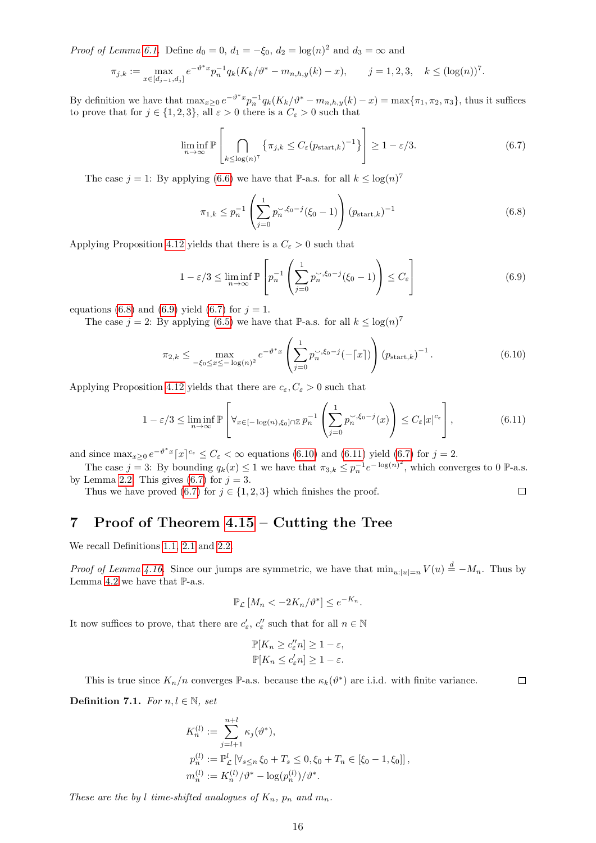*Proof of Lemma [6.1.](#page-14-0)* Define  $d_0 = 0$ ,  $d_1 = -\xi_0$ ,  $d_2 = \log(n)^2$  and  $d_3 = \infty$  and

$$
\pi_{j,k} := \max_{x \in [d_{j-1}, d_j]} e^{-\vartheta^* x} p_n^{-1} q_k(K_k/\vartheta^* - m_{n,h,y}(k) - x), \qquad j = 1, 2, 3, \quad k \leq (\log(n))^7.
$$

By definition we have that  $\max_{x\geq 0} e^{-\vartheta^*x} p_n^{-1} q_k(K_k/\vartheta^* - m_{n,h,y}(k) - x) = \max\{\pi_1, \pi_2, \pi_3\}$ , thus it suffices to prove that for  $j \in \{1, 2, 3\}$ , all  $\varepsilon > 0$  there is a  $C_{\varepsilon} > 0$  such that

<span id="page-15-3"></span>
$$
\liminf_{n \to \infty} \mathbb{P}\left[\bigcap_{k \leq \log(n)^7} \left\{\pi_{j,k} \leq C_{\varepsilon}(p_{\text{start},k})^{-1}\right\}\right] \geq 1 - \varepsilon/3. \tag{6.7}
$$

The case  $j = 1$ : By applying [\(6.6\)](#page-14-5) we have that P-a.s. for all  $k \leq \log(n)^7$ 

<span id="page-15-1"></span>
$$
\pi_{1,k} \le p_n^{-1} \left( \sum_{j=0}^1 p_n^{\sim, \xi_0 - j} (\xi_0 - 1) \right) (p_{\text{start},k})^{-1} \tag{6.8}
$$

Applying Proposition [4.12](#page-8-0) yields that there is a  $C_{\varepsilon} > 0$  such that

<span id="page-15-4"></span><span id="page-15-2"></span>
$$
1 - \varepsilon/3 \le \liminf_{n \to \infty} \mathbb{P}\left[p_n^{-1}\left(\sum_{j=0}^1 p_n^{\checkmark 0-j}(\xi_0 - 1)\right) \le C_{\varepsilon}\right] \tag{6.9}
$$

equations [\(6.8\)](#page-15-1) and [\(6.9\)](#page-15-2) yield [\(6.7\)](#page-15-3) for  $j = 1$ .

The case  $j = 2$ : By applying [\(6.5\)](#page-14-4) we have that P-a.s. for all  $k \leq \log(n)^7$ 

$$
\pi_{2,k} \leq \max_{-\xi_0 \leq x \leq -\log(n)^2} e^{-\vartheta^* x} \left( \sum_{j=0}^1 p_n^{\prec, \xi_0 - j} (-\lceil x \rceil) \right) \left( p_{\text{start},k} \right)^{-1} . \tag{6.10}
$$

Applying Proposition [4.12](#page-8-0) yields that there are  $c_{\varepsilon}, C_{\varepsilon} > 0$  such that

$$
1 - \varepsilon/3 \le \liminf_{n \to \infty} \mathbb{P}\left[\forall_{x \in [-\log(n), \xi_0] \cap \mathbb{Z}} p_n^{-1} \left(\sum_{j=0}^1 p_n^{\prec, \xi_0 - j}(x)\right) \le C_{\varepsilon} |x|^{c_{\varepsilon}}\right],\tag{6.11}
$$

and since  $\max_{x\geq 0} e^{-\vartheta^*x} [x]^{c_{\varepsilon}} \leq C_{\varepsilon} < \infty$  equations [\(6.10\)](#page-15-4) and [\(6.11\)](#page-15-5) yield [\(6.7\)](#page-15-3) for  $j=2$ .

The case  $j = 3$ : By bounding  $q_k(x) \leq 1$  we have that  $\pi_{3,k} \leq p_n^{-1} e^{-\log(n)^2}$ , which converges to 0 P-a.s. by Lemma [2.2.](#page-3-7) This gives  $(6.7)$  for  $j = 3$ .

Thus we have proved [\(6.7\)](#page-15-3) for  $j \in \{1, 2, 3\}$  which finishes the proof.  $\Box$ 

## <span id="page-15-0"></span>7 Proof of Theorem [4.15](#page-9-5) – Cutting the Tree

We recall Definitions [1.1,](#page-0-0) [2.1](#page-2-4) and [2.2.](#page-2-0)

*Proof of Lemma [4.16.](#page-9-8)* Since our jumps are symmetric, we have that  $\min_{u:|u|=n} V(u) \stackrel{d}{=} -M_n$ . Thus by Lemma [4.2](#page-5-5) we have that  $\mathbb{P}\text{-a.s.}$ 

<span id="page-15-5"></span>
$$
\mathbb{P}_{\mathcal{L}}\left[M_n < -2K_n/\vartheta^*\right] \le e^{-K_n}.
$$

It now suffices to prove, that there are  $c'_{\varepsilon}$ ,  $c''_{\varepsilon}$  such that for all  $n \in \mathbb{N}$ 

$$
\mathbb{P}[K_n \ge c_{\varepsilon}''n] \ge 1 - \varepsilon,
$$
  

$$
\mathbb{P}[K_n \le c_{\varepsilon}'n] \ge 1 - \varepsilon.
$$

This is true since  $K_n/n$  converges P-a.s. because the  $\kappa_k(\vartheta^*)$  are i.i.d. with finite variance.

Definition 7.1. For  $n, l \in \mathbb{N}$ , set

$$
K_n^{(l)} := \sum_{j=l+1}^{n+l} \kappa_j(\vartheta^*),
$$
  
\n
$$
p_n^{(l)} := \mathbb{P}_{\mathcal{L}}^l \left[ \forall_{s \le n} \xi_0 + T_s \le 0, \xi_0 + T_n \in [\xi_0 - 1, \xi_0] \right],
$$
  
\n
$$
m_n^{(l)} := K_n^{(l)}/\vartheta^* - \log(p_n^{(l)})/\vartheta^*.
$$

These are the by l time-shifted analogues of  $K_n$ ,  $p_n$  and  $m_n$ .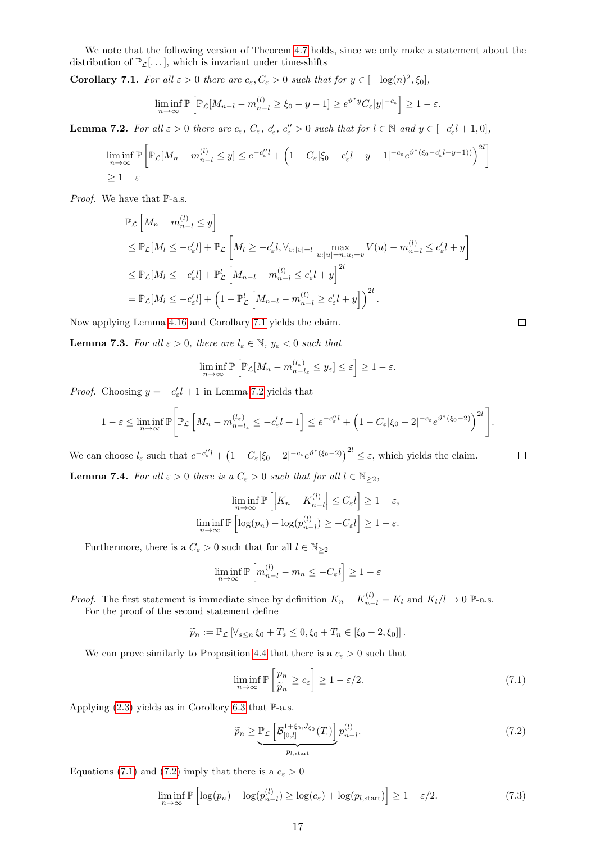We note that the following version of Theorem [4.7](#page-6-6) holds, since we only make a statement about the distribution of  $\mathbb{P}_{\mathcal{L}}[\dots]$ , which is invariant under time-shifts

<span id="page-16-0"></span>**Corollary 7.1.** For all  $\varepsilon > 0$  there are  $c_{\varepsilon}, C_{\varepsilon} > 0$  such that for  $y \in [-\log(n)^2, \xi_0]$ ,

$$
\liminf_{n \to \infty} \mathbb{P}\left[\mathbb{P}_{\mathcal{L}}[M_{n-l} - m_{n-l}^{(l)} \ge \xi_0 - y - 1] \ge e^{\vartheta^* y} C_{\varepsilon} |y|^{-c_{\varepsilon}}\right] \ge 1 - \varepsilon.
$$

<span id="page-16-1"></span>**Lemma 7.2.** For all  $\varepsilon > 0$  there are  $c_{\varepsilon}$ ,  $C_{\varepsilon}$ ,  $c'_{\varepsilon}$ ,  $c''_{\varepsilon} > 0$  such that for  $l \in \mathbb{N}$  and  $y \in [-c'_{\varepsilon}l + 1, 0]$ ,

$$
\liminf_{n \to \infty} \mathbb{P}\left[\mathbb{P}_{\mathcal{L}}[M_n - m_{n-l}^{(l)} \le y] \le e^{-c_{\varepsilon}^{\prime\prime} l} + \left(1 - C_{\varepsilon} |\xi_0 - c_{\varepsilon}' l - y - 1|^{-c_{\varepsilon}} e^{\vartheta^*(\xi_0 - c_{\varepsilon}' l - y - 1))}\right)^{2l}\right]
$$
\n
$$
\ge 1 - \varepsilon
$$

Proof. We have that P-a.s.

$$
\mathbb{P}_{\mathcal{L}}\left[M_n - m_{n-l}^{(l)} \le y\right]
$$
\n
$$
\le \mathbb{P}_{\mathcal{L}}[M_l \le -c'_{\varepsilon}l] + \mathbb{P}_{\mathcal{L}}\left[M_l \ge -c'_{\varepsilon}l, \forall_{v:|v|=l} \max_{u:|u|=n, u_l=v} V(u) - m_{n-l}^{(l)} \le c'_{\varepsilon}l + y\right]
$$
\n
$$
\le \mathbb{P}_{\mathcal{L}}[M_l \le -c'_{\varepsilon}l] + \mathbb{P}_{\mathcal{L}}^l\left[M_{n-l} - m_{n-l}^{(l)} \le c'_{\varepsilon}l + y\right]^{2l}
$$
\n
$$
= \mathbb{P}_{\mathcal{L}}[M_l \le -c'_{\varepsilon}l] + \left(1 - \mathbb{P}_{\mathcal{L}}^l\left[M_{n-l} - m_{n-l}^{(l)} \ge c'_{\varepsilon}l + y\right]\right)^{2l}.
$$

Now applying Lemma [4.16](#page-9-8) and Corollary [7.1](#page-16-0) yields the claim.

<span id="page-16-5"></span>**Lemma 7.3.** For all  $\varepsilon > 0$ , there are  $l_{\varepsilon} \in \mathbb{N}$ ,  $y_{\varepsilon} < 0$  such that

$$
\liminf_{n \to \infty} \mathbb{P}\left[\mathbb{P}_{\mathcal{L}}[M_n - m_{n-l_{\varepsilon}}^{(l_{\varepsilon})} \le y_{\varepsilon}] \le \varepsilon\right] \ge 1 - \varepsilon.
$$

*Proof.* Choosing  $y = -c'_{\varepsilon}l + 1$  in Lemma [7.2](#page-16-1) yields that

$$
1-\varepsilon \leq \liminf_{n\to\infty} \mathbb{P}\Bigg[\mathbb{P}_{\mathcal{L}}\left[M_n - m_{n-l_{\varepsilon}}^{(l_{\varepsilon})} \leq -c_{\varepsilon}' l + 1\right] \leq e^{-c_{\varepsilon}'' l} + \left(1 - C_{\varepsilon} |\xi_0 - 2|^{-c_{\varepsilon}} e^{\vartheta^*(\xi_0 - 2)}\right)^{2l}\Bigg].
$$

We can choose  $l_{\varepsilon}$  such that  $e^{-c_{\varepsilon}^{\prime\prime}l} + (1 - C_{\varepsilon}|\xi_0 - 2|^{-c_{\varepsilon}} e^{\vartheta^*(\xi_0 - 2)})^{2l} \leq \varepsilon$ , which yields the claim.

<span id="page-16-6"></span>**Lemma 7.4.** For all 
$$
\varepsilon > 0
$$
 there is a  $C_{\varepsilon} > 0$  such that for all  $l \in \mathbb{N}_{\geq 2}$ ,

$$
\liminf_{n \to \infty} \mathbb{P}\left[\left|K_n - K_{n-l}^{(l)}\right| \le C_{\varepsilon} l\right] \ge 1 - \varepsilon,
$$
  

$$
\liminf_{n \to \infty} \mathbb{P}\left[\log(p_n) - \log(p_{n-l}^{(l)}) \ge -C_{\varepsilon} l\right] \ge 1 - \varepsilon.
$$

Furthermore, there is a  $C_{\varepsilon} > 0$  such that for all  $l \in \mathbb{N}_{\geq 2}$ 

$$
\liminf_{n \to \infty} \mathbb{P}\left[m_{n-l}^{(l)} - m_n \le -C_{\varepsilon} l\right] \ge 1 - \varepsilon
$$

*Proof.* The first statement is immediate since by definition  $K_n - K_{n-l}^{(l)} = K_l$  and  $K_l/l \to 0$  P-a.s. For the proof of the second statement define

$$
\widetilde{p}_n := \mathbb{P}_{\mathcal{L}} \left[ \forall_{s \leq n} \xi_0 + T_s \leq 0, \xi_0 + T_n \in [\xi_0 - 2, \xi_0] \right].
$$

We can prove similarly to Proposition [4.4](#page-6-2) that there is a  $c_{\varepsilon} > 0$  such that

<span id="page-16-2"></span>
$$
\liminf_{n \to \infty} \mathbb{P}\left[\frac{p_n}{\widetilde{p}_n} \ge c_\varepsilon\right] \ge 1 - \varepsilon/2. \tag{7.1}
$$

Applying  $(2.3)$  yields as in Corollory [6.3](#page-14-6) that  $\mathbb{P}\text{-a.s.}$ 

<span id="page-16-4"></span><span id="page-16-3"></span>
$$
\widetilde{p}_n \ge \underbrace{\mathbb{P}_{\mathcal{L}}\left[B_{[0,l]}^{1+\xi_0,J_{\xi_0}}(T)\right]}_{p_{l,\text{start}}} p_{n-l}^{(l)}.
$$
\n(7.2)

Equations [\(7.1\)](#page-16-2) and [\(7.2\)](#page-16-3) imply that there is a  $c_{\varepsilon} > 0$ 

$$
\liminf_{n \to \infty} \mathbb{P}\left[\log(p_n) - \log(p_{n-l}^{(l)}) \ge \log(c_{\varepsilon}) + \log(p_{l, \text{start}})\right] \ge 1 - \varepsilon/2. \tag{7.3}
$$

 $\Box$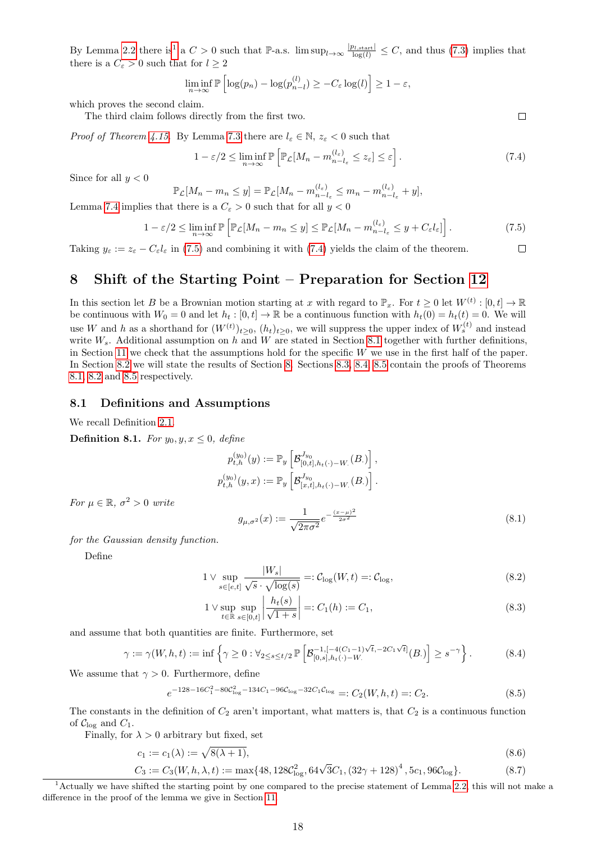By Lemma [2.2](#page-3-7) there is<sup>[1](#page-17-1)</sup> a  $C > 0$  such that P-a.s. lim sup<sub>l→∞</sub>  $\frac{|p_{l,\text{start}}|}{\log(l)} \leq C$ , and thus [\(7.3\)](#page-16-4) implies that there is a  $C_{\epsilon} > 0$  such that for  $l \geq 2$ 

$$
\liminf_{n \to \infty} \mathbb{P}\left[\log(p_n) - \log(p_{n-l}^{(l)}) \ge -C_{\varepsilon} \log(l)\right] \ge 1 - \varepsilon,
$$

which proves the second claim.

The third claim follows directly from the first two.

*Proof of Theorem [4.15.](#page-9-5)* By Lemma [7.3](#page-16-5) there are  $l_{\varepsilon} \in \mathbb{N}$ ,  $z_{\varepsilon} < 0$  such that

<span id="page-17-3"></span>
$$
1 - \varepsilon/2 \le \liminf_{n \to \infty} \mathbb{P}\left[\mathbb{P}_{\mathcal{L}}[M_n - m_{n-l_{\varepsilon}}^{(l_{\varepsilon})} \le z_{\varepsilon}] \le \varepsilon\right].\tag{7.4}
$$

Since for all  $y < 0$ 

$$
\mathbb{P}_{\mathcal{L}}[M_n - m_n \le y] = \mathbb{P}_{\mathcal{L}}[M_n - m_{n-l_{\varepsilon}}^{(l_{\varepsilon})} \le m_n - m_{n-l_{\varepsilon}}^{(l_{\varepsilon})} + y],
$$

Lemma [7.4](#page-16-6) implies that there is a  $C_{\epsilon} > 0$  such that for all  $y < 0$ 

<span id="page-17-2"></span>
$$
1 - \varepsilon/2 \le \liminf_{n \to \infty} \mathbb{P}\left[\mathbb{P}_{\mathcal{L}}[M_n - m_n \le y] \le \mathbb{P}_{\mathcal{L}}[M_n - m_{n-l_{\varepsilon}}^{(l_{\varepsilon})} \le y + C_{\varepsilon}l_{\varepsilon}]\right].
$$
\n(7.5)  
-  $C_{\varepsilon}l_{\varepsilon}$  in (7.5) and combining it with (7.4) yields the claim of the theorem.

Taking  $y_{\varepsilon} := z_{\varepsilon} - C_{\varepsilon} l_{\varepsilon}$  in [\(7.5\)](#page-17-2) and combining it with [\(7.4\)](#page-17-3) yields the claim of the theorem.

## <span id="page-17-0"></span>8 Shift of the Starting Point – Preparation for Section [12](#page-42-0)

In this section let B be a Brownian motion starting at x with regard to  $\mathbb{P}_x$ . For  $t \geq 0$  let  $W^{(t)} : [0, t] \to \mathbb{R}$ be continuous with  $W_0 = 0$  and let  $h_t : [0, t] \to \mathbb{R}$  be a continuous function with  $h_t(0) = h_t(t) = 0$ . We will use W and h as a shorthand for  $(W^{(t)})_{t\geq0}$ ,  $(h_t)_{t\geq0}$ , we will suppress the upper index of  $W_s^{(t)}$  and instead write  $W_s$ . Additional assumption on h and W are stated in Section [8.1](#page-17-4) together with further definitions, in Section [11](#page-38-0) we check that the assumptions hold for the specific  $W$  we use in the first half of the paper. In Section [8.2](#page-18-0) we will state the results of Section [8.](#page-17-0) Sections [8.3,](#page-18-1) [8.4,](#page-20-1) [8.5](#page-20-0) contain the proofs of Theorems [8.1,](#page-18-2) [8.2](#page-18-3) and [8.5](#page-20-0) respectively.

#### <span id="page-17-4"></span>8.1 Definitions and Assumptions

We recall Definition [2.1.](#page-2-4)

<span id="page-17-12"></span>**Definition 8.1.** For  $y_0, y, x \leq 0$ , define

$$
p_{t,h}^{(y_0)}(y) := \mathbb{P}_y \left[ \mathcal{B}_{[0,t],h_t(\cdot)-W_\cdot}^{J_{y_0}}(B_\cdot) \right],
$$
  

$$
p_{t,h}^{(y_0)}(y,x) := \mathbb{P}_y \left[ \mathcal{B}_{[x,t],h_t(\cdot)-W_\cdot}^{J_{y_0}}(B_\cdot) \right].
$$

For  $\mu \in \mathbb{R}, \sigma^2 > 0$  write

<span id="page-17-8"></span><span id="page-17-7"></span><span id="page-17-6"></span><span id="page-17-5"></span>
$$
g_{\mu,\sigma^2}(x) := \frac{1}{\sqrt{2\pi\sigma^2}} e^{-\frac{(x-\mu)^2}{2\sigma^2}} \tag{8.1}
$$

for the Gaussian density function.

Define

$$
1 \vee \sup_{s \in [e,t]} \frac{|W_s|}{\sqrt{s} \cdot \sqrt{\log(s)}} =: \mathcal{C}_{\log}(W,t) =: \mathcal{C}_{\log},\tag{8.2}
$$

<span id="page-17-11"></span><span id="page-17-10"></span><span id="page-17-9"></span>
$$
1 \vee \sup_{t \in \mathbb{R}} \sup_{s \in [0,t]} \left| \frac{h_t(s)}{\sqrt{1+s}} \right| =: C_1(h) := C_1,
$$
\n(8.3)

and assume that both quantities are finite. Furthermore, set

$$
\gamma := \gamma(W, h, t) := \inf \left\{ \gamma \ge 0 : \forall_{2 \le s \le t/2} \, \mathbb{P} \left[ \mathcal{B}_{[0, s], h_t(\cdot) - W}^{-1, [-4(C_1 - 1)\sqrt{t}, -2C_1\sqrt{t}]}(B) \right] \ge s^{-\gamma} \right\}.
$$
 (8.4)

We assume that  $\gamma > 0$ . Furthermore, define

$$
e^{-128-16C_1^2-80C_{\log}^2-134C_1-96C_{\log}-32C_1C_{\log}}=:C_2(W,h,t)=:C_2.
$$
\n(8.5)

The constants in the definition of  $C_2$  aren't important, what matters is, that  $C_2$  is a continuous function of  $\mathcal{C}_{\log}$  and  $C_1$ .

Finally, for  $\lambda > 0$  arbitrary but fixed, set

$$
c_1 := c_1(\lambda) := \sqrt{8(\lambda + 1)},\tag{8.6}
$$

$$
C_3 := C_3(W, h, \lambda, t) := \max\{48, 128\mathcal{C}_{\log}^2, 64\sqrt{3}C_1, (32\gamma + 128)^4, 5c_1, 96\mathcal{C}_{\log}\}.
$$
 (8.7)

<span id="page-17-1"></span><sup>&</sup>lt;sup>1</sup> Actually we have shifted the starting point by one compared to the precise statement of Lemma [2.2,](#page-3-7) this will not make a difference in the proof of the lemma we give in Section [11.](#page-38-0)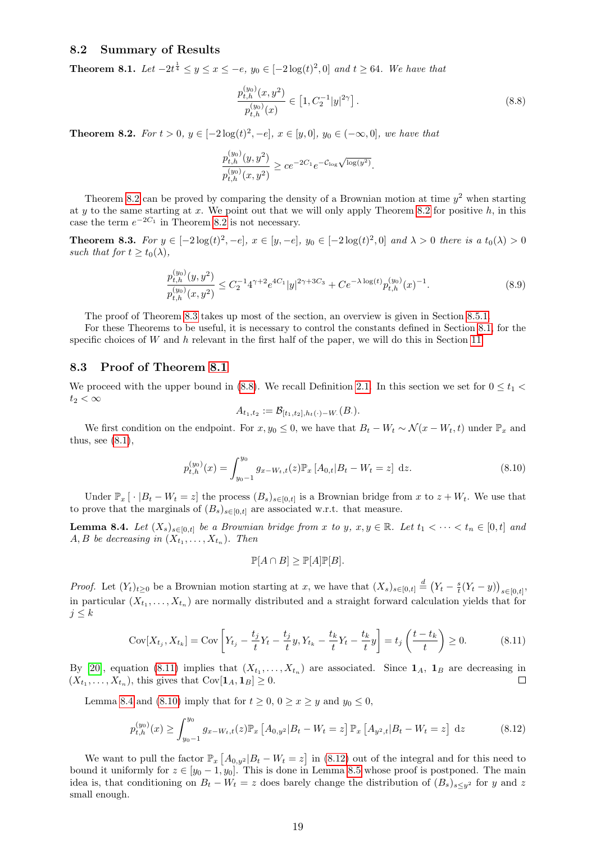#### <span id="page-18-0"></span>8.2 Summary of Results

<span id="page-18-2"></span>**Theorem 8.1.** Let  $-2t^{\frac{1}{4}} \leq y \leq x \leq -e$ ,  $y_0 \in [-2\log(t)^2, 0]$  and  $t \geq 64$ . We have that

<span id="page-18-5"></span>
$$
\frac{p_{t,h}^{(y_0)}(x,y^2)}{p_{t,h}^{(y_0)}(x)} \in \left[1, C_2^{-1}|y|^{2\gamma}\right].\tag{8.8}
$$

<span id="page-18-3"></span>**Theorem 8.2.** For  $t > 0$ ,  $y \in [-2\log(t)^2, -e]$ ,  $x \in [y, 0]$ ,  $y_0 \in (-\infty, 0]$ , we have that

$$
\frac{p_{t,h}^{(y_0)}(y,y^2)}{p_{t,h}^{(y_0)}(x,y^2)} \ge ce^{-2C_1}e^{-\mathcal{C}_{\log}\sqrt{\log(y^2)}}.
$$

Theorem [8.2](#page-18-3) can be proved by comparing the density of a Brownian motion at time  $y^2$  when starting at y to the same starting at x. We point out that we will only apply Theorem [8.2](#page-18-3) for positive  $h$ , in this case the term  $e^{-2C_1}$  in Theorem [8.2](#page-18-3) is not necessary.

<span id="page-18-4"></span>**Theorem 8.3.** For  $y \in [-2\log(t)^2, -e]$ ,  $x \in [y, -e]$ ,  $y_0 \in [-2\log(t)^2, 0]$  and  $\lambda > 0$  there is a  $t_0(\lambda) > 0$ such that for  $t \geq t_0(\lambda)$ ,

$$
\frac{p_{t,h}^{(y_0)}(y,y^2)}{p_{t,h}^{(y_0)}(x,y^2)} \le C_2^{-1} 4^{\gamma+2} e^{4C_1} |y|^{2\gamma+3C_3} + Ce^{-\lambda \log(t)} p_{t,h}^{(y_0)}(x)^{-1}.
$$
\n(8.9)

The proof of Theorem [8.3](#page-18-4) takes up most of the section, an overview is given in Section [8.5.1.](#page-20-2)

For these Theorems to be useful, it is necessary to control the constants defined in Section [8.1,](#page-17-4) for the specific choices of W and h relevant in the first half of the paper, we will do this in Section [11.](#page-38-0)

#### <span id="page-18-1"></span>8.3 Proof of Theorem [8.1](#page-18-2)

We proceed with the upper bound in [\(8.8\)](#page-18-5). We recall Definition [2.1.](#page-2-4) In this section we set for  $0 \le t_1$  <  $t_2 < \infty$ 

$$
A_{t_1,t_2} := \mathcal{B}_{[t_1,t_2],h_t(\cdot)-W_\cdot}(B_\cdot).
$$

We first condition on the endpoint. For  $x, y_0 \leq 0$ , we have that  $B_t - W_t \sim \mathcal{N}(x - W_t, t)$  under  $\mathbb{P}_x$  and thus, see  $(8.1)$ ,

$$
p_{t,h}^{(y_0)}(x) = \int_{y_0-1}^{y_0} g_{x-W_t,t}(z) \mathbb{P}_x \left[ A_{0,t} | B_t - W_t = z \right] \, \mathrm{d}z. \tag{8.10}
$$

Under  $\mathbb{P}_x[\cdot | B_t - W_t = z]$  the process  $(B_s)_{s \in [0,t]}$  is a Brownian bridge from x to  $z + W_t$ . We use that to prove that the marginals of  $(B_s)_{s\in[0,t]}$  are associated w.r.t. that measure.

<span id="page-18-7"></span>**Lemma 8.4.** Let  $(X_s)_{s\in[0,t]}$  be a Brownian bridge from x to y,  $x, y \in \mathbb{R}$ . Let  $t_1 < \cdots < t_n \in [0,t]$  and  $A, B$  be decreasing in  $(X_{t_1}, \ldots, X_{t_n})$ . Then

<span id="page-18-8"></span><span id="page-18-6"></span>
$$
\mathbb{P}[A \cap B] \ge \mathbb{P}[A]\mathbb{P}[B].
$$

*Proof.* Let  $(Y_t)_{t\geq0}$  be a Brownian motion starting at x, we have that  $(X_s)_{s\in[0,t]} \stackrel{d}{=} (Y_t - \frac{s}{t}(Y_t - y))_{s\in[0,t]},$ in particular  $(X_{t_1},...,X_{t_n})$  are normally distributed and a straight forward calculation yields that for  $j \leq k$ 

$$
Cov[X_{t_j}, X_{t_k}] = Cov\left[Y_{t_j} - \frac{t_j}{t}Y_t - \frac{t_j}{t}y, Y_{t_k} - \frac{t_k}{t}Y_t - \frac{t_k}{t}y\right] = t_j\left(\frac{t - t_k}{t}\right) \ge 0.
$$
 (8.11)

By [\[20\]](#page-49-3), equation [\(8.11\)](#page-18-6) implies that  $(X_{t_1},...,X_{t_n})$  are associated. Since  $\mathbf{1}_A$ ,  $\mathbf{1}_B$  are decreasing in  $(X_{t_1},\ldots,X_{t_n}),$  this gives that  $Cov[\mathbf{1}_A,\mathbf{1}_B]\geq 0.$ П

Lemma [8.4](#page-18-7) and [\(8.10\)](#page-18-8) imply that for  $t \geq 0$ ,  $0 \geq x \geq y$  and  $y_0 \leq 0$ ,

<span id="page-18-9"></span>
$$
p_{t,h}^{(y_0)}(x) \ge \int_{y_0-1}^{y_0} g_{x-W_t,t}(z) \mathbb{P}_x \left[ A_{0,y^2} | B_t - W_t = z \right] \mathbb{P}_x \left[ A_{y^2,t} | B_t - W_t = z \right] dz \tag{8.12}
$$

We want to pull the factor  $\mathbb{P}_x [A_{0,y^2} | B_t - W_t = z]$  in [\(8.12\)](#page-18-9) out of the integral and for this need to bound it uniformly for  $z \in [y_0 - 1, y_0]$ . This is done in Lemma [8.5](#page-19-0) whose proof is postponed. The main idea is, that conditioning on  $B_t - W_t = z$  does barely change the distribution of  $(B_s)_{s \le y^2}$  for y and z small enough.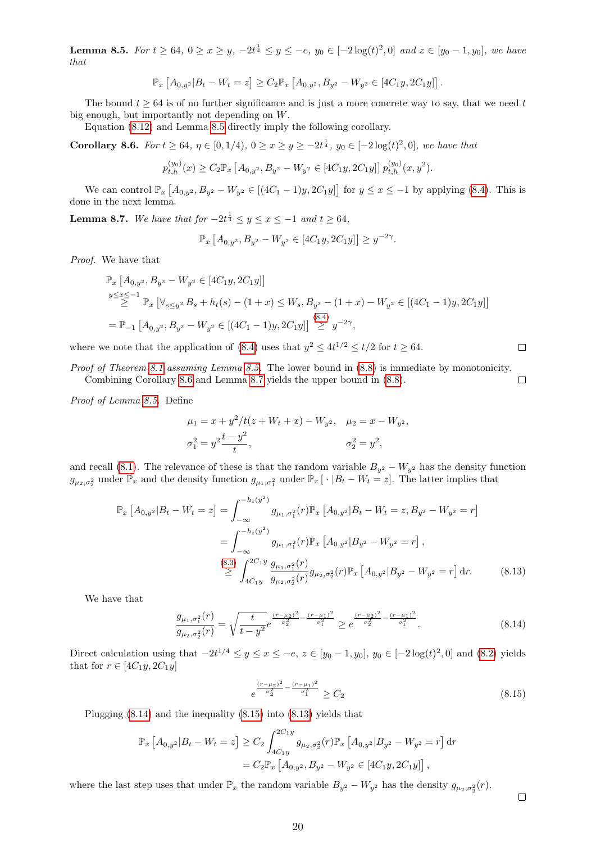<span id="page-19-0"></span>**Lemma 8.5.** For  $t \ge 64$ ,  $0 \ge x \ge y$ ,  $-2t^{\frac{1}{4}} \le y \le -e$ ,  $y_0 \in [-2\log(t)^2, 0]$  and  $z \in [y_0 - 1, y_0]$ , we have that

$$
\mathbb{P}_x \left[ A_{0,y^2} | B_t - W_t = z \right] \ge C_2 \mathbb{P}_x \left[ A_{0,y^2}, B_{y^2} - W_{y^2} \in [4C_1y, 2C_1y] \right].
$$

The bound  $t \geq 64$  is of no further significance and is just a more concrete way to say, that we need t big enough, but importantly not depending on W.

Equation [\(8.12\)](#page-18-9) and Lemma [8.5](#page-19-0) directly imply the following corollary.

<span id="page-19-1"></span>**Corollary 8.6.** For  $t \ge 64$ ,  $\eta \in [0, 1/4)$ ,  $0 \ge x \ge y \ge -2t^{\frac{1}{4}}$ ,  $y_0 \in [-2\log(t)^2, 0]$ , we have that

$$
p_{t,h}^{(y_0)}(x) \ge C_2 \mathbb{P}_x \left[ A_{0,y^2}, B_{y^2} - W_{y^2} \in [4C_1y, 2C_1y] \right] p_{t,h}^{(y_0)}(x, y^2).
$$

We can control  $\mathbb{P}_x [A_{0,y^2}, B_{y^2} - W_{y^2} \in [(4C_1 - 1)y, 2C_1y] ]$  for  $y \le x \le -1$  by applying [\(8.4\)](#page-17-6). This is done in the next lemma.

<span id="page-19-2"></span>**Lemma 8.7.** We have that for  $-2t^{\frac{1}{4}} \leq y \leq x \leq -1$  and  $t \geq 64$ ,

$$
\mathbb{P}_x \left[ A_{0,y^2}, B_{y^2} - W_{y^2} \in [4C_1y, 2C_1y] \right] \ge y^{-2\gamma}.
$$

Proof. We have that

$$
\mathbb{P}_x [A_{0,y^2}, B_{y^2} - W_{y^2} \in [4C_1y, 2C_1y]]
$$
  
\n
$$
\sum_{y \le x \le -1}^{y \le x \le -1} \mathbb{P}_x [\forall_{s \le y^2} B_s + h_t(s) - (1+x) \le W_s, B_{y^2} - (1+x) - W_{y^2} \in [(4C_1 - 1)y, 2C_1y]]
$$
  
\n
$$
= \mathbb{P}_{-1} [A_{0,y^2}, B_{y^2} - W_{y^2} \in [(4C_1 - 1)y, 2C_1y]] \stackrel{(8.4)}{\ge} y^{-2\gamma},
$$

where we note that the application of [\(8.4\)](#page-17-6) uses that  $y^2 \n\t\leq 4t^{1/2} \leq t/2$  for  $t \geq 64$ .

Proof of Theorem [8.1](#page-18-2) assuming Lemma [8.5.](#page-19-0) The lower bound in  $(8.8)$  is immediate by monotonicity. Combining Corollary [8.6](#page-19-1) and Lemma [8.7](#page-19-2) yields the upper bound in [\(8.8\)](#page-18-5).  $\Box$ 

Proof of Lemma [8.5.](#page-19-0) Define

$$
\mu_1 = x + y^2/t(z + W_t + x) - W_{y^2}, \quad \mu_2 = x - W_{y^2},
$$
  

$$
\sigma_1^2 = y^2 \frac{t - y^2}{t}, \qquad \sigma_2^2 = y^2,
$$

and recall [\(8.1\)](#page-17-5). The relevance of these is that the random variable  $B_{y^2} - W_{y^2}$  has the density function  $g_{\mu_2,\sigma_2^2}$  under  $\mathbb{P}_x$  and the density function  $g_{\mu_1,\sigma_1^2}$  under  $\mathbb{P}_x[\cdot|B_t-W_t=z]$ . The latter implies that

$$
\mathbb{P}_{x}\left[A_{0,y^{2}}|B_{t}-W_{t}=z\right] = \int_{-\infty}^{-h_{t}(y^{2})} g_{\mu_{1},\sigma_{1}^{2}}(r) \mathbb{P}_{x}\left[A_{0,y^{2}}|B_{t}-W_{t}=z,B_{y^{2}}-W_{y^{2}}=r\right]
$$
\n
$$
= \int_{-\infty}^{-h_{t}(y^{2})} g_{\mu_{1},\sigma_{1}^{2}}(r) \mathbb{P}_{x}\left[A_{0,y^{2}}|B_{y^{2}}-W_{y^{2}}=r\right],
$$
\n
$$
\stackrel{(8.3)}{\geq} \int_{4C_{1}y}^{2C_{1}y} \frac{g_{\mu_{1},\sigma_{1}^{2}}(r)}{g_{\mu_{2},\sigma_{2}^{2}}(r)} g_{\mu_{2},\sigma_{2}^{2}}(r) \mathbb{P}_{x}\left[A_{0,y^{2}}|B_{y^{2}}-W_{y^{2}}=r\right] dr.
$$
\n
$$
(8.13)
$$

We have that

$$
\frac{g_{\mu_1,\sigma_1^2}(r)}{g_{\mu_2,\sigma_2^2}(r)} = \sqrt{\frac{t}{t-y^2}} e^{\frac{(r-\mu_2)^2}{\sigma_2^2} - \frac{(r-\mu_1)^2}{\sigma_1^2}} \ge e^{\frac{(r-\mu_2)^2}{\sigma_2^2} - \frac{(r-\mu_1)^2}{\sigma_1^2}}.
$$
\n(8.14)

Direct calculation using that  $-2t^{1/4} \le y \le x \le -e$ ,  $z \in [y_0 - 1, y_0]$ ,  $y_0 \in [-2\log(t)^2, 0]$  and  $(8.2)$  yields that for  $r \in [4C_1y, 2C_1y]$ 

<span id="page-19-5"></span><span id="page-19-4"></span><span id="page-19-3"></span>
$$
e^{\frac{(r-\mu_2)^2}{\sigma_2^2} - \frac{(r-\mu_1)^2}{\sigma_1^2}} \ge C_2 \tag{8.15}
$$

Plugging [\(8.14\)](#page-19-3) and the inequality [\(8.15\)](#page-19-4) into [\(8.13\)](#page-19-5) yields that

$$
\mathbb{P}_x \left[ A_{0,y^2} | B_t - W_t = z \right] \ge C_2 \int_{4C_1y}^{2C_1y} g_{\mu_2, \sigma_2^2}(r) \mathbb{P}_x \left[ A_{0,y^2} | B_{y^2} - W_{y^2} = r \right] dr
$$
  
=  $C_2 \mathbb{P}_x \left[ A_{0,y^2}, B_{y^2} - W_{y^2} \in [4C_1y, 2C_1y] \right],$ 

where the last step uses that under  $\mathbb{P}_x$  the random variable  $B_{y^2} - W_{y^2}$  has the density  $g_{\mu_2,\sigma_2^2}(r)$ .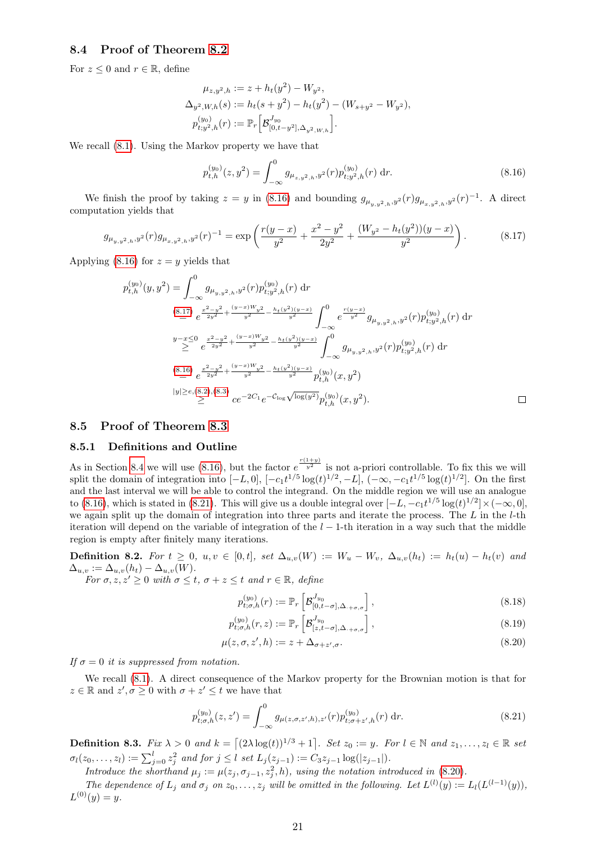#### <span id="page-20-1"></span>8.4 Proof of Theorem [8.2](#page-18-3)

For  $z \leq 0$  and  $r \in \mathbb{R}$ , define

$$
\mu_{z,y^2,h} := z + h_t(y^2) - W_{y^2},
$$
  
\n
$$
\Delta_{y^2,W,h}(s) := h_t(s + y^2) - h_t(y^2) - (W_{s+y^2} - W_{y^2}),
$$
  
\n
$$
p_{t;y^2,h}^{(y_0)}(r) := \mathbb{P}_r \Big[ \mathcal{B}_{[0,t-y^2],\Delta_{y^2,W,h}}^{J_{y_0}} \Big].
$$

We recall [\(8.1\)](#page-17-5). Using the Markov property we have that

<span id="page-20-3"></span>
$$
p_{t,h}^{(y_0)}(z,y^2) = \int_{-\infty}^0 g_{\mu_{z,y^2,h},y^2}(r) p_{t,y^2,h}^{(y_0)}(r) dr.
$$
 (8.16)

We finish the proof by taking  $z = y$  in [\(8.16\)](#page-20-3) and bounding  $g_{\mu_{y,y^2,h},y^2}(r)g_{\mu_{x,y^2,h},y^2}(r)^{-1}$ . A direct computation yields that

<span id="page-20-4"></span>
$$
g_{\mu_{y,y^2,h},y^2}(r)g_{\mu_{x,y^2,h},y^2}(r)^{-1} = \exp\left(\frac{r(y-x)}{y^2} + \frac{x^2 - y^2}{2y^2} + \frac{(W_{y^2} - h_t(y^2))(y-x)}{y^2}\right). \tag{8.17}
$$

Applying [\(8.16\)](#page-20-3) for  $z = y$  yields that

$$
p_{t,h}^{(y_0)}(y,y^2) = \int_{-\infty}^{0} g_{\mu_{y,y^2,h},y^2}(r) p_{t,y^2,h}^{(y_0)}(r) dr
$$
  
\n
$$
\stackrel{(8.17)}{=} e^{\frac{x^2-y^2}{2y^2} + \frac{(y-x)W_y^2}{y^2} - \frac{h_t(y^2)(y-x)}{y^2}} \int_{-\infty}^{0} e^{\frac{r(y-x)}{y^2}} g_{\mu_{y,y^2,h},y^2}(r) p_{t,y^2,h}^{(y_0)}(r) dr
$$
  
\n
$$
\stackrel{y-x \le 0}{\ge} e^{\frac{x^2-y^2}{2y^2} + \frac{(y-x)W_y^2}{y^2} - \frac{h_t(y^2)(y-x)}{y^2}} \int_{-\infty}^{0} g_{\mu_{y,y^2,h},y^2}(r) p_{t,y^2,h}^{(y_0)}(r) dr
$$
  
\n
$$
\stackrel{(8.16)}{=} e^{\frac{x^2-y^2}{2y^2} + \frac{(y-x)W_y^2}{y^2} - \frac{h_t(y^2)(y-x)}{y^2}} p_{t,h}^{(y_0)}(x,y^2)
$$
  
\n
$$
|y| \ge \epsilon, (8.2), (8.3) \quad ce^{-2C_1}e^{-C_{\log}\sqrt{\log(y^2)}} p_{t,h}^{(y_0)}(x,y^2).
$$

#### <span id="page-20-0"></span>8.5 Proof of Theorem [8.3](#page-18-4)

#### <span id="page-20-2"></span>8.5.1 Definitions and Outline

As in Section [8.4](#page-20-1) we will use [\(8.16\)](#page-20-3), but the factor  $e^{\frac{r(1+y)}{y^2}}$  is not a-priori controllable. To fix this we will split the domain of integration into  $[-L, 0]$ ,  $[-c_1t^{1/5}\log(t)^{1/2}, -L]$ ,  $(-\infty, -c_1t^{1/5}\log(t)^{1/2}]$ . On the first and the last interval we will be able to control the integrand. On the middle region we will use an analogue to [\(8.16\)](#page-20-3), which is stated in [\(8.21\)](#page-20-5). This will give us a double integral over  $[-L, -c_1t^{1/5}\log(t)^{1/2}] \times (-\infty, 0],$ we again split up the domain of integration into three parts and iterate the process. The  $L$  in the  $l$ -th iteration will depend on the variable of integration of the  $l-1$ -th iteration in a way such that the middle region is empty after finitely many iterations.

<span id="page-20-7"></span>Definition 8.2. For  $t \geq 0$ ,  $u, v \in [0, t]$ , set  $\Delta_{u,v}(W) := W_u - W_v$ ,  $\Delta_{u,v}(h_t) := h_t(u) - h_t(v)$  and  $\Delta_{u,v} := \Delta_{u,v}(h_t) - \Delta_{u,v}(W).$ 

For  $\sigma, z, z' \geq 0$  with  $\sigma \leq t$ ,  $\sigma + z \leq t$  and  $r \in \mathbb{R}$ , define

<span id="page-20-9"></span><span id="page-20-8"></span><span id="page-20-6"></span>
$$
p_{t,\sigma,h}^{(y_0)}(r) := \mathbb{P}_r \left[ \mathcal{B}_{[0,t-\sigma],\Delta_{\cdot+\sigma,\sigma}}^{J_{y_0}} \right],
$$
\n(8.18)

$$
p_{t; \sigma, h}^{(y_0)}(r, z) := \mathbb{P}_r \left[ \mathcal{B}_{[z, t-\sigma], \Delta_{\cdot + \sigma, \sigma}}^{J_{y_0}} \right],
$$
\n(8.19)

$$
\mu(z, \sigma, z', h) := z + \Delta_{\sigma + z', \sigma}.
$$
\n
$$
(8.20)
$$

If  $\sigma = 0$  it is suppressed from notation.

We recall [\(8.1\)](#page-17-5). A direct consequence of the Markov property for the Brownian motion is that for  $z \in \mathbb{R}$  and  $z', \sigma \geq 0$  with  $\sigma + z' \leq t$  we have that

<span id="page-20-5"></span>
$$
p_{t;\sigma,h}^{(y_0)}(z,z') = \int_{-\infty}^0 g_{\mu(z,\sigma,z',h),z'}(r) p_{t;\sigma+z',h}^{(y_0)}(r) dr.
$$
 (8.21)

<span id="page-20-10"></span>**Definition 8.3.** Fix  $\lambda > 0$  and  $k = \left[ (2\lambda \log(t))^{1/3} + 1 \right]$ . Set  $z_0 := y$ . For  $l \in \mathbb{N}$  and  $z_1, \ldots, z_l \in \mathbb{R}$  set  $\sigma_l(z_0,...,z_l) := \sum_{j=0}^l z_j^2$  and for  $j \leq l$  set  $L_j(z_{j-1}) := C_3 z_{j-1} \log(|z_{j-1}|)$ .

Introduce the shorthand  $\mu_j := \mu(z_j, \sigma_{j-1}, z_j^2, h)$ , using the notation introduced in [\(8.20\)](#page-20-6).

The dependence of  $L_j$  and  $\sigma_j$  on  $z_0, \ldots, z_j$  will be omitted in the following. Let  $L^{(l)}(y) := L_l(L^{(l-1)}(y)),$  $L^{(0)}(y) = y.$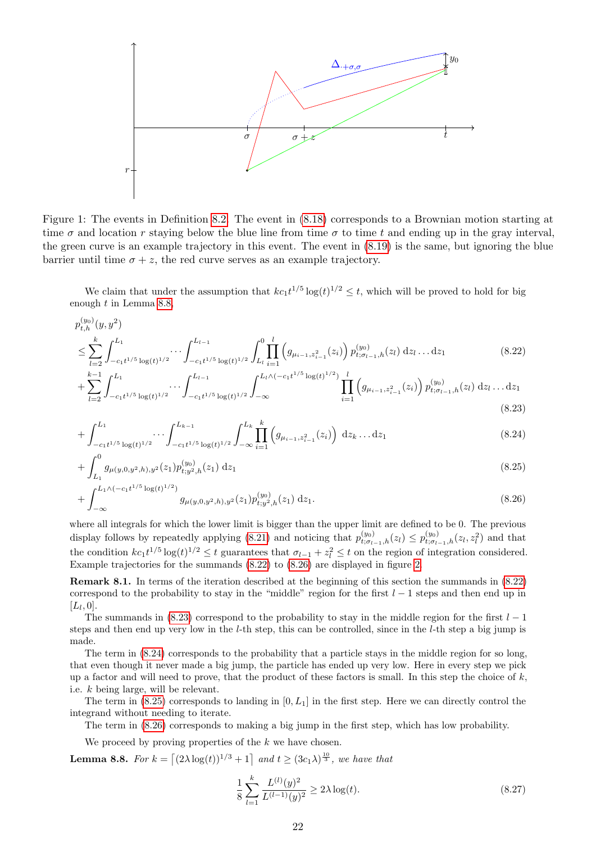

Figure 1: The events in Definition [8.2.](#page-20-7) The event in [\(8.18\)](#page-20-8) corresponds to a Brownian motion starting at time  $\sigma$  and location r staying below the blue line from time  $\sigma$  to time t and ending up in the gray interval, the green curve is an example trajectory in this event. The event in [\(8.19\)](#page-20-9) is the same, but ignoring the blue barrier until time  $\sigma + z$ , the red curve serves as an example trajectory.

We claim that under the assumption that  $k c_1 t^{1/5} \log(t)^{1/2} \leq t$ , which will be proved to hold for big enough t in Lemma [8.8,](#page-21-0)

$$
p_{t,h}^{(y_0)}(y,y^2)
$$
\n
$$
\leq \sum_{l=2}^k \int_{-c_1 t^{1/5} \log(t)^{1/2}}^{L_1} \cdots \int_{-c_1 t^{1/5} \log(t)^{1/2}}^{L_{l-1}} \int_{L_l}^0 \prod_{i=1}^l \left( g_{\mu_{i-1},z_{i-1}^2}(z_i) \right) p_{t; \sigma_{l-1},h}^{(y_0)}(z_l) \, dz_l \dots dz_1 \tag{8.22}
$$

<span id="page-21-1"></span>
$$
+\sum_{l=2}^{k-1} \int_{-c_1 t^{1/5} \log(t)^{1/2}}^{L_1} \cdots \int_{-c_1 t^{1/5} \log(t)^{1/2}}^{L_{l-1}} \int_{-\infty}^{L_l \wedge (-c_1 t^{1/5} \log(t)^{1/2})} \prod_{i=1}^l \left(g_{\mu_{i-1}, z_{i-1}^2}(z_i)\right) p_{t; \sigma_{l-1}, h}^{(y_0)}(z_l) \, \mathrm{d}z_l \dots \mathrm{d}z_1 \tag{8.23}
$$

<span id="page-21-4"></span><span id="page-21-3"></span>
$$
+\int_{-c_1t^{1/5}\log(t)^{1/2}}^{L_1}\cdots\int_{-c_1t^{1/5}\log(t)^{1/2}}^{L_{k-1}}\int_{-\infty}^{L_k}\prod_{i=1}^k\left(g_{\mu_{i-1},z_{i-1}^2}(z_i)\right)\,\mathrm{d}z_k\ldots\mathrm{d}z_1\tag{8.24}
$$

$$
+\int_{L_1}^0 g_{\mu(y,0,y^2,h),y^2}(z_1)p_{t;y^2,h}^{(y_0)}(z_1) dz_1
$$
\n(8.25)

$$
+\int_{-\infty}^{L_1 \wedge (-c_1 t^{1/5} \log(t)^{1/2})} g_{\mu(y,0,y^2,h),y^2}(z_1) p_{t,y^2,h}^{(y_0)}(z_1) dz_1.
$$
\n(8.26)

where all integrals for which the lower limit is bigger than the upper limit are defined to be 0. The previous display follows by repeatedly applying [\(8.21\)](#page-20-5) and noticing that  $p_{t; \sigma_{l-1},h}^{(y_0)}(z_l) \leq p_{t; \sigma_{l-1},h}^{(y_0)}(z_l, z_l^2)$  and that the condition  $kc_1t^{1/5}\log(t)^{1/2} \leq t$  guarantees that  $\sigma_{l-1} + z_l^2 \leq t$  on the region of integration considered. Example trajectories for the summands [\(8.22\)](#page-21-1) to [\(8.26\)](#page-21-2) are displayed in figure [2.](#page-22-0)

Remark 8.1. In terms of the iteration described at the beginning of this section the summands in [\(8.22\)](#page-21-1) correspond to the probability to stay in the "middle" region for the first  $l-1$  steps and then end up in  $[L_l, 0].$ 

The summands in [\(8.23\)](#page-21-3) correspond to the probability to stay in the middle region for the first  $l-1$ steps and then end up very low in the l-th step, this can be controlled, since in the l-th step a big jump is made.

The term in [\(8.24\)](#page-21-4) corresponds to the probability that a particle stays in the middle region for so long, that even though it never made a big jump, the particle has ended up very low. Here in every step we pick up a factor and will need to prove, that the product of these factors is small. In this step the choice of  $k$ , i.e. k being large, will be relevant.

The term in  $(8.25)$  corresponds to landing in  $[0, L<sub>1</sub>]$  in the first step. Here we can directly control the integrand without needing to iterate.

The term in [\(8.26\)](#page-21-2) corresponds to making a big jump in the first step, which has low probability.

We proceed by proving properties of the  $k$  we have chosen.

<span id="page-21-0"></span>**Lemma 8.8.** For  $k = \left[ (2\lambda \log(t))^{1/3} + 1 \right]$  and  $t \geq (3c_1\lambda)^{\frac{10}{3}}$ , we have that

<span id="page-21-6"></span><span id="page-21-5"></span><span id="page-21-2"></span>
$$
\frac{1}{8} \sum_{l=1}^{k} \frac{L^{(l)}(y)^2}{L^{(l-1)}(y)^2} \ge 2\lambda \log(t). \tag{8.27}
$$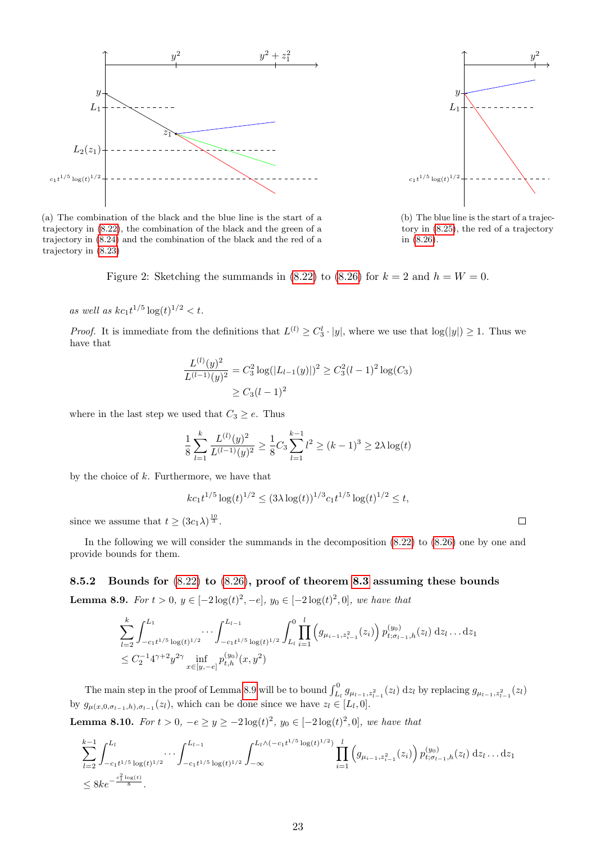

 $\iota$  $L_1$  $\hat{y}$ 2  $c_1t^{1/5}\log(t)^{1/2}$ 

(b) The blue line is the start of a trajectory in [\(8.25\)](#page-21-5), the red of a trajectory in [\(8.26\)](#page-21-2).

(a) The combination of the black and the blue line is the start of a trajectory in [\(8.22\)](#page-21-1), the combination of the black and the green of a trajectory in [\(8.24\)](#page-21-4) and the combination of the black and the red of a trajectory in [\(8.23\)](#page-21-3)

<span id="page-22-0"></span>Figure 2: Sketching the summands in [\(8.22\)](#page-21-1) to [\(8.26\)](#page-21-2) for  $k = 2$  and  $h = W = 0$ .

as well as  $kc_1t^{1/5}\log(t)^{1/2} < t$ .

*Proof.* It is immediate from the definitions that  $L^{(l)} \geq C_3^l \cdot |y|$ , where we use that  $\log(|y|) \geq 1$ . Thus we have that

$$
\frac{L^{(l)}(y)^2}{L^{(l-1)}(y)^2} = C_3^2 \log(|L_{l-1}(y)|)^2 \ge C_3^2 (l-1)^2 \log(C_3)
$$
  
 
$$
\ge C_3 (l-1)^2
$$

where in the last step we used that  $C_3 \ge e$ . Thus

$$
\frac{1}{8} \sum_{l=1}^{k} \frac{L^{(l)}(y)^2}{L^{(l-1)}(y)^2} \ge \frac{1}{8} C_3 \sum_{l=1}^{k-1} l^2 \ge (k-1)^3 \ge 2\lambda \log(t)
$$

by the choice of  $k$ . Furthermore, we have that

$$
kc_1t^{1/5}\log(t)^{1/2} \leq (3\lambda \log(t))^{1/3}c_1t^{1/5}\log(t)^{1/2} \leq t,
$$

since we assume that  $t \geq (3c_1\lambda)^{\frac{10}{3}}$ .

In the following we will consider the summands in the decomposition [\(8.22\)](#page-21-1) to [\(8.26\)](#page-21-2) one by one and provide bounds for them.

<span id="page-22-1"></span>8.5.2 Bounds for [\(8.22\)](#page-21-1) to [\(8.26\)](#page-21-2), proof of theorem [8.3](#page-18-4) assuming these bounds **Lemma 8.9.** For  $t > 0$ ,  $y \in [-2\log(t)^2, -e]$ ,  $y_0 \in [-2\log(t)^2, 0]$ , we have that

$$
\sum_{l=2}^{k} \int_{-c_1 t^{1/5} \log(t)^{1/2}}^{L_1} \cdots \int_{-c_1 t^{1/5} \log(t)^{1/2}}^{L_{l-1}} \int_{L_l}^{0} \prod_{i=1}^{l} (g_{\mu_{i-1}, z_{i-1}^2}(z_i)) p_{t; \sigma_{l-1}, h}^{(y_0)}(z_l) dz_l \dots dz_1
$$
  
 
$$
\leq C_2^{-1} 4^{\gamma+2} y^{2\gamma} \inf_{x \in [y, -e]} p_{t, h}^{(y_0)}(x, y^2)
$$

The main step in the proof of Lemma [8.9](#page-22-1) will be to bound  $\int_{L_l}^0 g_{\mu_{l-1},z_{l-1}^2}(z_l) dz_l$  by replacing  $g_{\mu_{l-1},z_{l-1}^2}(z_l)$ by  $g_{\mu(x,0,\sigma_{l-1},h),\sigma_{l-1}}(z_l)$ , which can be done since we have  $z_l \in [L_l,0]$ .

<span id="page-22-2"></span>**Lemma 8.10.** For  $t > 0$ ,  $-e \ge y \ge -2\log(t)^2$ ,  $y_0 \in [-2\log(t)^2, 0]$ , we have that

$$
\sum_{l=2}^{k-1} \int_{-c_1 t^{1/5} \log(t)^{1/2}}^{L_l} \cdots \int_{-c_1 t^{1/5} \log(t)^{1/2}}^{L_{l-1}} \int_{-\infty}^{L_l \wedge (-c_1 t^{1/5} \log(t)^{1/2})} \prod_{i=1}^l (g_{\mu_{i-1}, z_{i-1}^2}(z_i)) p_{t; \sigma_{l-1}, h}^{(y_0)}(z_l) \, dz_l \dots dz_1
$$
  

$$
\leq 8ke^{-\frac{c_1^2 \log(t)}{8}}.
$$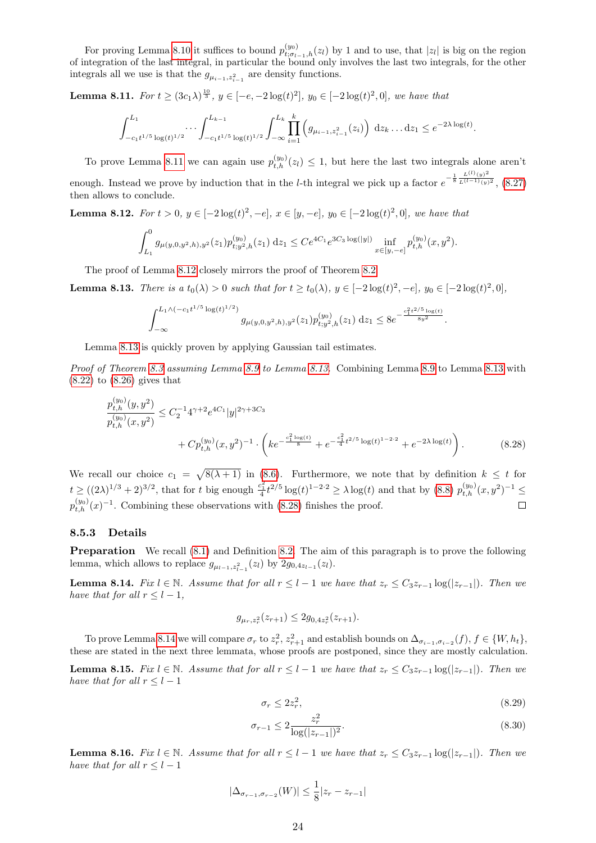For proving Lemma [8.10](#page-22-2) it suffices to bound  $p_{t; \sigma_{l-1}, h}^{(y_0)}(z_l)$  by 1 and to use, that  $|z_l|$  is big on the region of integration of the last integral, in particular the bound only involves the last two integrals, for the other integrals all we use is that the  $g_{\mu_{i-1},z_{i-1}^2}$  are density functions.

<span id="page-23-0"></span>**Lemma 8.11.** For  $t \ge (3c_1\lambda)^{\frac{10}{3}}$ ,  $y \in [-e, -2\log(t)^2]$ ,  $y_0 \in [-2\log(t)^2, 0]$ , we have that

$$
\int_{-c_1t^{1/5}\log(t)^{1/2}}^{L_1} \cdots \int_{-c_1t^{1/5}\log(t)^{1/2}}^{L_{k-1}} \int_{-\infty}^{L_k} \prod_{i=1}^k \left( g_{\mu_{i-1},z_{i-1}^2}(z_i) \right) \, \mathrm{d}z_k \ldots \mathrm{d}z_1 \le e^{-2\lambda \log(t)}.
$$

To prove Lemma [8.11](#page-23-0) we can again use  $p_{t,h}^{(y_0)}(z_l) \leq 1$ , but here the last two integrals alone aren't enough. Instead we prove by induction that in the *l*-th integral we pick up a factor  $e^{-\frac{1}{8} \frac{L^{(l)}(y)^2}{L^{(l-1)}(y)^2}}$ , [\(8.27\)](#page-21-6) then allows to conclude.

<span id="page-23-1"></span>**Lemma 8.12.** For  $t > 0$ ,  $y \in [-2\log(t)^2, -e]$ ,  $x \in [y, -e]$ ,  $y_0 \in [-2\log(t)^2, 0]$ , we have that

$$
\int_{L_1}^0 g_{\mu(y,0,y^2,h),y^2}(z_1) p_{t,y^2,h}^{(y_0)}(z_1) dz_1 \leq C e^{4C_1} e^{3C_3 \log(|y|)} \inf_{x \in [y,-e]} p_{t,h}^{(y_0)}(x,y^2).
$$

The proof of Lemma [8.12](#page-23-1) closely mirrors the proof of Theorem [8.2.](#page-18-3)

<span id="page-23-2"></span>**Lemma 8.13.** There is a  $t_0(\lambda) > 0$  such that for  $t \ge t_0(\lambda)$ ,  $y \in [-2\log(t)^2, -e]$ ,  $y_0 \in [-2\log(t)^2, 0]$ ,

$$
\int_{-\infty}^{L_1 \wedge (-c_1t^{1/5}\log(t)^{1/2})} g_{\mu(y,0,y^2,h),y^2}(z_1) p_{t;y^2,h}^{(y_0)}(z_1) dz_1 \leq 8e^{-\frac{c_1^2t^{2/5}\log(t)}{8y^2}}.
$$

Lemma [8.13](#page-23-2) is quickly proven by applying Gaussian tail estimates.

Proof of Theorem [8.3](#page-18-4) assuming Lemma [8.9](#page-22-1) to Lemma [8.13.](#page-23-2) Combining Lemma 8.9 to Lemma [8.13](#page-23-2) with [\(8.22\)](#page-21-1) to [\(8.26\)](#page-21-2) gives that

$$
\frac{p_{t,h}^{(y_0)}(y,y^2)}{p_{t,h}^{(y_0)}(x,y^2)} \leq C_2^{-1} 4^{\gamma+2} e^{4C_1} |y|^{2\gamma+3C_3} \n+ C p_{t,h}^{(y_0)}(x,y^2)^{-1} \cdot \left( k e^{-\frac{c_1^2 \log(t)}{8}} + e^{-\frac{c_1^2}{4} t^{2/5} \log(t)^{1-2\cdot 2}} + e^{-2\lambda \log(t)} \right).
$$
\n(8.28)

We recall our choice  $c_1 = \sqrt{8(\lambda + 1)}$  in [\(8.6\)](#page-17-9). Furthermore, we note that by definition  $k \leq t$  for  $t \geq ((2\lambda)^{1/3} + 2)^{3/2}$ , that for t big enough  $\frac{c_1^2}{4}t^{2/5}\log(t)^{1-2\cdot 2} \geq \lambda \log(t)$  and that by  $(8.8)$   $p_{t,h}^{(y_0)}(x, y^2)^{-1} \leq$  $p_{t,h}^{(y_0)}(x)^{-1}$ . Combining these observations with [\(8.28\)](#page-23-3) finishes the proof.  $\Box$ 

#### 8.5.3 Details

**Preparation** We recall  $(8.1)$  and Definition [8.2.](#page-20-7) The aim of this paragraph is to prove the following lemma, which allows to replace  $g_{\mu_{l-1},z_{l-1}}(z_l)$  by  $2g_{0,4z_{l-1}}(z_l)$ .

<span id="page-23-4"></span>**Lemma 8.14.** Fix  $l \in \mathbb{N}$ . Assume that for all  $r \leq l-1$  we have that  $z_r \leq C_3 z_{r-1} \log(|z_{r-1}|)$ . Then we have that for all  $r \leq l-1$ ,

<span id="page-23-3"></span>
$$
g_{\mu_r,z_r^2}(z_{r+1}) \le 2g_{0,4z_r^2}(z_{r+1}).
$$

To prove Lemma [8.14](#page-23-4) we will compare  $\sigma_r$  to  $z_r^2$ ,  $z_{r+1}^2$  and establish bounds on  $\Delta_{\sigma_{i-1},\sigma_{i-2}}(f), f \in \{W,h_t\}$ , these are stated in the next three lemmata, whose proofs are postponed, since they are mostly calculation.

<span id="page-23-6"></span>**Lemma 8.15.** Fix  $l \in \mathbb{N}$ . Assume that for all  $r \leq l-1$  we have that  $z_r \leq C_3 z_{r-1} \log(|z_{r-1}|)$ . Then we have that for all  $r \leq l-1$ 

<span id="page-23-8"></span><span id="page-23-7"></span>
$$
\sigma_r \le 2z_r^2,\tag{8.29}
$$

$$
\sigma_{r-1} \le 2 \frac{z_r^2}{\log(|z_{r-1}|)^2}.
$$
\n(8.30)

<span id="page-23-5"></span>**Lemma 8.16.** Fix  $l \in \mathbb{N}$ . Assume that for all  $r \leq l-1$  we have that  $z_r \leq C_3 z_{r-1} \log(|z_{r-1}|)$ . Then we have that for all  $r \leq l-1$ 

$$
|\Delta_{\sigma_{r-1}, \sigma_{r-2}}(W)| \le \frac{1}{8} |z_r - z_{r-1}|
$$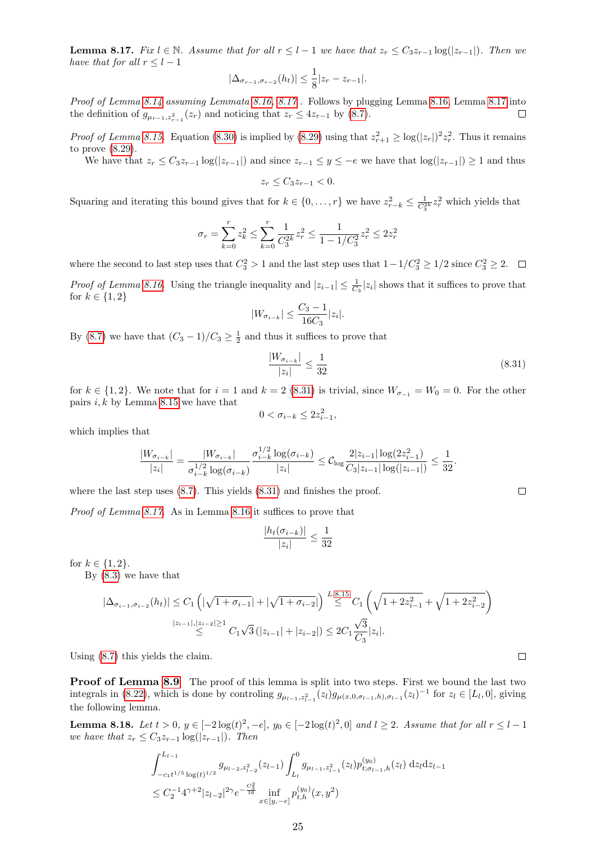<span id="page-24-0"></span>**Lemma 8.17.** Fix  $l \in \mathbb{N}$ . Assume that for all  $r < l-1$  we have that  $z_r < C_3z_{r-1} \log(|z_{r-1}|)$ . Then we have that for all  $r \leq l-1$ 

$$
|\Delta_{\sigma_{r-1}, \sigma_{r-2}}(h_t)| \leq \frac{1}{8} |z_r - z_{r-1}|.
$$

Proof of Lemma [8.14](#page-23-4) assuming Lemmata [8.16,](#page-23-5) [8.17](#page-24-0) . Follows by plugging Lemma [8.16,](#page-23-5) Lemma [8.17](#page-24-0) into the definition of  $g_{\mu_{r-1},z_{r-1}}(z_r)$  and noticing that  $z_r \leq 4z_{r-1}$  by [\(8.7\)](#page-17-10).  $\Box$ 

*Proof of Lemma [8.15.](#page-23-6)* Equation [\(8.30\)](#page-23-7) is implied by [\(8.29\)](#page-23-8) using that  $z_{r+1}^2 \geq \log(|z_r|)^2 z_r^2$ . Thus it remains to prove [\(8.29\)](#page-23-8).

We have that  $z_r \leq C_3 z_{r-1} \log(|z_{r-1}|)$  and since  $z_{r-1} \leq y \leq -e$  we have that  $\log(|z_{r-1}|) \geq 1$  and thus

$$
z_r \leq C_3 z_{r-1} < 0.
$$

Squaring and iterating this bound gives that for  $k \in \{0, \ldots, r\}$  we have  $z_{r-k}^2 \leq \frac{1}{C_3^{2k}} z_r^2$  which yields that

$$
\sigma_r = \sum_{k=0}^r z_k^2 \leq \sum_{k=0}^r \frac{1}{C_3^{2k}} z_r^2 \leq \frac{1}{1-1/C_3^2} z_r^2 \leq 2z_r^2
$$

where the second to last step uses that  $C_3^2 > 1$  and the last step uses that  $1 - 1/C_3^2 \ge 1/2$  since  $C_3^2 \ge 2$ . *Proof of Lemma [8.16.](#page-23-5)* Using the triangle inequality and  $|z_{i-1}| \leq \frac{1}{C_3} |z_i|$  shows that it suffices to prove that for  $k \in \{1, 2\}$ 

$$
|W_{\sigma_{i-k}}|\leq \frac{C_3-1}{16C_3}|z_i|.
$$

By [\(8.7\)](#page-17-10) we have that  $(C_3 - 1)/C_3 \ge \frac{1}{2}$  and thus it suffices to prove that

<span id="page-24-1"></span>
$$
\frac{|W_{\sigma_{i-k}}|}{|z_i|} \le \frac{1}{32} \tag{8.31}
$$

for  $k \in \{1, 2\}$ . We note that for  $i = 1$  and  $k = 2$  [\(8.31\)](#page-24-1) is trivial, since  $W_{\sigma_{-1}} = W_0 = 0$ . For the other pairs  $i, k$  by Lemma [8.15](#page-23-6) we have that

$$
0 < \sigma_{i-k} \leq 2z_{i-1}^2,
$$

which implies that

$$
\frac{|W_{\sigma_{i-k}}|}{|z_i|} = \frac{|W_{\sigma_{i-k}}|}{\sigma_{i-k}^{1/2} \log(\sigma_{i-k})} \frac{\sigma_{i-k}^{1/2} \log(\sigma_{i-k})}{|z_i|} \leq C_{\log} \frac{2|z_{i-1}| \log(2z_{i-1}^2)}{C_3|z_{i-1}| \log(|z_{i-1}|)} \leq \frac{1}{32}.
$$

where the last step uses  $(8.7)$ . This yields  $(8.31)$  and finishes the proof.

Proof of Lemma [8.17.](#page-24-0) As in Lemma [8.16](#page-23-5) it suffices to prove that

$$
\frac{|h_t(\sigma_{i-k})|}{|z_i|} \le \frac{1}{32}
$$

for  $k \in \{1, 2\}$ .

By [\(8.3\)](#page-17-7) we have that

$$
|\Delta_{\sigma_{i-1},\sigma_{i-2}}(h_t)| \le C_1 \left( |\sqrt{1+\sigma_{i-1}}| + |\sqrt{1+\sigma_{i-2}}| \right) \stackrel{L.8.15}{\le} C_1 \left( \sqrt{1+2z_{i-1}^2} + \sqrt{1+2z_{i-2}^2} \right)
$$
  

$$
\stackrel{|z_{i-1}|, |z_{i-2}| \ge 1}{\le} C_1 \sqrt{3} (|z_{i-1}| + |z_{i-2}|) \le 2C_1 \frac{\sqrt{3}}{C_3} |z_i|.
$$

Using [\(8.7\)](#page-17-10) this yields the claim.

**Proof of Lemma [8.9](#page-22-1)** The proof of this lemma is split into two steps. First we bound the last two integrals in [\(8.22\)](#page-21-1), which is done by controlling  $g_{\mu_{l-1},z_{l-1}^2}(z_l)g_{\mu(x,0,\sigma_{l-1},h),\sigma_{l-1}}(z_l)^{-1}$  for  $z_l \in [L_l,0]$ , giving the following lemma.

<span id="page-24-2"></span>**Lemma 8.18.** Let  $t > 0$ ,  $y \in [-2\log(t)^2, -e]$ ,  $y_0 \in [-2\log(t)^2, 0]$  and  $l \ge 2$ . Assume that for all  $r \le l - 1$ we have that  $z_r \leq C_3 z_{r-1} \log(|z_{r-1}|)$ . Then

$$
\int_{-c_1 t^{1/5} \log(t)^{1/2}}^{L_{l-1}} g_{\mu_{l-2}, z_{l-2}^2}(z_{l-1}) \int_{L_l}^0 g_{\mu_{l-1}, z_{l-1}^2}(z_l) p_{t; \sigma_{l-1}, h}^{(y_0)}(z_l) dz_l dz_{l-1}
$$
\n
$$
\leq C_2^{-1} 4^{\gamma+2} |z_{l-2}|^{2\gamma} e^{-\frac{C_3^2}{16}} \inf_{x \in [y, -e]} p_{t, h}^{(y_0)}(x, y^2)
$$

 $\Box$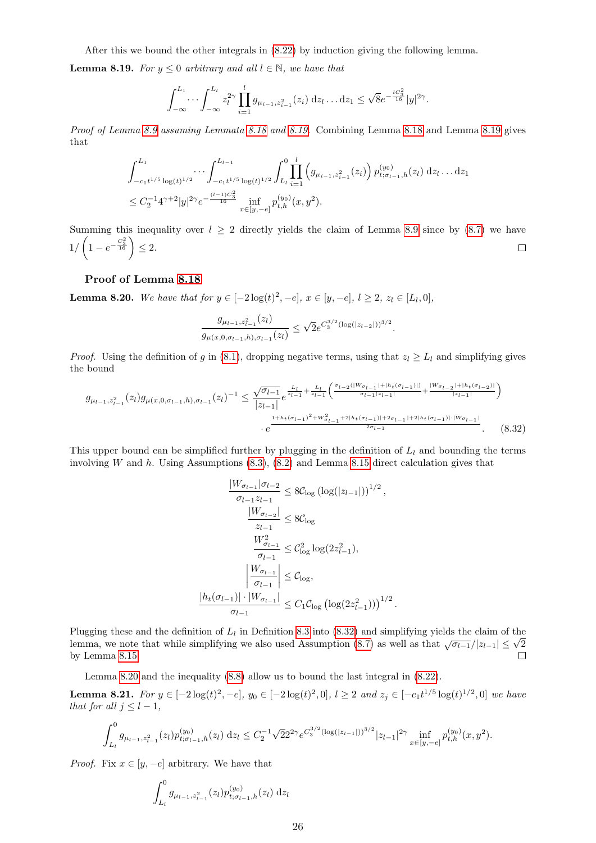After this we bound the other integrals in [\(8.22\)](#page-21-1) by induction giving the following lemma.

<span id="page-25-0"></span>**Lemma 8.19.** For  $y \le 0$  arbitrary and all  $l \in \mathbb{N}$ , we have that

$$
\int_{-\infty}^{L_1} \cdots \int_{-\infty}^{L_l} z_l^{2\gamma} \prod_{i=1}^l g_{\mu_{i-1}, z_{i-1}^2}(z_i) \, \mathrm{d}z_l \ldots \mathrm{d}z_1 \leq \sqrt{8} e^{-\frac{lC_3^2}{16}} |y|^{2\gamma}.
$$

Proof of Lemma [8.9](#page-22-1) assuming Lemmata [8.18](#page-24-2) and [8.19.](#page-25-0) Combining Lemma 8.18 and Lemma [8.19](#page-25-0) gives that

$$
\int_{-c_1 t^{1/5} \log(t)^{1/2}}^{L_1} \cdots \int_{-c_1 t^{1/5} \log(t)^{1/2}}^{L_{l-1}} \int_{L_l}^{0} \prod_{i=1}^l \left( g_{\mu_{i-1}, z_{i-1}^2}(z_i) \right) p_{t; \sigma_{l-1}, h}^{(y_0)}(z_l) dz_l \dots dz_1
$$
  

$$
\leq C_2^{-1} 4^{\gamma+2} |y|^{2\gamma} e^{-\frac{(l-1)C_3^2}{16}} \inf_{x \in [y, -e]} p_{t, h}^{(y_0)}(x, y^2).
$$

Summing this inequality over  $l \geq 2$  directly yields the claim of Lemma [8.9](#page-22-1) since by [\(8.7\)](#page-17-10) we have  $1/\left(1-e^{-\frac{C_3^2}{16}}\right) \leq 2.$  $\Box$ 

#### Proof of Lemma [8.18](#page-24-2)

<span id="page-25-2"></span>**Lemma 8.20.** We have that for  $y \in [-2\log(t)^2, -e]$ ,  $x \in [y, -e]$ ,  $l \ge 2$ ,  $z_l \in [L_l, 0]$ ,

$$
\frac{g_{\mu_{l-1},z_{l-1}^2}(z_l)}{g_{\mu(x,0,\sigma_{l-1},h),\sigma_{l-1}}(z_l)} \leq \sqrt{2}e^{C_3^{3/2}(\log(|z_{l-2}|))^{3/2}}.
$$

*Proof.* Using the definition of g in [\(8.1\)](#page-17-5), dropping negative terms, using that  $z_l \geq L_l$  and simplifying gives the bound

$$
g_{\mu_{l-1},z_{l-1}}(z_l)g_{\mu(x,0,\sigma_{l-1},h),\sigma_{l-1}}(z_l)^{-1} \leq \frac{\sqrt{\sigma_{l-1}}}{|z_{l-1}|}e^{\frac{L_l}{z_{l-1}} + \frac{L_l}{z_{l-1}}} \left(\frac{\sigma_{l-2}(|W\sigma_{l-1}| + |h_t(\sigma_{l-1})|)}{\sigma_{l-1}|z_{l-1}|} + \frac{|W\sigma_{l-2}| + |h_t(\sigma_{l-2})|}{|z_{l-1}|}\right)
$$

$$
\cdot e^{\frac{1 + h_t(\sigma_{l-1})^2 + W_{\sigma_{l-1}}^2 + 2|h_t(\sigma_{l-1})| + 2\sigma_{l-1}| + 2|h_t(\sigma_{l-1})| \cdot |W_{\sigma_{l-1}}|}{2\sigma_{l-1}}}.
$$
(8.32)

This upper bound can be simplified further by plugging in the definition of  $L_l$  and bounding the terms involving W and h. Using Assumptions  $(8.3)$ ,  $(8.2)$  and Lemma [8.15](#page-23-6) direct calculation gives that

<span id="page-25-1"></span>
$$
\frac{|W_{\sigma_{l-1}}|\sigma_{l-2}}{\sigma_{l-1}z_{l-1}} \leq 8C_{\log} (\log(|z_{l-1}|))^{1/2},
$$

$$
\frac{|W_{\sigma_{l-2}}|}{z_{l-1}} \leq 8C_{\log}
$$

$$
\frac{W_{\sigma_{l-1}}^2}{\sigma_{l-1}} \leq C_{\log}^2 \log(2z_{l-1}^2),
$$

$$
\left|\frac{W_{\sigma_{l-1}}}{\sigma_{l-1}}\right| \leq C_{\log},
$$

$$
\frac{|h_t(\sigma_{l-1})| \cdot |W_{\sigma_{l-1}}|}{\sigma_{l-1}} \leq C_1 C_{\log} (\log(2z_{l-1}^2)))^{1/2}.
$$

Plugging these and the definition of  $L_l$  in Definition [8.3](#page-20-10) into [\(8.32\)](#page-25-1) and simplifying yields the claim of the Plugging these and the definition of  $L_l$  in Definition 8.3 into (8.32) and simplifying yields the claim of the lemma, we note that while simplifying we also used Assumption [\(8.7\)](#page-17-10) as well as that  $\sqrt{\sigma_{l-1}}/|z_{l-1}| \leq \sqrt{2$  $\Box$ by Lemma [8.15.](#page-23-6)

Lemma [8.20](#page-25-2) and the inequality [\(8.8\)](#page-18-5) allow us to bound the last integral in [\(8.22\)](#page-21-1).

<span id="page-25-3"></span>**Lemma 8.21.** For  $y \in [-2\log(t)^2, -e]$ ,  $y_0 \in [-2\log(t)^2, 0]$ ,  $l \ge 2$  and  $z_j \in [-c_1t^{1/5}\log(t)^{1/2}, 0]$  we have that for all  $j \leq l-1$ ,

$$
\int_{L_l}^0 g_{\mu_{l-1},z_{l-1}^2}(z_l) p_{t;\sigma_{l-1},h}^{(y_0)}(z_l) \, \mathrm{d}z_l \leq C_2^{-1} \sqrt{2} 2^{2\gamma} e^{C_3^{3/2} (\log(|z_{l-1}|))^{3/2}} |z_{l-1}|^{2\gamma} \inf_{x \in [y,-e]} p_{t,h}^{(y_0)}(x,y^2).
$$

*Proof.* Fix  $x \in [y, -e]$  arbitrary. We have that

$$
\int_{L_l}^0 g_{\mu_{l-1},z_{l-1}^2}(z_l) p_{t;\sigma_{l-1},h}^{(y_0)}(z_l) \,dz_l
$$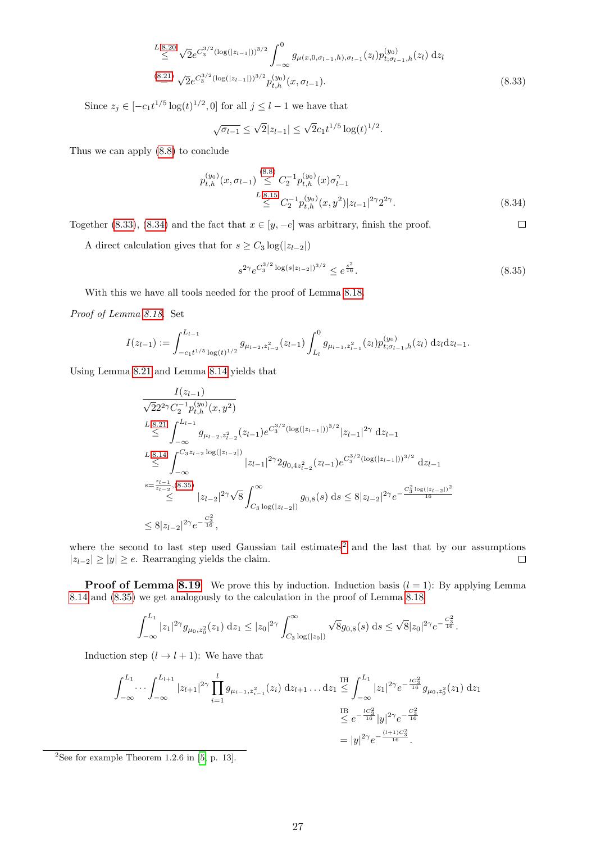$$
\overset{L.8.20}{\leq} \sqrt{2}e^{C_3^{3/2}(\log(|z_{l-1}|))^{3/2}} \int_{-\infty}^0 g_{\mu(x,0,\sigma_{l-1},h),\sigma_{l-1}}(z_l) p_{t;\sigma_{l-1},h}^{(y_0)}(z_l) dz_l
$$
\n
$$
\overset{(8.21)}{\leq} \sqrt{2}e^{C_3^{3/2}(\log(|z_{l-1}|))^{3/2}} p_{t,h}^{(y_0)}(x,\sigma_{l-1}).
$$
\n
$$
(8.33)
$$

Since  $z_j \in [-c_1 t^{1/5} \log(t)^{1/2}, 0]$  for all  $j \leq l-1$  we have that

$$
\sqrt{\sigma_{l-1}} \le \sqrt{2}|z_{l-1}| \le \sqrt{2}c_1t^{1/5}\log(t)^{1/2}.
$$

Thus we can apply [\(8.8\)](#page-18-5) to conclude

$$
p_{t,h}^{(y_0)}(x, \sigma_{l-1}) \stackrel{(8.8)}{\leq} C_2^{-1} p_{t,h}^{(y_0)}(x) \sigma_{l-1}^{\gamma}
$$
  
*L.8.15*  

$$
\leq C_2^{-1} p_{t,h}^{(y_0)}(x, y^2) |z_{l-1}|^{2\gamma} 2^{2\gamma}.
$$
 (8.34)

Together [\(8.33\)](#page-26-0), [\(8.34\)](#page-26-1) and the fact that  $x \in [y, -e]$  was arbitrary, finish the proof.

A direct calculation gives that for  $s \geq C_3 \log(|z_{l-2}|)$ 

<span id="page-26-2"></span>
$$
s^{2\gamma} e^{C_3^{3/2} \log(s|z_{l-2}|)^{3/2}} \le e^{\frac{s^2}{16}}.
$$
\n(8.35)

<span id="page-26-1"></span><span id="page-26-0"></span> $\Box$ 

With this we have all tools needed for the proof of Lemma [8.18.](#page-24-2)

Proof of Lemma [8.18.](#page-24-2) Set

$$
I(z_{l-1}) := \int_{-c_1 t^{1/5} \log(t)^{1/2}}^{L_{l-1}} g_{\mu_{l-2}, z_{l-2}^2}(z_{l-1}) \int_{L_l}^0 g_{\mu_{l-1}, z_{l-1}^2}(z_l) p_{t; \sigma_{l-1}, h}^{(y_0)}(z_l) \,dz_l dz_{l-1}.
$$

Using Lemma [8.21](#page-25-3) and Lemma [8.14](#page-23-4) yields that

$$
\frac{I(z_{l-1})}{\sqrt{2}2^{2\gamma}C_{2}^{-1}p_{t,h}^{(y_{0})}(x,y^{2})}
$$
\n
$$
\leq \int_{-\infty}^{L_{s}^{2}} g_{\mu_{l-2},z_{l-2}^{2}}(z_{l-1})e^{C_{3}^{3/2}(\log(|z_{l-1}|))^{3/2}}|z_{l-1}|^{2\gamma} dz_{l-1}
$$
\n
$$
\leq \int_{-\infty}^{L_{s}^{2}} \int_{-\infty}^{C_{3}z_{l-2}\log(|z_{l-2}|)} |z_{l-1}|^{2\gamma} 2g_{0,4z_{l-2}^{2}}(z_{l-1})e^{C_{3}^{3/2}(\log(|z_{l-1}|))^{3/2}} dz_{l-1}
$$
\n
$$
s=\frac{z_{l-1}}{z_{l-2}}, (8.35)
$$
\n
$$
\leq |z_{l-2}|^{2\gamma}\sqrt{8}\int_{C_{3}\log(|z_{l-2}|)}^{\infty} g_{0,8}(s) ds \leq 8|z_{l-2}|^{2\gamma}e^{-\frac{C_{3}^{2}\log(|z_{l-2}|)^{2}}{16}}
$$
\n
$$
\leq 8|z_{l-2}|^{2\gamma}e^{-\frac{C_{3}^{2}}{16}},
$$

where the second to last step used Gaussian tail estimates<sup>[2](#page-26-3)</sup> and the last that by our assumptions  $|z_{l-2}| \ge |y| \ge e$ . Rearranging yields the claim.  $\Box$ 

**Proof of Lemma [8.19](#page-25-0)** We prove this by induction. Induction basis  $(l = 1)$ : By applying Lemma [8.14](#page-23-4) and [\(8.35\)](#page-26-2) we get analogously to the calculation in the proof of Lemma [8.18](#page-24-2)

$$
\int_{-\infty}^{L_1} |z_1|^{2\gamma} g_{\mu_0, z_0^2}(z_1) dz_1 \leq |z_0|^{2\gamma} \int_{C_3}^{\infty} \sqrt{8} g_{0,8}(s) ds \leq \sqrt{8}|z_0|^{2\gamma} e^{-\frac{C_3^2}{16}}.
$$

Induction step  $(l \rightarrow l + 1)$ : We have that

$$
\int_{-\infty}^{L_1} \cdots \int_{-\infty}^{L_{l+1}} |z_{l+1}|^{2\gamma} \prod_{i=1}^l g_{\mu_{i-1},z_{i-1}^2}(z_i) dz_{l+1} \dots dz_1 \leq \int_{-\infty}^{H} |z_1|^{2\gamma} e^{-\frac{tC_3^2}{16}} g_{\mu_0,z_0^2}(z_1) dz_1
$$

$$
\stackrel{\text{IB}}{\leq} e^{-\frac{tC_3^2}{16}} |y|^{2\gamma} e^{-\frac{C_3^2}{16}}
$$

$$
= |y|^{2\gamma} e^{-\frac{(l+1)C_3^2}{16}}.
$$

<span id="page-26-3"></span><sup>2</sup>See for example Theorem 1.2.6 in  $[5, p. 13]$  $[5, p. 13]$ .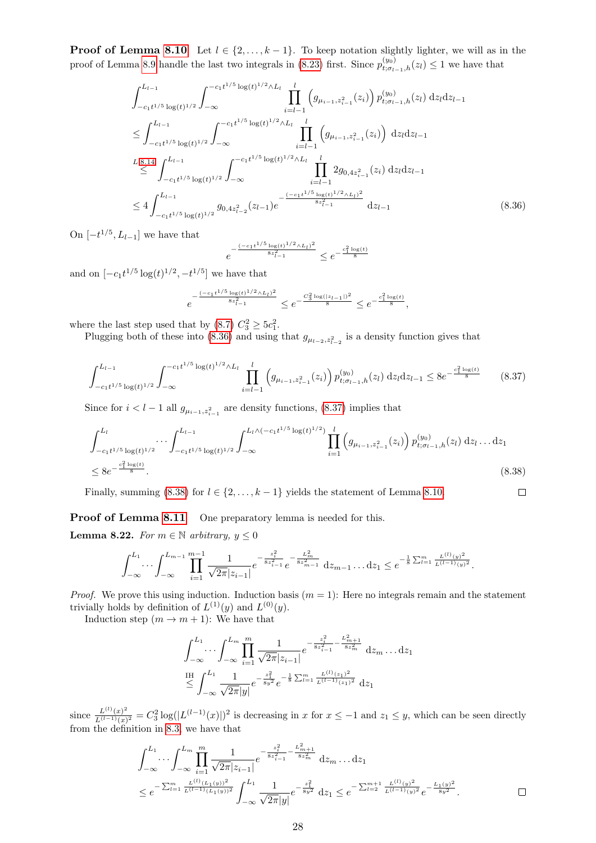**Proof of Lemma [8.10](#page-22-2)** Let  $l \in \{2, ..., k-1\}$ . To keep notation slightly lighter, we will as in the proof of Lemma [8.9](#page-22-1) handle the last two integrals in [\(8.23\)](#page-21-3) first. Since  $p_{t; \sigma_{l-1}, h}^{(y_0)}(z_l) \leq 1$  we have that

$$
\int_{-c_1 t^{1/5} \log(t)^{1/2}}^{L_{l-1}} \int_{-\infty}^{-c_1 t^{1/5} \log(t)^{1/2} \wedge L_l} \prod_{i=l-1}^{l} \left( g_{\mu_{i-1}, z_{i-1}^2}(z_i) \right) p_{t; \sigma_{l-1}, h}^{(y_0)}(z_l) \, dz_l dz_{l-1}
$$
\n
$$
\leq \int_{-c_1 t^{1/5} \log(t)^{1/2}}^{L_{l-1}} \int_{-\infty}^{-c_1 t^{1/5} \log(t)^{1/2} \wedge L_l} \prod_{i=l-1}^{l} \left( g_{\mu_{i-1}, z_{i-1}^2}(z_i) \right) \, dz_l dz_{l-1}
$$
\n
$$
\leq \int_{-c_1 t^{1/5} \log(t)^{1/2}}^{L_{l-1}} \int_{-\infty}^{-c_1 t^{1/5} \log(t)^{1/2} \wedge L_l} \prod_{i=l-1}^{l} 2g_{0, 4z_{i-1}^2}(z_i) \, dz_l dz_{l-1}
$$
\n
$$
\leq 4 \int_{-c_1 t^{1/5} \log(t)^{1/2}}^{L_{l-1}} g_{0, 4z_{l-2}^2}(z_{l-1}) e^{-\frac{(-c_1 t^{1/5} \log(t)^{1/2} \wedge L_l)^2}{8z_{l-1}^2}} dz_{l-1}
$$
\n
$$
(8.36)
$$

On  $[-t^{1/5}, L_{l-1}]$  we have that

<span id="page-27-2"></span><span id="page-27-1"></span><span id="page-27-0"></span>
$$
e^{-\frac{(-c_1t^{1/5}\log(t)^{1/2}\wedge L_l)^2}{8z_{l-1}^2}}\leq e^{-\frac{c_1^2\log(t)}{8}}
$$

and on  $[-c_1t^{1/5}\log(t)^{1/2}, -t^{1/5}]$  we have that

$$
e^{-\frac{(-c_1t^{1/5}\log(t)^{1/2}\wedge L_l)^2}{8z_{l-1}^2}} \le e^{-\frac{C_3^2\log(|z_{l-1}|)^2}{8}} \le e^{-\frac{c_1^2\log(t)}{8}},
$$

where the last step used that by  $(8.7) C_3^2 \geq 5c_1^2$ .

Plugging both of these into [\(8.36\)](#page-27-0) and using that  $g_{\mu_{l-2},z_{l-2}^2}$  is a density function gives that

$$
\int_{-c_1 t^{1/5} \log(t)^{1/2}}^{L_{l-1}} \int_{-\infty}^{-c_1 t^{1/5} \log(t)^{1/2} \wedge L_l} \prod_{i=l-1}^l \left( g_{\mu_{i-1}, z_{i-1}^2}(z_i) \right) p_{t; \sigma_{l-1}, h}^{(y_0)}(z_l) \, \mathrm{d}z_l \mathrm{d}z_{l-1} \leq 8 e^{-\frac{c_1^2 \log(t)}{8}} \tag{8.37}
$$

Since for  $i < l-1$  all  $g_{\mu_{i-1},z_{i-1}^2}$  are density functions, [\(8.37\)](#page-27-1) implies that

$$
\int_{-c_1 t^{1/5} \log(t)^{1/2}}^{L_l} \cdots \int_{-c_1 t^{1/5} \log(t)^{1/2}}^{L_{l-1}} \int_{-\infty}^{L_l \wedge (-c_1 t^{1/5} \log(t)^{1/2})} \prod_{i=1}^l \left( g_{\mu_{i-1}, z_{i-1}^2}(z_i) \right) p_{t; \sigma_{l-1}, h}^{(y_0)}(z_l) \, dz_l \dots dz_1
$$
\n
$$
\leq 8e^{-\frac{c_1^2 \log(t)}{8}}.
$$
\n
$$
(8.38)
$$

Finally, summing [\(8.38\)](#page-27-2) for  $l \in \{2, \ldots, k-1\}$  yields the statement of Lemma [8.10.](#page-22-2)  $\Box$ 

**Proof of Lemma [8.11](#page-23-0)** One preparatory lemma is needed for this.

<span id="page-27-3"></span>Lemma 8.22. For  $m \in \mathbb{N}$  arbitrary,  $y \leq 0$ 

$$
\int_{-\infty}^{L_1} \cdots \int_{-\infty}^{L_{m-1}} \prod_{i=1}^{m-1} \frac{1}{\sqrt{2\pi} |z_{i-1}|} e^{-\frac{z_i^2}{8z_{i-1}^2}} e^{-\frac{L_m^2}{8z_{m-1}^2}} \, \mathrm{d}z_{m-1} \dots \mathrm{d}z_1 \leq e^{-\frac{1}{8} \sum_{l=1}^m \frac{L^{(l)}(y)^2}{L^{(l-1)}(y)^2}}.
$$

*Proof.* We prove this using induction. Induction basis  $(m = 1)$ : Here no integrals remain and the statement trivially holds by definition of  $L^{(1)}(y)$  and  $L^{(0)}(y)$ .

Induction step  $(m \to m + 1)$ : We have that

$$
\int_{-\infty}^{L_1} \cdots \int_{-\infty}^{L_m} \prod_{i=1}^m \frac{1}{\sqrt{2\pi} |z_{i-1}|} e^{-\frac{z_i^2}{8z_{i-1}^2} - \frac{L_{m+1}^2}{8z_m^2}} dz_m \dots dz_1
$$
  

$$
\stackrel{\text{IH}}{\leq} \int_{-\infty}^{L_1} \frac{1}{\sqrt{2\pi} |y|} e^{-\frac{z_1^2}{8y^2}} e^{-\frac{1}{8} \sum_{l=1}^m \frac{L^{(l)}(z_1)^2}{L^{(l-1)}(z_1)^2}} dz_1
$$

since  $\frac{L^{(l)}(x)^2}{L^{(l-1)}(x)}$  $\frac{L^{(i)}(x)^2}{L^{(i-1)}(x)^2} = C_3^2 \log(|L^{(i-1)}(x)|)^2$  is decreasing in x for  $x \leq -1$  and  $z_1 \leq y$ , which can be seen directly from the definition in [8.3,](#page-20-10) we have that

$$
\int_{-\infty}^{L_1} \cdots \int_{-\infty}^{L_m} \prod_{i=1}^m \frac{1}{\sqrt{2\pi} |z_{i-1}|} e^{-\frac{z_i^2}{8z_{i-1}^2} - \frac{L_m^2 + 1}{8z_m^2}} dz_m \cdots dz_1
$$
\n
$$
\leq e^{-\sum_{l=1}^m \frac{L^{(l)}(L_1(y))^2}{L^{(l-1)}(L_1(y))^2}} \int_{-\infty}^{L_1} \frac{1}{\sqrt{2\pi} |y|} e^{-\frac{z_1^2}{8y^2}} dz_1 \leq e^{-\sum_{l=2}^{m+1} \frac{L^{(l)}(y)^2}{L^{(l-1)}(y)^2}} e^{-\frac{L_1(y)^2}{8y^2}}.
$$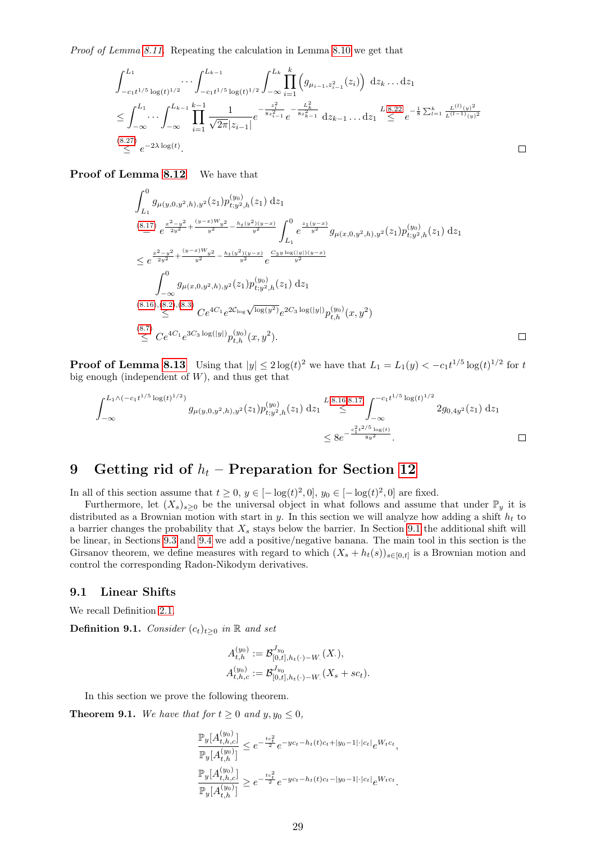Proof of Lemma [8.11.](#page-23-0) Repeating the calculation in Lemma [8.10](#page-22-2) we get that

$$
\int_{-c_1 t^{1/5} \log(t)^{1/2}}^{L_1} \cdots \int_{-c_1 t^{1/5} \log(t)^{1/2}}^{L_{k-1}} \int_{-\infty}^{L_k} \prod_{i=1}^k \left( g_{\mu_{i-1}, z_{i-1}^2}(z_i) \right) dz_k \dots dz_1
$$
\n
$$
\leq \int_{-\infty}^{L_1} \cdots \int_{-\infty}^{L_{k-1}} \prod_{i=1}^{k-1} \frac{1}{\sqrt{2\pi} |z_{i-1}|} e^{-\frac{z_i^2}{8z_{i-1}^2}} e^{-\frac{L_k^2}{8z_{k-1}^2}} dz_{k-1} \dots dz_1 \leq e^{-\frac{1}{8} \sum_{i=1}^k \frac{L^{(i)}(y)^2}{L^{(i-1)}(y)^2}}
$$
\n
$$
\leq e^{-2\lambda \log(t)}.
$$
\n(8.27)  $e^{-2\lambda \log(t)}$ .

Proof of Lemma [8.12](#page-23-1) We have that

$$
\int_{L_1}^{0} g_{\mu(y,0,y^2,h),y^2}(z_1) p_{t,y^2,h}^{(y_0)}(z_1) dz_1
$$
\n
$$
\stackrel{(8.17)}{=} e^{\frac{x^2-y^2}{2y^2} + \frac{(y-x)W_{y^2}}{y^2} - \frac{h_t(y^2)(y-x)}{y^2}} \int_{L_1}^{0} e^{\frac{z_1(y-x)}{y^2}} g_{\mu(x,0,y^2,h),y^2}(z_1) p_{t,y^2,h}^{(y_0)}(z_1) dz_1
$$
\n
$$
\leq e^{\frac{x^2-y^2}{2y^2} + \frac{(y-x)W_{y^2}}{y^2} - \frac{h_t(y^2)(y-x)}{y^2}} e^{\frac{C_3y \log(|y|)(y-x)}{y^2}}
$$
\n
$$
\int_{-\infty}^{0} g_{\mu(x,0,y^2,h),y^2}(z_1) p_{t,y^2,h}^{(y_0)}(z_1) dz_1
$$
\n
$$
\stackrel{(8.16),(8.2),(8.3)}{\leq} C e^{4C_1} e^{2C_{\log} \sqrt{\log(y^2)}} e^{2C_3 \log(|y|)} p_{t,h}^{(y_0)}(x,y^2)
$$
\n
$$
\stackrel{(8.7)}{\leq} C e^{4C_1} e^{3C_3 \log(|y|)} p_{t,h}^{(y_0)}(x,y^2).
$$

 $\Box$ 

**Proof of Lemma [8.13](#page-23-2)** Using that  $|y| \leq 2 \log(t)^2$  we have that  $L_1 = L_1(y) < -c_1 t^{1/5} \log(t)^{1/2}$  for t big enough (independent of  $W$ ), and thus get that

$$
\int_{-\infty}^{L_1 \wedge (-c_1 t^{1/5} \log(t)^{1/2})} g_{\mu(y,0,y^2,h),y^2}(z_1) p_{t;y^2,h}^{(y_0)}(z_1) dz_1 \stackrel{L.8.16,8.17}{\leq} \int_{-\infty}^{-c_1 t^{1/5} \log(t)^{1/2}} 2g_{0,4y^2}(z_1) dz_1
$$
  

$$
\leq 8e^{-\frac{c_1^2 t^{2/5} \log(t)}{8y^2}}.
$$

## <span id="page-28-0"></span>9 Getting rid of  $h_t$  – Preparation for Section [12](#page-42-0)

In all of this section assume that  $t \geq 0$ ,  $y \in [-\log(t)^2, 0]$ ,  $y_0 \in [-\log(t)^2, 0]$  are fixed.

Furthermore, let  $(X_s)_{s>0}$  be the universal object in what follows and assume that under  $\mathbb{P}_y$  it is distributed as a Brownian motion with start in y. In this section we will analyze how adding a shift  $h_t$  to a barrier changes the probability that  $X_s$  stays below the barrier. In Section [9.1](#page-28-1) the additional shift will be linear, in Sections [9.3](#page-30-0) and [9.4](#page-34-0) we add a positive/negative banana. The main tool in this section is the Girsanov theorem, we define measures with regard to which  $(X_s + h_t(s))_{s \in [0,t]}$  is a Brownian motion and control the corresponding Radon-Nikodym derivatives.

#### <span id="page-28-1"></span>9.1 Linear Shifts

We recall Definition [2.1.](#page-2-4)

**Definition 9.1.** Consider  $(c_t)_{t\geq0}$  in  $\mathbb R$  and set

$$
A_{t,h}^{(y_0)} := \mathcal{B}_{[0,t],h_t(\cdot)-W}^{J_{y_0}}(X.),
$$
  

$$
A_{t,h,c}^{(y_0)} := \mathcal{B}_{[0,t],h_t(\cdot)-W}^{J_{y_0}}(X_s + sc_t).
$$

In this section we prove the following theorem.

<span id="page-28-2"></span>**Theorem 9.1.** We have that for  $t \ge 0$  and  $y, y_0 \le 0$ ,

$$
\frac{\mathbb{P}_y[A_{t,h,c}^{(y_0)}]}{\mathbb{P}_y[A_{t,h}^{(y_0)}]} \le e^{-\frac{tc_t^2}{2}} e^{-yc_t - h_t(t)c_t + |y_0 - 1| \cdot |c_t|} e^{W_t c_t},
$$
  

$$
\frac{\mathbb{P}_y[A_{t,h}^{(y_0)}]}{\mathbb{P}_y[A_{t,h}^{(y_0)}]} \ge e^{-\frac{tc_t^2}{2}} e^{-yc_t - h_t(t)c_t - |y_0 - 1| \cdot |c_t|} e^{W_t c_t}.
$$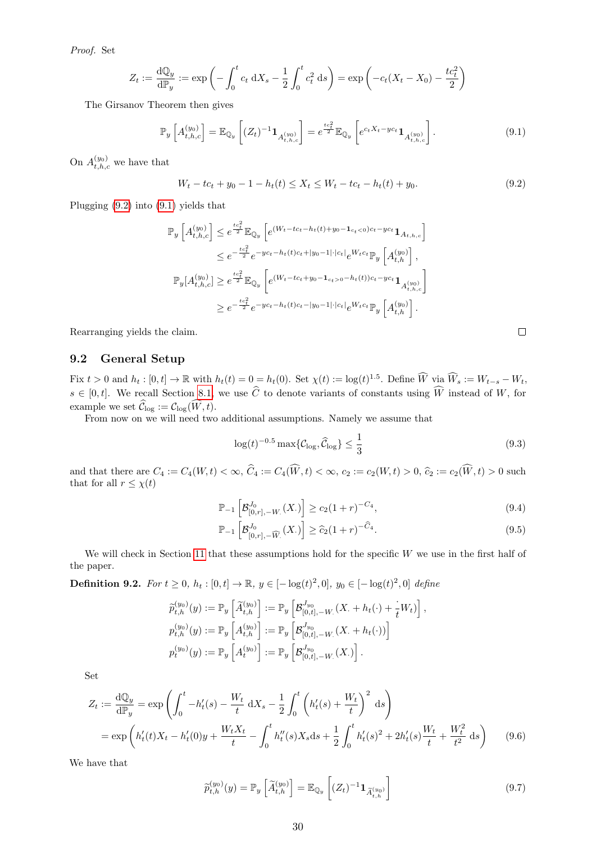Proof. Set

$$
Z_t := \frac{dQ_y}{dP_y} := \exp\left(-\int_0^t c_t \, dX_s - \frac{1}{2} \int_0^t c_t^2 \, ds\right) = \exp\left(-c_t(X_t - X_0) - \frac{tc_t^2}{2}\right)
$$

The Girsanov Theorem then gives

$$
\mathbb{P}_{y}\left[A_{t,h,c}^{(y_0)}\right] = \mathbb{E}_{\mathbb{Q}_y}\left[ (Z_t)^{-1} \mathbf{1}_{A_{t,h,c}^{(y_0)}} \right] = e^{\frac{tc_t^2}{2}} \mathbb{E}_{\mathbb{Q}_y}\left[ e^{c_t X_t - y c_t} \mathbf{1}_{A_{t,h,c}^{(y_0)}} \right].
$$
\n(9.1)

On  $A_{t,h,c}^{(y_0)}$  we have that

<span id="page-29-0"></span> $W_t - tc_t + y_0 - 1 - h_t(t) \leq X_t \leq W_t - tc_t - h_t(t) + y_0.$  (9.2)

Plugging [\(9.2\)](#page-29-0) into [\(9.1\)](#page-29-1) yields that

$$
\mathbb{P}_{y}\left[A_{t,h,c}^{(y_{0})}\right] \leq e^{\frac{tc_{t}^{2}}{2}} \mathbb{E}_{\mathbb{Q}_{y}}\left[e^{(W_{t}-tc_{t}-h_{t}(t)+y_{0}-\mathbf{1}_{c_{t}<0})c_{t}-yc_{t}}\mathbf{1}_{A_{t,h,c}}\right]
$$
\n
$$
\leq e^{-\frac{tc_{t}^{2}}{2}} e^{-yc_{t}-h_{t}(t)c_{t}+|y_{0}-1|\cdot|c_{t}|} e^{W_{t}c_{t}} \mathbb{P}_{y}\left[A_{t,h}^{(y_{0})}\right],
$$
\n
$$
\mathbb{P}_{y}[A_{t,h,c}^{(y_{0})}] \geq e^{\frac{tc_{t}^{2}}{2}} \mathbb{E}_{\mathbb{Q}_{y}}\left[e^{(W_{t}-tc_{t}+y_{0}-\mathbf{1}_{c_{t}>0}-h_{t}(t))c_{t}-yc_{t}}\mathbf{1}_{A_{t,h,c}^{(y_{0})}}\right]
$$
\n
$$
\geq e^{-\frac{tc_{t}^{2}}{2}} e^{-yc_{t}-h_{t}(t)c_{t}-|y_{0}-1|\cdot|c_{t}|} e^{W_{t}c_{t}} \mathbb{P}_{y}\left[A_{t,h}^{(y_{0})}\right].
$$

Rearranging yields the claim.

#### 9.2 General Setup

Fix  $t > 0$  and  $h_t : [0, t] \to \mathbb{R}$  with  $h_t(t) = 0 = h_t(0)$ . Set  $\chi(t) := \log(t)^{1.5}$ . Define  $\widehat{W}$  via  $\widehat{W}_s := W_{t-s} - W_t$ ,  $s \in [0, t]$ . We recall Section [8.1,](#page-17-4) we use C to denote variants of constants using W instead of W, for example we set  $\widehat{\mathcal{C}}_{\log} := \mathcal{C}_{\log}(\widehat{W}, t)$ .

From now on we will need two additional assumptions. Namely we assume that

<span id="page-29-4"></span>
$$
\log(t)^{-0.5} \max\{\mathcal{C}_{\log}, \widehat{\mathcal{C}}_{\log}\} \le \frac{1}{3}
$$
\n(9.3)

and that there are  $C_4 := C_4(W, t) < \infty$ ,  $\widehat{C}_4 := C_4(\widehat{W}, t) < \infty$ ,  $c_2 := c_2(W, t) > 0$ ,  $\widehat{c}_2 := c_2(\widehat{W}, t) > 0$  such that for all  $r \leq \chi(t)$ 

$$
\mathbb{P}_{-1}\left[\mathcal{B}_{[0,r], -W}^{J_0}(X.)\right] \ge c_2 (1+r)^{-C_4},\tag{9.4}
$$

$$
\mathbb{P}_{-1}\left[\mathcal{B}_{[0,r], -\widehat{W}}^{J_0}(X)\right] \ge \widehat{c}_2(1+r)^{-\widehat{C}_4}.
$$
\n(9.5)

We will check in Section [11](#page-38-0) that these assumptions hold for the specific  $W$  we use in the first half of the paper.

<span id="page-29-3"></span>**Definition 9.2.** For  $t \ge 0$ ,  $h_t : [0, t] \to \mathbb{R}$ ,  $y \in [-\log(t)^2, 0]$ ,  $y_0 \in [-\log(t)^2, 0]$  define

$$
\begin{aligned}\n\widetilde{p}_{t,h}^{(y_0)}(y) &:= \mathbb{P}_y \left[ \widetilde{A}_{t,h}^{(y_0)} \right] := \mathbb{P}_y \left[ \mathcal{B}_{[0,t], -W_\cdot}^{J_{y_0}}(X_\cdot + h_t(\cdot) + \frac{1}{t} W_t) \right], \\
p_{t,h}^{(y_0)}(y) &:= \mathbb{P}_y \left[ A_{t,h}^{(y_0)} \right] := \mathbb{P}_y \left[ \mathcal{B}_{[0,t], -W_\cdot}^{J_{y_0}}(X_\cdot + h_t(\cdot)) \right] \\
p_t^{(y_0)}(y) &:= \mathbb{P}_y \left[ A_t^{(y_0)} \right] := \mathbb{P}_y \left[ \mathcal{B}_{[0,t], -W_\cdot}^{J_{y_0}}(X_\cdot) \right].\n\end{aligned}
$$

Set

$$
Z_t := \frac{dQ_y}{dP_y} = \exp\left(\int_0^t -h'_t(s) - \frac{W_t}{t} dX_s - \frac{1}{2} \int_0^t \left(h'_t(s) + \frac{W_t}{t}\right)^2 ds\right)
$$
  
= 
$$
\exp\left(h'_t(t)X_t - h'_t(0)y + \frac{W_t X_t}{t} - \int_0^t h''_t(s)X_s ds + \frac{1}{2} \int_0^t h'_t(s)^2 + 2h'_t(s)\frac{W_t}{t} + \frac{W_t^2}{t^2} ds\right)
$$
(9.6)

We have that

<span id="page-29-5"></span><span id="page-29-2"></span>
$$
\widetilde{p}_{t,h}^{(y_0)}(y) = \mathbb{P}_y \left[ \widetilde{A}_{t,h}^{(y_0)} \right] = \mathbb{E}_{\mathbb{Q}_y} \left[ (Z_t)^{-1} \mathbf{1}_{\widetilde{A}_{t,h}^{(y_0)}} \right] \tag{9.7}
$$

<span id="page-29-6"></span><span id="page-29-1"></span>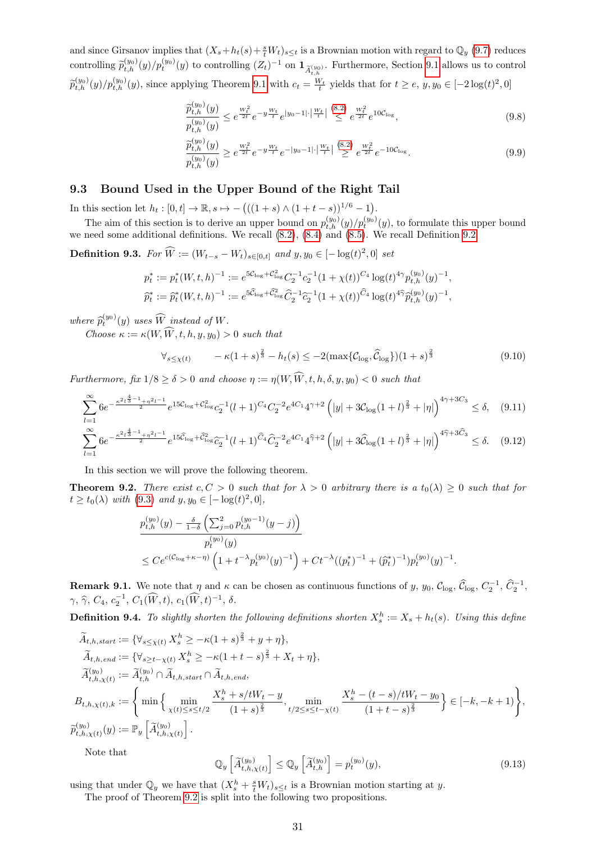and since Girsanov implies that  $(X_s + h_t(s) + \frac{s}{t}W_t)_{s \le t}$  is a Brownian motion with regard to  $\mathbb{Q}_y$  [\(9.7\)](#page-29-2) reduces controlling  $\tilde{p}_{t,h}^{(y_0)}(y)/p_t^{(y_0)}(y)$  to controlling  $(Z_t)^{-1}$  on  $\mathbf{1}_{\tilde{A}_{t,h}^{(y_0)}}$ . Furthermore, Section [9.1](#page-28-2) allows us to control  $\widetilde{p}_{t,h}^{(y_0)}(y)/p_{t,h}^{(y_0)}(y)$ , since applying Theorem [9.1](#page-28-2) with  $c_t = \frac{W_t}{t}$  yields that for  $t \ge e, y, y_0 \in [-2\log(t)^2, 0]$ 

<span id="page-30-8"></span>
$$
\frac{\tilde{p}_{t,h}^{(y_0)}(y)}{p_{t,h}^{(y_0)}(y)} \le e^{\frac{W_t^2}{2t}} e^{-y\frac{W_t}{t}} e^{|y_0 - 1|} \cdot \left| \frac{W_t}{t} \right| \overset{(8.2)}{\le} e^{\frac{W_t^2}{2t}} e^{10 \mathcal{C}_{\log}},\tag{9.8}
$$

<span id="page-30-2"></span>
$$
\frac{\widetilde{p}_{t,h}^{(y_0)}(y)}{p_{t,h}^{(y_0)}(y)} \ge e^{\frac{W_t^2}{2t}} e^{-y\frac{W_t}{t}} e^{-|y_0 - 1| \cdot \left|\frac{W_t}{t}\right|} \stackrel{(8.2)}{\ge} e^{\frac{W_t^2}{2t}} e^{-10C_{\log}}.
$$
\n(9.9)

#### <span id="page-30-0"></span>9.3 Bound Used in the Upper Bound of the Right Tail

In this section let  $h_t : [0, t] \to \mathbb{R}, s \mapsto -(( (1 + s) \wedge (1 + t - s))^{1/6} - 1).$ 

The aim of this section is to derive an upper bound on  $p_{t,h}^{(y_0)}(y)/p_t^{(y_0)}(y)$ , to formulate this upper bound we need some additional definitions. We recall [\(8.2\)](#page-17-8), [\(8.4\)](#page-17-6) and [\(8.5\)](#page-17-11). We recall Definition [9.2.](#page-29-3)

<span id="page-30-5"></span>**Definition 9.3.** For  $\hat{W} := (W_{t-s} - W_t)_{s \in [0,t]}$  and  $y, y_0 \in [-\log(t)^2, 0]$  set

$$
p_t^* := p_t^*(W, t, h)^{-1} := e^{5C_{\log} + C_{\log}^2} C_2^{-1} c_2^{-1} (1 + \chi(t))^{C_4} \log(t)^{4\gamma} p_{t, h}^{(y_0)}(y)^{-1},
$$
  

$$
\widehat{p}_t^* := \widehat{p}_t^*(W, t, h)^{-1} := e^{5\widehat{C}_{\log} + \widehat{C}_{\log}^2} \widehat{C}_2^{-1} \widehat{c}_2^{-1} (1 + \chi(t))^{C_4} \log(t)^{4\widehat{\gamma}} \widehat{p}_{t, h}^{(y_0)}(y)^{-1},
$$

where  $\widehat{p}_t^{(y_0)}(y)$  uses  $\widehat{W}$  instead of W.

Choose  $\kappa := \kappa(W, W, t, h, y, y_0) > 0$  such that

<span id="page-30-7"></span><span id="page-30-6"></span>
$$
\forall_{s \le \chi(t)} \qquad -\kappa(1+s)^{\frac{2}{3}} - h_t(s) \le -2(\max\{\mathcal{C}_{\log}, \widehat{\mathcal{C}}_{\log}\})(1+s)^{\frac{2}{3}} \tag{9.10}
$$

Furthermore, fix  $1/8 \ge \delta > 0$  and choose  $\eta := \eta(W, \widehat{W}, t, h, \delta, y, y_0) < 0$  such that

$$
\sum_{l=1}^{\infty} 6e^{-\frac{\kappa^2 l_3^{\frac{4}{3}-1} + \eta^2 l^{-1}}{2}} e^{15C_{\log} + C_{\log}^2} c_2^{-1} (l+1)^{C_4} C_2^{-2} e^{4C_1} 4^{\gamma+2} \left( |y| + 3C_{\log} (1+l)^{\frac{2}{3}} + |\eta| \right)^{4\gamma+3C_3} \le \delta, \quad (9.11)
$$
  

$$
\sum_{l=1}^{\infty} 6e^{-\frac{\kappa^2 l_3^{\frac{4}{3}-1} + \eta^2 l^{-1}}{2}} e^{15\widehat{C}_{\log} + \widehat{C}_{\log}^2} \widehat{c}_2^{-1} (l+1)^{\widehat{C}_4} \widehat{C}_2^{-2} e^{4C_1} 4^{\widehat{\gamma}+2} \left( |y| + 3\widehat{C}_{\log} (1+l)^{\frac{2}{3}} + |\eta| \right)^{4\widehat{\gamma}+3\widehat{C}_3} \le \delta. \quad (9.12)
$$

In this section we will prove the following theorem.

<span id="page-30-1"></span>**Theorem 9.2.** There exist  $c, C > 0$  such that for  $\lambda > 0$  arbitrary there is a  $t_0(\lambda) \geq 0$  such that for  $t \ge t_0(\lambda)$  with  $(9.3)$  and  $y, y_0 \in [-\log(t)^2, 0],$ 

$$
\begin{split} &p_{t,h}^{(y_0)}(y) - \frac{\delta}{1-\delta} \left( \sum_{j=0}^2 p_{t,h}^{(y_0-1)}(y-j) \right) \\ &p_t^{(y_0)}(y) \\ &\leq C e^{c(\mathcal{C}_{\log}+\kappa-\eta)} \left( 1 + t^{-\lambda} p_t^{(y_0)}(y)^{-1} \right) + C t^{-\lambda} ((p_t^*)^{-1} + (\hat{p}_t^*)^{-1}) p_t^{(y_0)}(y)^{-1}. \end{split}
$$

<span id="page-30-9"></span>**Remark 9.1.** We note that  $\eta$  and  $\kappa$  can be chosen as continuous functions of y, y<sub>0</sub>, C<sub>log</sub>, C<sub>log</sub>, C<sub>2</sub><sup>-1</sup>,  $\hat{C}_2^{-1}$ ,  $\hat{C}_2^{-1}$ ,  $\gamma, \, \hat{\gamma}, \, C_4, \, c_2^{-1}, \, C_1(\widehat{W}, t), \, c_1(\widehat{W}, t)^{-1}, \, \delta.$ 

<span id="page-30-3"></span>**Definition 9.4.** To slightly shorten the following definitions shorten  $X_s^h := X_s + h_t(s)$ . Using this define

$$
\tilde{A}_{t,h,start} := \{ \forall_{s \leq \chi(t)} X_s^h \geq -\kappa (1+s)^{\frac{2}{3}} + y + \eta \},
$$
\n
$$
\tilde{A}_{t,h,end} := \{ \forall_{s \geq t - \chi(t)} X_s^h \geq -\kappa (1+t-s)^{\frac{2}{3}} + X_t + \eta \},
$$
\n
$$
\tilde{A}_{t,h,\chi(t)}^{(y_0)} := \tilde{A}_{t,h}^{(y_0)} \cap \tilde{A}_{t,h,start} \cap \tilde{A}_{t,h,end},
$$
\n
$$
B_{t,h,\chi(t),k} := \left\{ \min \left\{ \min_{\chi(t) \leq s \leq t/2} \frac{X_s^h + s/tW_t - y}{(1+s)^{\frac{2}{3}}}, \min_{t/2 \leq s \leq t - \chi(t)} \frac{X_s^h - (t-s)/tW_t - y_0}{(1+t-s)^{\frac{2}{3}}} \right\} \in [-k, -k+1) \right\},
$$
\n
$$
\tilde{p}_{t,h,\chi(t)}^{(y_0)}(y) := \mathbb{P}_y \left[ \tilde{A}_{t,h,\chi(t)}^{(y_0)} \right].
$$

Note that

 $l=1$ 

<span id="page-30-4"></span>
$$
\mathbb{Q}_y\left[\widetilde{A}_{t,h,\chi(t)}^{(y_0)}\right] \le \mathbb{Q}_y\left[\widetilde{A}_{t,h}^{(y_0)}\right] = p_t^{(y_0)}(y),\tag{9.13}
$$

using that under  $\mathbb{Q}_y$  we have that  $(X_s^h + \frac{s}{t}W_t)_{s \leq t}$  is a Brownian motion starting at y.

The proof of Theorem [9.2](#page-30-1) is split into the following two propositions.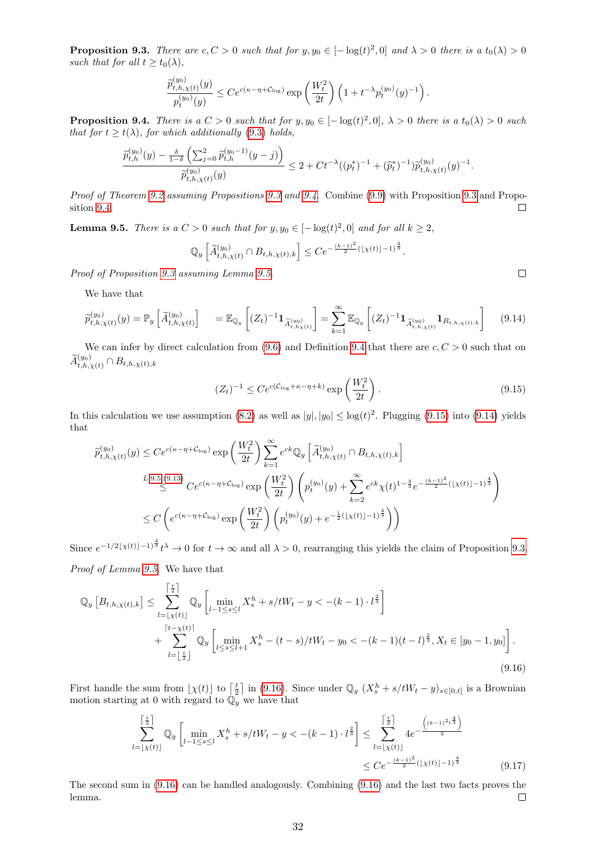<span id="page-31-0"></span>**Proposition 9.3.** There are  $c, C > 0$  such that for  $y, y_0 \in [-\log(t)^2, 0]$  and  $\lambda > 0$  there is a  $t_0(\lambda) > 0$ such that for all  $t > t_0(\lambda)$ ,

$$
\frac{\tilde{p}_{t,h,\chi(t)}^{(y_0)}(y)}{p_t^{(y_0)}(y)} \le Ce^{c(\kappa - \eta + \mathcal{C}_{\log})} \exp\left(\frac{W_t^2}{2t}\right) \left(1 + t^{-\lambda} p_t^{(y_0)}(y)^{-1}\right).
$$

<span id="page-31-1"></span>**Proposition 9.4.** There is a  $C > 0$  such that for  $y, y_0 \in [-\log(t)^2, 0]$ ,  $\lambda > 0$  there is a  $t_0(\lambda) > 0$  such that for  $t \geq t(\lambda)$ , for which additionally [\(9.3\)](#page-29-4) holds,

$$
\frac{\hat{p}_{t,h}^{(y_0)}(y) - \frac{\delta}{1-\delta} \left( \sum_{j=0}^2 \hat{p}_{t,h}^{(y_0-1)}(y-j) \right)}{\hat{p}_{t,h,\chi(t)}^{(y_0)}(y)} \le 2 + Ct^{-\lambda} ((p_t^*)^{-1} + (\hat{p}_t^*)^{-1}) \hat{p}_{t,h,\chi(t)}^{(y_0)}(y)^{-1}.
$$

Proof of Theorem [9.2](#page-30-1) assuming Propositions [9.3](#page-31-0) and [9.4.](#page-31-1) Combine [\(9.9\)](#page-30-2) with Proposition [9.3](#page-31-0) and Proposition [9.4.](#page-31-1)  $\Box$ 

<span id="page-31-2"></span>**Lemma 9.5.** There is a  $C > 0$  such that for  $y, y_0 \in [-\log(t)^2, 0]$  and for all  $k \ge 2$ ,

$$
\mathbb{Q}_y \left[ \widetilde{A}_{t,h,\chi(t)}^{(y_0)} \cap B_{t,h,\chi(t),k} \right] \leq C e^{-\frac{(k-1)^2}{2} (\lfloor \chi(t) \rfloor - 1)^{\frac{4}{3}}}.
$$

Proof of Proposition [9.3](#page-31-0) assuming Lemma [9.5.](#page-31-2)

We have that

$$
\widetilde{p}_{t,h,\chi(t)}^{(y_0)}(y) = \mathbb{P}_y \left[ \widetilde{A}_{t,h,\chi(t)}^{(y_0)} \right] = \mathbb{E}_{\mathbb{Q}_y} \left[ (Z_t)^{-1} \mathbf{1}_{\widetilde{A}_{t,h,\chi(t)}^{(y_0)}} \right] = \sum_{k=1}^{\infty} \mathbb{E}_{\mathbb{Q}_y} \left[ (Z_t)^{-1} \mathbf{1}_{\widetilde{A}_{t,h,\chi(t)}^{(y_0)}} \mathbf{1}_{B_{t,h,\chi(t),k}} \right] \tag{9.14}
$$

We can infer by direct calculation from  $(9.6)$  and Definition [9.4](#page-30-3) that there are  $c, C > 0$  such that on  $\widetilde{A}^{(y_0)}_{t,h,\chi(t)} \cap B_{t,h,\chi(t),k}$ 

<span id="page-31-4"></span><span id="page-31-3"></span>
$$
(Z_t)^{-1} \le Ce^{c(\mathcal{C}_{\log} + \kappa - \eta + k)} \exp\left(\frac{W_t^2}{2t}\right). \tag{9.15}
$$

In this calculation we use assumption [\(8.2\)](#page-17-8) as well as  $|y|, |y_0| \leq \log(t)^2$ . Plugging [\(9.15\)](#page-31-3) into [\(9.14\)](#page-31-4) yields that

$$
\tilde{p}_{t,h,\chi(t)}^{(y_0)}(y) \le Ce^{c(\kappa - \eta + C_{\log})} \exp\left(\frac{W_t^2}{2t}\right) \sum_{k=1}^{\infty} e^{ck} \mathbb{Q}_y \left[\tilde{A}_{t,h,\chi(t)}^{(y_0)} \cap B_{t,h,\chi(t),k}\right]
$$
\n
$$
\le \text{L.9.5,(9.13)} \ C e^{c(\kappa - \eta + C_{\log})} \exp\left(\frac{W_t^2}{2t}\right) \left(p_t^{(y_0)}(y) + \sum_{k=2}^{\infty} e^{ck} \chi(t)^{1 - \frac{4}{3}} e^{-\frac{(k-1)^2}{2}(\lfloor \chi(t) \rfloor - 1)^{\frac{4}{3}}}\right)
$$
\n
$$
\le C \left(e^{c(\kappa - \eta + C_{\log})} \exp\left(\frac{W_t^2}{2t}\right) \left(p_t^{(y_0)}(y) + e^{-\frac{1}{2}(\lfloor \chi(t) \rfloor - 1)^{\frac{4}{3}}}\right)\right)
$$

Since  $e^{-1/2[\chi(t)]-1}$ <sup>4</sup> $t^{\lambda} \to 0$  for  $t \to \infty$  and all  $\lambda > 0$ , rearranging this yields the claim of Proposition [9.3.](#page-31-0)

Proof of Lemma [9.5.](#page-31-2) We have that

$$
\mathbb{Q}_y \left[ B_{t,h,\chi(t),k} \right] \leq \sum_{l=\lfloor \chi(t) \rfloor}^{\lceil \frac{t}{2} \rceil} \mathbb{Q}_y \left[ \min_{l-1 \leq s \leq l} X_s^h + s/tW_t - y < -(k-1) \cdot l^{\frac{2}{3}} \right] + \sum_{l=\lfloor \frac{t}{2} \rfloor}^{\lceil t-\chi(t) \rceil} \mathbb{Q}_y \left[ \min_{l \leq s \leq l+1} X_s^h - (t-s)/tW_t - y_0 < -(k-1)(t-l)^{\frac{2}{3}}, X_t \in [y_0-1, y_0] \right]. \tag{9.16}
$$

First handle the sum from  $\lfloor \chi(t) \rfloor$  to  $\lceil \frac{t}{2} \rceil$  in [\(9.16\)](#page-31-5). Since under  $\mathbb{Q}_y$   $(X_s^h + s/tW_t - y)_{s \in [0,t]}$  is a Brownian motion starting at 0 with regard to  $\overline{\mathbb{Q}}_y^{\sim}$  we have that

<span id="page-31-5"></span>
$$
\sum_{l=\lfloor \chi(t) \rfloor}^{\lceil \frac{t}{2} \rceil} \mathbb{Q}_y \left[ \min_{l-1 \le s \le l} X_s^h + s/tW_t - y < -(k-1) \cdot l^{\frac{2}{3}} \right] \le \sum_{l=\lfloor \chi(t) \rfloor}^{\lceil \frac{t}{2} \rceil} 4e^{-\frac{\left((k-1)^2 l^{\frac{4}{3}}\right)}{2}} \le C e^{-\frac{(k-1)^2}{2} (\lfloor \chi(t) \rfloor - 1)^{\frac{4}{3}}} \tag{9.17}
$$

The second sum in [\(9.16\)](#page-31-5) can be handled analogously. Combining [\(9.16\)](#page-31-5) and the last two facts proves the lemma.  $\Box$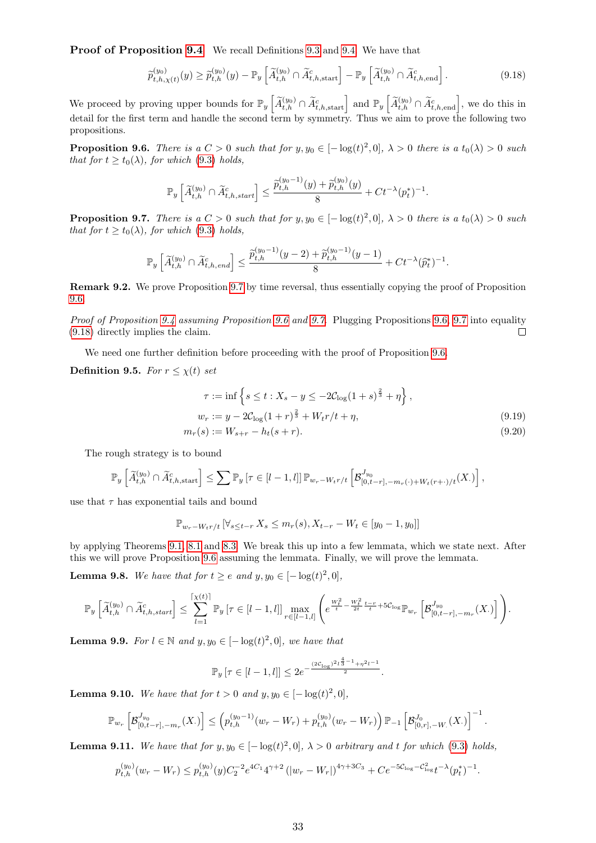Proof of Proposition [9.4](#page-31-1) We recall Definitions [9.3](#page-30-5) and [9.4.](#page-30-3) We have that

<span id="page-32-2"></span>
$$
\widetilde{p}_{t,h,\chi(t)}^{(y_0)}(y) \ge \widetilde{p}_{t,h}^{(y_0)}(y) - \mathbb{P}_y \left[ \widetilde{A}_{t,h}^{(y_0)} \cap \widetilde{A}_{t,h,\text{start}}^c \right] - \mathbb{P}_y \left[ \widetilde{A}_{t,h}^{(y_0)} \cap \widetilde{A}_{t,h,\text{end}}^c \right]. \tag{9.18}
$$

We proceed by proving upper bounds for  $\mathbb{P}_y \left[ \widetilde{A}_{t,h}^{(y_0)} \cap \widetilde{A}_{t,h,\text{start}}^c \right]$  and  $\mathbb{P}_y \left[ \widetilde{A}_{t,h}^{(y_0)} \cap \widetilde{A}_{t,h,\text{end}}^c \right]$ , we do this in detail for the first term and handle the second term by symmetry. Thus we aim to prove the following two propositions.

<span id="page-32-1"></span>**Proposition 9.6.** There is a  $C > 0$  such that for  $y, y_0 \in [-\log(t)^2, 0]$ ,  $\lambda > 0$  there is a  $t_0(\lambda) > 0$  such that for  $t \geq t_0(\lambda)$ , for which [\(9.3\)](#page-29-4) holds,

$$
\mathbb{P}_y\left[\widetilde{A}_{t,h}^{(y_0)} \cap \widetilde{A}_{t,h,start}^c\right] \le \frac{\widetilde{p}_{t,h}^{(y_0-1)}(y) + \widetilde{p}_{t,h}^{(y_0)}(y)}{8} + Ct^{-\lambda}(p_t^*)^{-1}.
$$

<span id="page-32-0"></span>**Proposition 9.7.** There is a  $C > 0$  such that for  $y, y_0 \in [-\log(t)^2, 0]$ ,  $\lambda > 0$  there is a  $t_0(\lambda) > 0$  such that for  $t \geq t_0(\lambda)$ , for which [\(9.3\)](#page-29-4) holds,

$$
\mathbb{P}_y\left[\widetilde{A}_{t,h}^{(y_0)} \cap \widetilde{A}_{t,h,end}^c\right] \le \frac{\widetilde{p}_{t,h}^{(y_0-1)}(y-2) + \widetilde{p}_{t,h}^{(y_0-1)}(y-1)}{8} + Ct^{-\lambda}(\widehat{p}_t^*)^{-1}.
$$

Remark 9.2. We prove Proposition [9.7](#page-32-0) by time reversal, thus essentially copying the proof of Proposition [9.6.](#page-32-1)

Proof of Proposition [9.4](#page-31-1) assuming Proposition [9.6](#page-32-1) and [9.7.](#page-32-0) Plugging Propositions [9.6,](#page-32-1) [9.7](#page-32-0) into equality [\(9.18\)](#page-32-2) directly implies the claim.  $\Box$ 

We need one further definition before proceeding with the proof of Proposition [9.6.](#page-32-1)

#### Definition 9.5. For  $r \leq \chi(t)$  set

<span id="page-32-8"></span><span id="page-32-7"></span>
$$
\tau := \inf \left\{ s \le t : X_s - y \le -2C_{\log}(1+s)^{\frac{2}{3}} + \eta \right\},
$$
  
\n
$$
w_r := y - 2C_{\log}(1+r)^{\frac{2}{3}} + W_t r/t + \eta,
$$
  
\n
$$
m_r(s) := W_{s+r} - h_t(s+r).
$$
\n(9.19)

The rough strategy is to bound

$$
\mathbb{P}_{y}\left[\widetilde{A}_{t,h}^{(y_0)} \cap \widetilde{A}_{t,h,\text{start}}^c\right] \leq \sum \mathbb{P}_{y}\left[\tau \in [l-1,l]\right] \mathbb{P}_{w_r-W_tr/t}\left[\mathcal{B}_{[0,t-r],-m_r(\cdot)+W_t(r+\cdot)/t}^{J_{y_0}}(X_\cdot)\right],
$$

use that  $\tau$  has exponential tails and bound

$$
\mathbb{P}_{w_r-W_tr/t} \left[ \forall_{s \leq t-r} X_s \leq m_r(s), X_{t-r} - W_t \in [y_0 - 1, y_0] \right]
$$

by applying Theorems [9.1,](#page-28-2) [8.1](#page-18-2) and [8.3.](#page-18-4) We break this up into a few lemmata, which we state next. After this we will prove Proposition [9.6](#page-32-1) assuming the lemmata. Finally, we will prove the lemmata.

<span id="page-32-3"></span>**Lemma 9.8.** We have that for  $t \ge e$  and  $y, y_0 \in [-\log(t)^2, 0]$ ,

$$
\mathbb{P}_{y}\left[\widetilde{A}_{t,h}^{(y_0)} \cap \widetilde{A}_{t,h,start}^c\right] \leq \sum_{l=1}^{\lceil \chi(t) \rceil} \mathbb{P}_{y}\left[\tau \in [l-1,l]\right] \max_{r \in [l-1,l]} \left(e^{\frac{W_t^2}{t} - \frac{W_t^2}{2t} \frac{t-r}{t} + 5C_{\log \mathbb{P}_{w_r}}}\left[\mathcal{B}_{[0,t-r],-m_r}^{J_{y_0}}(X.)\right]\right).
$$

<span id="page-32-5"></span>**Lemma 9.9.** For  $l \in \mathbb{N}$  and  $y, y_0 \in [-\log(t)^2, 0]$ , we have that

$$
\mathbb{P}_y\left[\tau \in [l-1,l]\right] \leq 2e^{-\frac{(2C_{\log})^2l^{\frac{4}{3}-1}+\eta^2l^{-1}}{2}}.
$$

<span id="page-32-6"></span>**Lemma 9.10.** We have that for  $t > 0$  and  $y, y_0 \in [-\log(t)^2, 0]$ ,

$$
\mathbb{P}_{w_r}\left[\mathcal{B}_{[0,t-r],-m_r}^{J_{y_0}}(X_\cdot)\right] \leq \left(p_{t,h}^{(y_0-1)}(w_r-W_r)+p_{t,h}^{(y_0)}(w_r-W_r)\right)\mathbb{P}_{-1}\left[\mathcal{B}_{[0,r],-W_\cdot}^{J_0}(X_\cdot)\right]^{-1}.
$$

<span id="page-32-4"></span>**Lemma 9.11.** We have that for  $y, y_0 \in [-\log(t)^2, 0]$ ,  $\lambda > 0$  arbitrary and t for which [\(9.3\)](#page-29-4) holds,

$$
p_{t,h}^{(y_0)}(w_r - W_r) \le p_{t,h}^{(y_0)}(y)C_2^{-2}e^{4C_1}4^{\gamma+2}\left(|w_r - W_r|\right)^{4\gamma+3C_3} + Ce^{-5C_{\log} - C_{\log}^2}t^{-\lambda}(p_t^*)^{-1}.
$$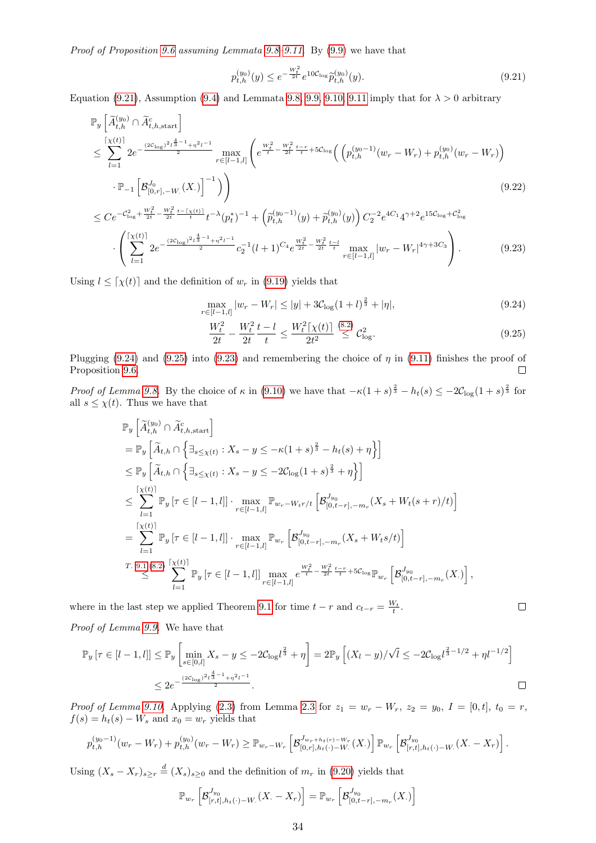Proof of Proposition [9.6](#page-32-1) assuming Lemmata [9.8–](#page-32-3)[9.11.](#page-32-4) By [\(9.9\)](#page-30-2) we have that

<span id="page-33-0"></span>
$$
p_{t,h}^{(y_0)}(y) \le e^{-\frac{W_t^2}{2t}} e^{10C_{\log}} \tilde{p}_{t,h}^{(y_0)}(y).
$$
\n(9.21)

Equation [\(9.21\)](#page-33-0), Assumption [\(9.4\)](#page-29-6) and Lemmata [9.8,](#page-32-3) [9.9,](#page-32-5) [9.10,](#page-32-6) [9.11](#page-32-4) imply that for  $\lambda > 0$  arbitrary

$$
\mathbb{P}_{y}\left[\widetilde{A}_{t,h}^{(y_{0})} \cap \widetilde{A}_{t,h,\text{start}}^{c}\right]
$$
\n
$$
\leq \sum_{l=1}^{\lceil X^{(t)} \rceil} 2e^{-\frac{(2C_{\log})^{2}l^{\frac{4}{3}-1} + \eta^{2}l^{-1}}{2}} \max_{r \in [l-1,l]} \left(e^{\frac{W_{t}^{2}}{t} - \frac{W_{t}^{2}}{2t} \frac{t-r}{t} + 5C_{\log}} \left( \left(p_{t,h}^{(y_{0}-1)}(w_{r}-W_{r}) + p_{t,h}^{(y_{0})}(w_{r}-W_{r})\right) \right) \right)
$$
\n
$$
\cdot \mathbb{P}_{-1}\left[\mathcal{B}_{[0,r],-W_{-}}^{J_{0}}(X_{\cdot})\right]^{-1}\right) \tag{9.22}
$$

$$
\leq Ce^{-c_{\log}^{2} + \frac{W_{t}^{2}}{2t} - \frac{W_{t}^{2}}{2t} \frac{t - \lceil \chi(t) \rceil}{t} t^{-\lambda} (p_{t}^{*})^{-1} + \left( \tilde{p}_{t,h}^{(y_{0}-1)}(y) + \tilde{p}_{t,h}^{(y_{0})}(y) \right) C_{2}^{-2} e^{4C_{1}} 4^{\gamma + 2} e^{15C_{\log} + C_{\log}^{2}}
$$

$$
\cdot \left( \sum_{l=1}^{\lceil \chi(t) \rceil} 2e^{-\frac{(2C_{\log})^{2} \frac{t}{2} - 1}{2} + \eta^{2} l^{-1}} c_{2}^{-1} (l+1)^{C_{4}} e^{\frac{W_{t}^{2}}{2t} - \frac{W_{t}^{2}}{2t} \frac{t - l}{t}} \max_{r \in [l-1,l]} |w_{r} - W_{r}|^{4\gamma + 3C_{3}} \right). \tag{9.23}
$$

Using  $l \leq \lceil \chi(t) \rceil$  and the definition of  $w_r$  in [\(9.19\)](#page-32-7) yields that

$$
\max_{r \in [l-1,l]} |w_r - W_r| \le |y| + 3C_{\log}(1+l)^{\frac{2}{3}} + |\eta|,
$$
\n(9.24)

<span id="page-33-3"></span><span id="page-33-2"></span><span id="page-33-1"></span>
$$
\frac{W_t^2}{2t} - \frac{W_t^2}{2t} \frac{t - l}{t} \le \frac{W_t^2 \lceil \chi(t) \rceil}{2t^2} \stackrel{(8.2)}{\le} C_{\text{log}}^2. \tag{9.25}
$$

Plugging [\(9.24\)](#page-33-1) and [\(9.25\)](#page-33-2) into [\(9.23\)](#page-33-3) and remembering the choice of  $\eta$  in [\(9.11\)](#page-30-6) finishes the proof of Proposition [9.6.](#page-32-1)  $\Box$ 

Proof of Lemma [9.8.](#page-32-3) By the choice of  $\kappa$  in [\(9.10\)](#page-30-7) we have that  $-\kappa(1+s)^{\frac{2}{3}}-h_t(s) \leq -2\mathcal{C}_{\log}(1+s)^{\frac{2}{3}}$  for all  $s \leq \chi(t)$ . Thus we have that

$$
\mathbb{P}_{y}\left[\tilde{A}_{t,h}^{(y_{0})} \cap \tilde{A}_{t,h,\text{start}}^{c}\right] \n= \mathbb{P}_{y}\left[\tilde{A}_{t,h} \cap \left\{\exists_{s \leq \chi(t)} : X_{s} - y \leq -\kappa(1+s)^{\frac{2}{3}} - h_{t}(s) + \eta\right\}\right] \n\leq \mathbb{P}_{y}\left[\tilde{A}_{t,h} \cap \left\{\exists_{s \leq \chi(t)} : X_{s} - y \leq -2C_{\log}(1+s)^{\frac{2}{3}} + \eta\right\}\right] \n\leq \sum_{l=1}^{\lceil \chi(t) \rceil} \mathbb{P}_{y}\left[\tau \in [l-1,l]\right] \cdot \max_{r \in [l-1,l]} \mathbb{P}_{w_{r} - W_{t}r/t}\left[\mathcal{B}_{[0,t-r], -m_{r}}^{J_{y_{0}}}(X_{s} + W_{t}(s+r)/t)\right] \n= \sum_{l=1}^{\lceil \chi(t) \rceil} \mathbb{P}_{y}\left[\tau \in [l-1,l]\right] \cdot \max_{r \in [l-1,l]} \mathbb{P}_{w_{r}}\left[\mathcal{B}_{[0,t-r], -m_{r}}^{J_{y_{0}}}(X_{s} + W_{t}s/t)\right] \n\leq \sum_{l=1}^{\lceil \chi(t) \rceil} \mathbb{X}_{y}\left[\tau \in [l-1,l]\right] \max_{r \in [l-1,l]} e^{\frac{W_{t}^{2}}{t} - \frac{W_{t}^{2}}{2t} \frac{t-r}{t} + 5C_{\log} \mathbb{P}_{w_{r}}}\left[\mathcal{B}_{[0,t-r], -m_{r}}^{J_{y_{0}}} (X_{\cdot})\right],
$$

where in the last step we applied Theorem [9.1](#page-28-2) for time  $t - r$  and  $c_{t-r} = \frac{W_t}{t}$ .

Proof of Lemma [9.9.](#page-32-5) We have that

$$
\mathbb{P}_y\left[\tau \in [l-1,l]\right] \le \mathbb{P}_y\left[\min_{s \in [0,l]} X_s - y \le -2\mathcal{C}_{\log}l^{\frac{2}{3}} + \eta\right] = 2\mathbb{P}_y\left[\left(X_l - y\right)/\sqrt{l} \le -2\mathcal{C}_{\log}l^{\frac{2}{3}-1/2} + \eta l^{-1/2}\right]
$$
  

$$
\le 2e^{-\frac{(2\mathcal{C}_{\log})^2l^{\frac{4}{3}-1} + \eta^2l^{-1}}{2}}.
$$

*Proof of Lemma [9.10.](#page-32-6)* Applying [\(2.3\)](#page-3-3) from Lemma [2.3](#page-3-4) for  $z_1 = w_r - W_r$ ,  $z_2 = y_0$ ,  $I = [0, t]$ ,  $t_0 = r$ ,  $f(s) = h_t(s) - W_s$  and  $x_0 = w_r$  yields that

$$
p_{t,h}^{(y_0-1)}(w_r-W_r)+p_{t,h}^{(y_0)}(w_r-W_r)\geq \mathbb{P}_{w_r-W_r}\left[\mathcal{B}_{[0,r],h_t(\cdot)-W_r}^{J_{w_r+h_t(r)-W_r}}(X_\cdot)\right]\mathbb{P}_{w_r}\left[\mathcal{B}_{[r,t],h_t(\cdot)-W_r}^{J_{y_0}}(X_\cdot-X_r)\right].
$$

Using  $(X_s - X_r)_{s \ge r} \stackrel{d}{=} (X_s)_{s \ge 0}$  and the definition of  $m_r$  in [\(9.20\)](#page-32-8) yields that

$$
\mathbb{P}_{w_r}\left[\mathcal{B}_{[r,t],h_t(\cdot)-W}^{J_{y_0}}(X_{\cdot}-X_{r})\right]=\mathbb{P}_{w_r}\left[\mathcal{B}_{[0,t-r],-m_r}^{J_{y_0}}(X_{\cdot})\right]
$$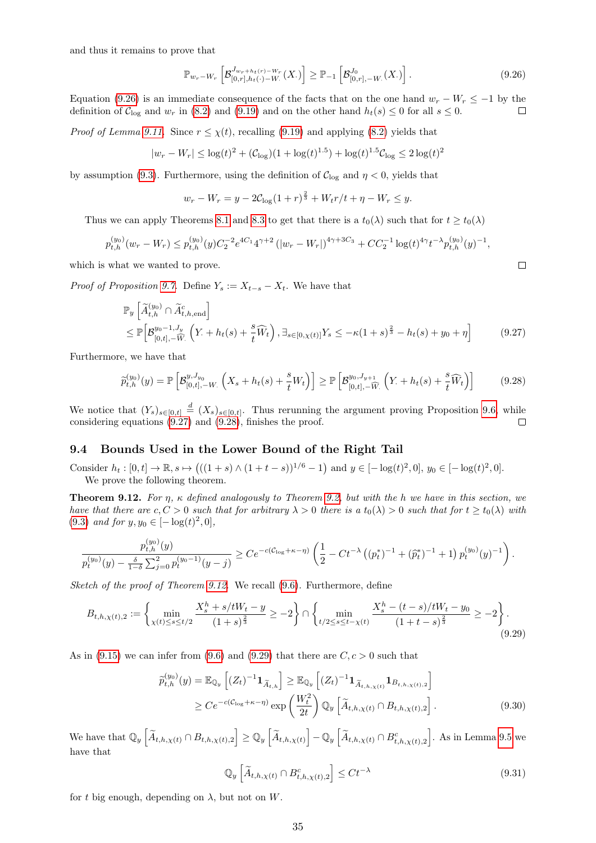and thus it remains to prove that

<span id="page-34-1"></span>
$$
\mathbb{P}_{w_r-W_r} \left[ \mathcal{B}_{[0,r],h_t(\cdot)-W_r}^{J_{w_r+h_t(r)-W_r}}(X_\cdot) \right] \geq \mathbb{P}_{-1} \left[ \mathcal{B}_{[0,r],-W_r}^{J_0}(X_\cdot) \right]. \tag{9.26}
$$

Equation [\(9.26\)](#page-34-1) is an immediate consequence of the facts that on the one hand  $w_r - W_r \leq -1$  by the definition of  $\mathcal{C}_{\text{log}}$  and  $w_r$  in [\(8.2\)](#page-17-8) and [\(9.19\)](#page-32-7) and on the other hand  $h_t(s) \leq 0$  for all  $s \leq 0$ .  $\Box$ 

*Proof of Lemma [9.11.](#page-32-4)* Since  $r \leq \chi(t)$ , recalling [\(9.19\)](#page-32-7) and applying [\(8.2\)](#page-17-8) yields that

$$
|w_r - W_r| \leq \log(t)^2 + (\mathcal{C}_{\log})(1 + \log(t)^{1.5}) + \log(t)^{1.5}\mathcal{C}_{\log} \leq 2\log(t)^2
$$

by assumption [\(9.3\)](#page-29-4). Furthermore, using the definition of  $C_{\text{log}}$  and  $\eta < 0$ , yields that

<span id="page-34-3"></span><span id="page-34-2"></span>
$$
w_r - W_r = y - 2C_{\log}(1+r)^{\frac{2}{3}} + W_t r/t + \eta - W_r \le y.
$$

Thus we can apply Theorems [8.1](#page-18-2) and [8.3](#page-18-4) to get that there is a  $t_0(\lambda)$  such that for  $t \geq t_0(\lambda)$ 

$$
p_{t,h}^{(y_0)}(w_r - W_r) \le p_{t,h}^{(y_0)}(y)C_2^{-2}e^{4C_1}4^{\gamma+2}\left(|w_r - W_r|\right)^{4\gamma+3C_3} + CC_2^{-1}\log(t)^{4\gamma}t^{-\lambda}p_{t,h}^{(y_0)}(y)^{-1},
$$

which is what we wanted to prove.

*Proof of Proposition [9.7.](#page-32-0)* Define  $Y_s := X_{t-s} - X_t$ . We have that

$$
\mathbb{P}_{y}\left[\widetilde{A}_{t,h}^{(y_{0})} \cap \widetilde{A}_{t,h,\text{end}}^{c}\right] \leq \mathbb{P}\left[\mathcal{B}_{[0,t],-\widetilde{W}}^{y_{0}-1,J_{y}}\left(Y_{\cdot}+h_{t}(s)+\frac{s}{t}\widehat{W}_{t}\right), \exists_{s \in [0,\chi(t)]} Y_{s} \leq -\kappa(1+s)^{\frac{2}{3}} - h_{t}(s) + y_{0} + \eta\right]
$$
(9.27)

Furthermore, we have that

$$
\widetilde{p}_{t,h}^{(y_0)}(y) = \mathbb{P}\left[\mathcal{B}_{[0,t],-W}^{y,J_{y_0}}\left(X_s + h_t(s) + \frac{s}{t}W_t\right)\right] \ge \mathbb{P}\left[\mathcal{B}_{[0,t],-\widehat{W}}^{y_0,J_{y+1}}\left(Y_t + h_t(s) + \frac{s}{t}\widehat{W}_t\right)\right]
$$
(9.28)

We notice that  $(Y_s)_{s\in[0,t]} \stackrel{d}{=} (X_s)_{s\in[0,t]}$ . Thus rerunning the argument proving Proposition [9.6,](#page-32-1) while considering equations [\(9.27\)](#page-34-2) and [\(9.28\)](#page-34-3), finishes the proof.

#### <span id="page-34-0"></span>9.4 Bounds Used in the Lower Bound of the Right Tail

Consider  $h_t : [0, t] \to \mathbb{R}, s \mapsto (((1 + s) \wedge (1 + t - s))^{1/6} - 1)$  and  $y \in [-\log(t)^2, 0], y_0 \in [-\log(t)^2, 0].$ We prove the following theorem.

<span id="page-34-4"></span>**Theorem 9.12.** For  $\eta$ ,  $\kappa$  defined analogously to Theorem [9.2,](#page-30-1) but with the h we have in this section, we have that there are  $c, C > 0$  such that for arbitrary  $\lambda > 0$  there is a  $t_0(\lambda) > 0$  such that for  $t \ge t_0(\lambda)$  with [\(9.3\)](#page-29-4) and for  $y, y_0 \in [-\log(t)^2, 0],$ 

$$
\frac{p_{t,h}^{(y_0)}(y)}{p_t^{(y_0)}(y) - \frac{\delta}{1-\delta} \sum_{j=0}^2 p_t^{(y_0-1)}(y-j)} \ge C e^{-c(C_{\log}+\kappa-\eta)} \left(\frac{1}{2} - Ct^{-\lambda} \left((p_t^*)^{-1} + (\widehat{p}_t^*)^{-1} + 1\right) p_t^{(y_0)}(y)^{-1}\right).
$$

Sketch of the proof of Theorem [9.12.](#page-34-4) We recall [\(9.6\)](#page-29-5). Furthermore, define

$$
B_{t,h,\chi(t),2} := \left\{ \min_{\chi(t) \le s \le t/2} \frac{X_s^h + s/tW_t - y}{(1+s)^{\frac{2}{3}}} \ge -2 \right\} \cap \left\{ \min_{t/2 \le s \le t-\chi(t)} \frac{X_s^h - (t-s)/tW_t - y_0}{(1+t-s)^{\frac{2}{3}}} \ge -2 \right\}.
$$
\n(9.29)

As in [\(9.15\)](#page-31-3) we can infer from [\(9.6\)](#page-29-5) and [\(9.29\)](#page-34-5) that there are  $C, c > 0$  such that

$$
\widetilde{p}_{t,h}^{(y_0)}(y) = \mathbb{E}_{\mathbb{Q}_y} \left[ (Z_t)^{-1} \mathbf{1}_{\widetilde{A}_{t,h}} \right] \ge \mathbb{E}_{\mathbb{Q}_y} \left[ (Z_t)^{-1} \mathbf{1}_{\widetilde{A}_{t,h,\chi(t)}} \mathbf{1}_{B_{t,h,\chi(t),2}} \right] \n\ge C e^{-c(C_{\log} + \kappa - \eta)} \exp\left( \frac{W_t^2}{2t} \right) \mathbb{Q}_y \left[ \widetilde{A}_{t,h,\chi(t)} \cap B_{t,h,\chi(t),2} \right].
$$
\n(9.30)

We have that  $\mathbb{Q}_y \left[ \widetilde{A}_{t,h,\chi(t)} \cap B_{t,h,\chi(t),2} \right] \geq \mathbb{Q}_y \left[ \widetilde{A}_{t,h,\chi(t)} \right] - \mathbb{Q}_y \left[ \widetilde{A}_{t,h,\chi(t)} \cap B_{t,h,\chi(t),2}^c \right]$ . As in Lemma [9.5](#page-31-2) we have that

<span id="page-34-7"></span><span id="page-34-6"></span><span id="page-34-5"></span>
$$
\mathbb{Q}_y \left[ \widetilde{A}_{t,h,\chi(t)} \cap B_{t,h,\chi(t),2}^c \right] \leq C t^{-\lambda} \tag{9.31}
$$

for t big enough, depending on  $\lambda$ , but not on W.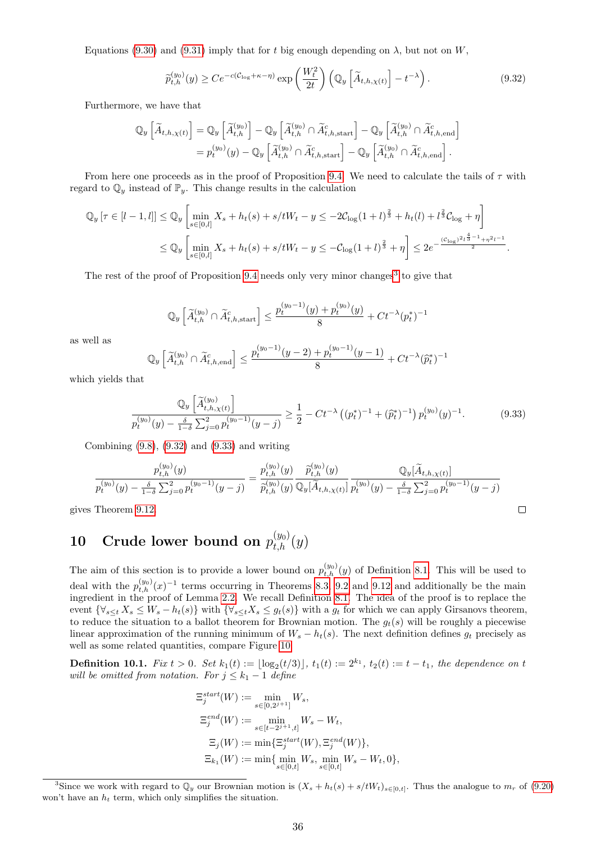Equations [\(9.30\)](#page-34-6) and [\(9.31\)](#page-34-7) imply that for t big enough depending on  $\lambda$ , but not on W,

<span id="page-35-2"></span>
$$
\widetilde{p}_{t,h}^{(y_0)}(y) \ge C e^{-c(C_{\log} + \kappa - \eta)} \exp\left(\frac{W_t^2}{2t}\right) \left(\mathbb{Q}_y \left[\widetilde{A}_{t,h,\chi(t)}\right] - t^{-\lambda}\right). \tag{9.32}
$$

Furthermore, we have that

$$
\mathbb{Q}_y \left[ \widetilde{A}_{t,h,\chi(t)} \right] = \mathbb{Q}_y \left[ \widetilde{A}_{t,h}^{(y_0)} \right] - \mathbb{Q}_y \left[ \widetilde{A}_{t,h}^{(y_0)} \cap \widetilde{A}_{t,h,\text{start}}^c \right] - \mathbb{Q}_y \left[ \widetilde{A}_{t,h}^{(y_0)} \cap \widetilde{A}_{t,h,\text{end}}^c \right]
$$
  
=  $p_t^{(y_0)}(y) - \mathbb{Q}_y \left[ \widetilde{A}_{t,h}^{(y_0)} \cap \widetilde{A}_{t,h,\text{start}}^c \right] - \mathbb{Q}_y \left[ \widetilde{A}_{t,h}^{(y_0)} \cap \widetilde{A}_{t,h,\text{end}}^c \right].$ 

From here one proceeds as in the proof of Proposition [9.4.](#page-31-1) We need to calculate the tails of  $\tau$  with regard to  $\mathbb{Q}_y$  instead of  $\mathbb{P}_y$ . This change results in the calculation

$$
\begin{split} \mathbb{Q}_y \left[ \tau \in [l-1, l] \right] &\leq \mathbb{Q}_y \left[ \min_{s \in [0, l]} X_s + h_t(s) + s/tW_t - y \leq -2\mathcal{C}_{\log}(1+l)^{\frac{2}{3}} + h_t(l) + l^{\frac{2}{3}}\mathcal{C}_{\log} + \eta \right] \\ &\leq \mathbb{Q}_y \left[ \min_{s \in [0, l]} X_s + h_t(s) + s/tW_t - y \leq -\mathcal{C}_{\log}(1+l)^{\frac{2}{3}} + \eta \right] \leq 2e^{-\frac{(\mathcal{C}_{\log})^2 l^{\frac{4}{3}-1} + \eta^2 l^{-1}}{2}} . \end{split}
$$

The rest of the proof of Proposition [9.4](#page-31-1) needs only very minor changes<sup>[3](#page-35-1)</sup> to give that

<span id="page-35-3"></span>
$$
\mathbb{Q}_y\left[\widetilde{A}_{t,h}^{(y_0)}\cap \widetilde{A}_{t,h,\text{start}}^c\right] \leq \frac{p_t^{(y_0-1)}(y) + p_t^{(y_0)}(y)}{8} + Ct^{-\lambda}(p_t^*)^{-1}
$$

as well as

$$
\mathbb{Q}_y \left[ \widetilde{A}_{t,h}^{(y_0)} \cap \widetilde{A}_{t,h,\text{end}}^c \right] \le \frac{p_t^{(y_0-1)}(y-2) + p_t^{(y_0-1)}(y-1)}{8} + Ct^{-\lambda}(\widetilde{p}_t^*)^{-1}
$$

which yields that

$$
\frac{\mathbb{Q}_y\left[\tilde{A}_{t,h,\chi(t)}^{(y_0)}\right]}{p_t^{(y_0)}(y) - \frac{\delta}{1-\delta}\sum_{j=0}^2 p_t^{(y_0-1)}(y-j)} \ge \frac{1}{2} - Ct^{-\lambda}\left((p_t^*)^{-1} + (\hat{p}_t^*)^{-1}\right)p_t^{(y_0)}(y)^{-1}.
$$
\n(9.33)

Combining [\(9.8\)](#page-30-8), [\(9.32\)](#page-35-2) and [\(9.33\)](#page-35-3) and writing

$$
\frac{p_{t,h}^{(y_0)}(y)}{p_t^{(y_0)}(y) - \frac{\delta}{1-\delta} \sum_{j=0}^2 p_t^{(y_0-1)}(y-j)} = \frac{p_{t,h}^{(y_0)}(y)}{\tilde{p}_{t,h}^{(y_0)}(y)} \frac{\tilde{p}_{t,h}^{(y_0)}(y)}{\mathbb{Q}_y[\tilde{A}_{t,h,\chi(t)}]} \frac{\mathbb{Q}_y[\tilde{A}_{t,h,\chi(t)}]}{p_t^{(y_0)}(y) - \frac{\delta}{1-\delta} \sum_{j=0}^2 p_t^{(y_0-1)}(y-j)}
$$
\nTheorem 9.12.

gives Theorem [9.12.](#page-34-4)

# <span id="page-35-0"></span>10 Crude lower bound on  $p_{t,h}^{(y_0)}(y)$

The aim of this section is to provide a lower bound on  $p_{t,h}^{(y_0)}(y)$  of Definition [8.1.](#page-17-12) This will be used to deal with the  $p_{t,h}^{(y_0)}(x)^{-1}$  terms occurring in Theorems [8.3,](#page-18-4) [9.2](#page-30-1) and [9.12](#page-34-4) and additionally be the main ingredient in the proof of Lemma [2.2.](#page-3-7) We recall Definition [8.1.](#page-17-12) The idea of the proof is to replace the event  $\{\forall_{s\leq t} X_s \leq W_s - h_t(s)\}\$  with  $\{\forall_{s\leq t} X_s \leq g_t(s)\}\$  with a  $g_t$  for which we can apply Girsanovs theorem, to reduce the situation to a ballot theorem for Brownian motion. The  $g_t(s)$  will be roughly a piecewise linear approximation of the running minimum of  $W_s - h_t(s)$ . The next definition defines  $g_t$  precisely as well as some related quantities, compare Figure [10.](#page-35-0)

<span id="page-35-4"></span>**Definition 10.1.** Fix  $t > 0$ . Set  $k_1(t) := \lfloor \log_2(t/3) \rfloor$ ,  $t_1(t) := 2^{k_1}$ ,  $t_2(t) := t - t_1$ , the dependence on t will be omitted from notation. For  $j \leq k_1 - 1$  define

$$
\begin{aligned} \Xi^{start}_j(W) &:= \min_{s \in [0,2^{j+1}]} W_s, \\ \Xi^{end}_j(W) &:= \min_{s \in [t-2^{j+1},t]} W_s - W_t, \\ \Xi_j(W) &:= \min \{ \Xi^{start}_j(W), \Xi^{end}_j(W) \}, \\ \Xi_{k_1}(W) &:= \min \{ \min_{s \in [0,t]} W_s, \min_{s \in [0,t]} W_s - W_t, 0 \}, \end{aligned}
$$

<span id="page-35-1"></span><sup>&</sup>lt;sup>3</sup>Since we work with regard to  $\mathbb{Q}_y$  our Brownian motion is  $(X_s + h_t(s) + s/tW_t)_{s \in [0,t]}$ . Thus the analogue to  $m_r$  of [\(9.20\)](#page-32-8) won't have an  $h_t$  term, which only simplifies the situation.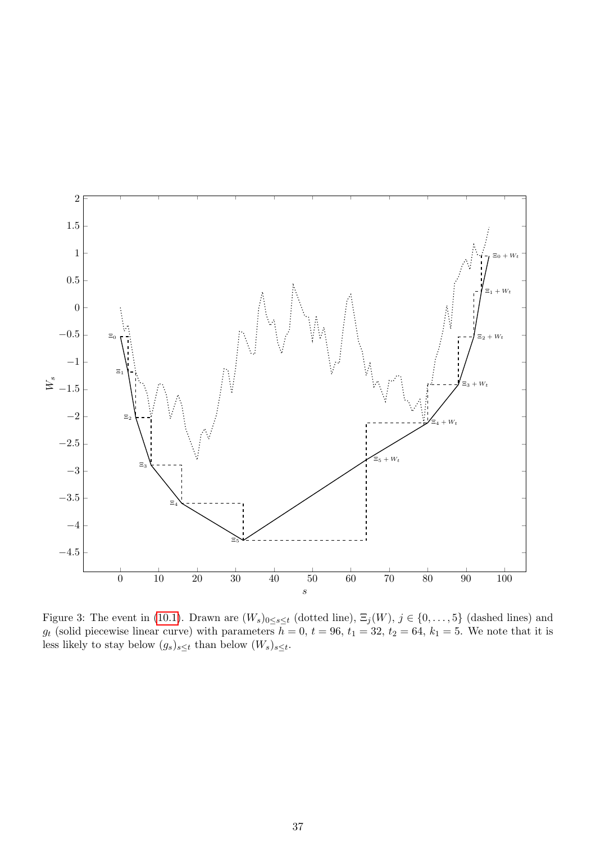

Figure 3: The event in [\(10.1\)](#page-37-0). Drawn are  $(W_s)_{0 \le s \le t}$  (dotted line),  $\Xi_j(W)$ ,  $j \in \{0, \ldots, 5\}$  (dashed lines) and  $g_t$  (solid piecewise linear curve) with parameters  $h = 0, t = 96, t_1 = 32, t_2 = 64, k_1 = 5$ . We note that it is less likely to stay below  $(g_s)_{s \leq t}$  than below  $(W_s)_{s \leq t}$ .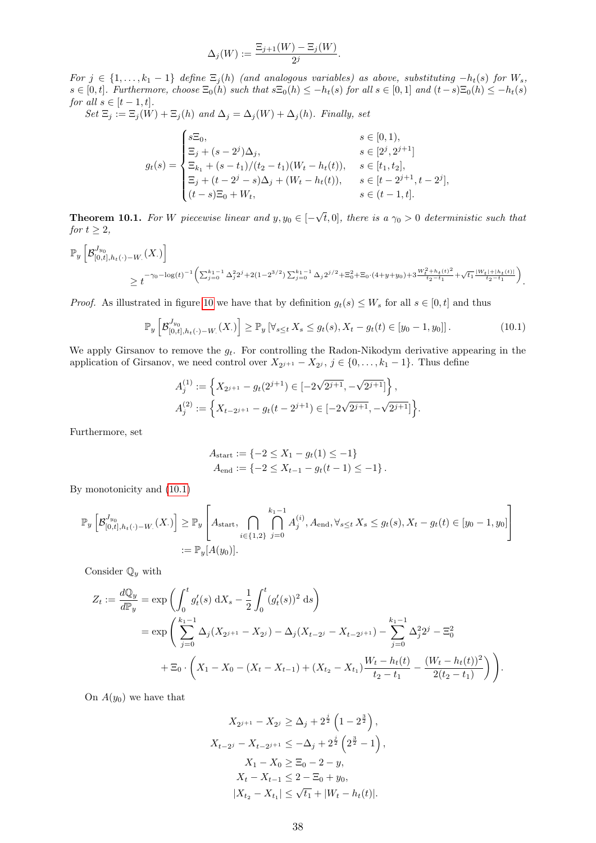$$
\Delta_j(W) := \frac{\Xi_{j+1}(W) - \Xi_j(W)}{2^j}.
$$

For  $j \in \{1, ..., k_1 - 1\}$  define  $\Xi_j(h)$  (and analogous variables) as above, substituting  $-h_t(s)$  for  $W_s$ ,  $s \in [0, t]$ . Furthermore, choose  $\Xi_0(h)$  such that  $s\Xi_0(h) \leq -h_t(s)$  for all  $s \in [0, 1]$  and  $(t-s)\Xi_0(h) \leq -h_t(s)$ for all  $s \in [t-1, t]$ .

 $Set \Xi_j := \Xi_j(W) + \Xi_j(h)$  and  $\Delta_j = \Delta_j(W) + \Delta_j(h)$ . Finally, set

$$
g_t(s) = \begin{cases} s\Xi_0, & s \in [0,1), \\ \Xi_j + (s-2^j)\Delta_j, & s \in [2^j, 2^{j+1}] \\ \Xi_{k_1} + (s-t_1)/(t_2-t_1)(W_t - h_t(t)), & s \in [t_1, t_2], \\ \Xi_j + (t-2^j - s)\Delta_j + (W_t - h_t(t)), & s \in [t-2^{j+1}, t-2^j], \\ (t-s)\Xi_0 + W_t, & s \in (t-1, t]. \end{cases}
$$

<span id="page-37-1"></span>**Theorem 10.1.** For W piecewise linear and  $y, y_0 \in$  [− √  $(t, 0]$ , there is a  $\gamma_0 > 0$  deterministic such that for  $t \geq 2$ ,

$$
\mathbb{P}_{y}\left[\mathcal{B}_{[0,t],h_t(\cdot)-W_\cdot}^{J_{y_0}}(X_\cdot)\right]
$$
\n
$$
\geq t^{-\gamma_0-\log(t)^{-1}\left(\sum_{j=0}^{k_1-1}\Delta_j^22^j+2(1-2^{3/2})\sum_{j=0}^{k_1-1}\Delta_j2^{j/2}+\Xi_0^2+\Xi_0\cdot(4+y+y_0)+3\frac{W_t^2+h_t(t)^2}{t_2-t_1}+\sqrt{t_1}\frac{|W_t|+|h_t(t)|}{t_2-t_1}\right)}.
$$

*Proof.* As illustrated in figure [10](#page-35-0) we have that by definition  $g_t(s) \leq W_s$  for all  $s \in [0, t]$  and thus

$$
\mathbb{P}_y \left[ \mathcal{B}_{[0,t], h_t(\cdot) - W_\cdot}^{J_{y_0}}(X_\cdot) \right] \ge \mathbb{P}_y \left[ \forall_{s \le t} \, X_s \le g_t(s), X_t - g_t(t) \in [y_0 - 1, y_0] \right]. \tag{10.1}
$$

We apply Girsanov to remove the  $g_t$ . For controlling the Radon-Nikodym derivative appearing in the application of Girsanov, we need control over  $X_{2^{j+1}} - X_{2^j}$ ,  $j \in \{0, \ldots, k_1 - 1\}$ . Thus define

$$
A_j^{(1)} := \left\{ X_{2^{j+1}} - g_t(2^{j+1}) \in [-2\sqrt{2^{j+1}}, -\sqrt{2^{j+1}}] \right\},\newline A_j^{(2)} := \left\{ X_{t-2^{j+1}} - g_t(t-2^{j+1}) \in [-2\sqrt{2^{j+1}}, -\sqrt{2^{j+1}}] \right\}.
$$

Furthermore, set

<span id="page-37-0"></span>
$$
A_{\text{start}} := \{-2 \le X_1 - g_t(1) \le -1\}
$$
  

$$
A_{\text{end}} := \{-2 \le X_{t-1} - g_t(t-1) \le -1\}.
$$

By monotonicity and [\(10.1\)](#page-37-0)

$$
\mathbb{P}_{y}\left[\mathcal{B}_{[0,t],h_t(\cdot)-W_\cdot}^{J_{y_0}}(X_\cdot)\right] \geq \mathbb{P}_{y}\left[A_{\text{start}}, \bigcap_{i \in \{1,2\}} \bigcap_{j=0}^{k_1-1} A_j^{(i)}, A_{\text{end}}, \forall_{s \leq t} X_s \leq g_t(s), X_t - g_t(t) \in [y_0 - 1, y_0]\right]
$$
  
:=  $\mathbb{P}_{y}[A(y_0)].$ 

Consider  $\mathbb{Q}_y$  with

$$
Z_t := \frac{dQ_y}{dP_y} = \exp\left(\int_0^t g_t'(s) dX_s - \frac{1}{2} \int_0^t (g_t'(s))^2 ds\right)
$$
  
= 
$$
\exp\left(\sum_{j=0}^{k_1-1} \Delta_j (X_{2^{j+1}} - X_{2^j}) - \Delta_j (X_{t-2^j} - X_{t-2^{j+1}}) - \sum_{j=0}^{k_1-1} \Delta_j^2 2^j - \Xi_0^2
$$
  
+ 
$$
\Xi_0 \cdot \left(X_1 - X_0 - (X_t - X_{t-1}) + (X_{t_2} - X_{t_1}) \frac{W_t - h_t(t)}{t_2 - t_1} - \frac{(W_t - h_t(t))^2}{2(t_2 - t_1)}\right)\right).
$$

On  $A(y_0)$  we have that

$$
X_{2^{j+1}} - X_{2^j} \ge \Delta_j + 2^{\frac{j}{2}} \left( 1 - 2^{\frac{3}{2}} \right),
$$
  
\n
$$
X_{t-2^j} - X_{t-2^{j+1}} \le -\Delta_j + 2^{\frac{j}{2}} \left( 2^{\frac{3}{2}} - 1 \right),
$$
  
\n
$$
X_1 - X_0 \ge \Xi_0 - 2 - y,
$$
  
\n
$$
X_t - X_{t-1} \le 2 - \Xi_0 + y_0,
$$
  
\n
$$
|X_{t_2} - X_{t_1}| \le \sqrt{t_1} + |W_t - h_t(t)|.
$$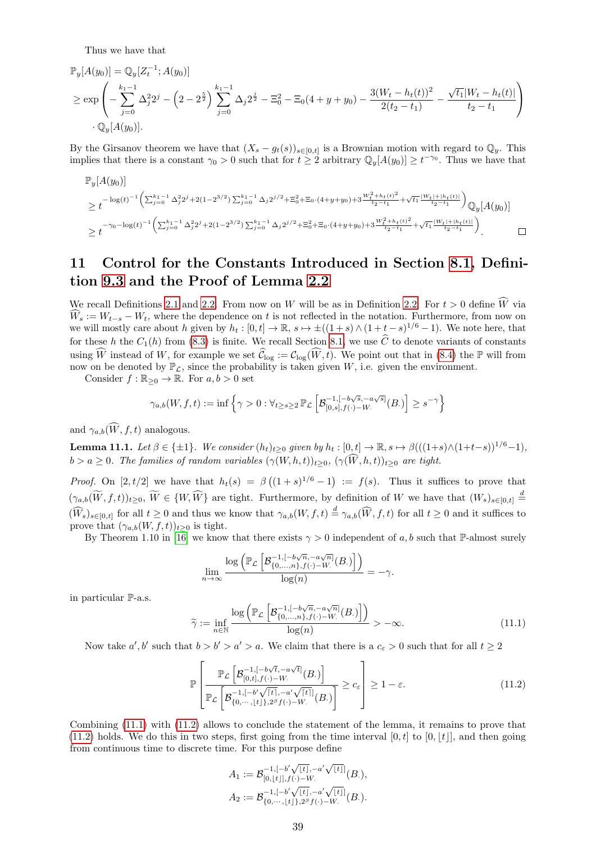Thus we have that

$$
\mathbb{P}_y[A(y_0)] = \mathbb{Q}_y[Z_t^{-1}; A(y_0)]
$$
\n
$$
\geq \exp\left(-\sum_{j=0}^{k_1-1} \Delta_j^2 2^j - \left(2 - 2^{\frac{5}{2}}\right) \sum_{j=0}^{k_1-1} \Delta_j 2^{\frac{j}{2}} - \Xi_0^2 - \Xi_0(4 + y + y_0) - \frac{3(W_t - h_t(t))^2}{2(t_2 - t_1)} - \frac{\sqrt{t_1}|W_t - h_t(t)|}{t_2 - t_1}\right)
$$
\n
$$
\cdot \mathbb{Q}_y[A(y_0)].
$$

By the Girsanov theorem we have that  $(X_s - g_t(s))_{s \in [0,t]}$  is a Brownian motion with regard to  $\mathbb{Q}_y$ . This implies that there is a constant  $\gamma_0 > 0$  such that for  $t \geq 2$  arbitrary  $\mathbb{Q}_y[A(y_0)] \geq t^{-\gamma_0}$ . Thus we have that

$$
\begin{split} &\mathbb{P}_{y}[A(y_{0})] \\ &\geq t^{-\log(t)^{-1}\left(\sum_{j=0}^{k_{1}-1}\Delta_{j}^{2}2^{j}+2(1-2^{3/2})\sum_{j=0}^{k_{1}-1}\Delta_{j}2^{j/2}+\Xi_{0}^{2}+\Xi_{0}\cdot(4+y+y_{0})+3\frac{W_{t}^{2}+\mathbf{h}_{t}(t)^{2}}{\mathbf{h}_{2}-t_{1}}+\sqrt{t_{1}}\frac{|W_{t}|+|\mathbf{h}_{t}(t)|}{\mathbf{h}_{2}-t_{1}}\right)}\mathbb{Q}_{y}[A(y_{0})] \\ &\geq t^{-\gamma_{0}-\log(t)^{-1}\left(\sum_{j=0}^{k_{1}-1}\Delta_{j}^{2}2^{j}+2(1-2^{3/2})\sum_{j=0}^{k_{1}-1}\Delta_{j}2^{j/2}+\Xi_{0}^{2}+\Xi_{0}\cdot(4+y+y_{0})+3\frac{W_{t}^{2}+\mathbf{h}_{t}(t)^{2}}{\mathbf{h}_{2}-t_{1}}+\sqrt{t_{1}}\frac{|W_{t}|+|\mathbf{h}_{t}(t)|}{\mathbf{h}_{2}-t_{1}}\right)}.\end{split}
$$

# <span id="page-38-0"></span>11 Control for the Constants Introduced in Section [8.1,](#page-17-4) Definition [9.3](#page-30-5) and the Proof of Lemma [2.2](#page-3-7)

We recall Definitions [2.1](#page-2-4) and [2.2.](#page-2-0) From now on W will be as in Definition 2.2. For  $t > 0$  define  $\widehat{W}$  via  $\widehat{W}_s := W_{t-s} - W_t$ , where the dependence on t is not reflected in the notation. Furthermore, from now on we will mostly care about h given by  $h_t : [0, t] \to \mathbb{R}$ ,  $s \mapsto \pm((1 + s) \wedge (1 + t - s)^{1/6} - 1)$ . We note here, that for these h the  $C_1(h)$  from [\(8.3\)](#page-17-7) is finite. We recall Section [8.1,](#page-17-4) we use  $\hat{C}$  to denote variants of constants using  $\widehat{W}$  instead of W, for example we set  $\widehat{C}_{\log} := C_{\log}(\widehat{W}, t)$ . We point out that in [\(8.4\)](#page-17-6) the P will from now on be denoted by  $\mathbb{P}_{\mathcal{L}}$ , since the probability is taken given W, i.e. given the environment.

Consider  $f : \mathbb{R}_{\geq 0} \to \mathbb{R}$ . For  $a, b > 0$  set

$$
\gamma_{a,b}(W,f,t):=\inf\left\{\gamma>0:\forall_{t\geq s\geq 2}\,\mathbb{P}_{\mathcal{L}}\left[\mathcal{B}_{[0,s],f(\cdot)-W.}^{-1,[-b\sqrt{s},-a\sqrt{s}]}(B.)\right]\geq s^{-\gamma}\right\}
$$

and  $\gamma_{a,b}(\widehat{W}, f, t)$  analogous.

<span id="page-38-3"></span>**Lemma 11.1.** Let  $\beta \in \{\pm 1\}$ . We consider  $(h_t)_{t>0}$  given by  $h_t : [0, t] \to \mathbb{R}$ ,  $s \mapsto \beta(((1+s)\wedge(1+t-s))^{1/6}-1)$ ,  $b > a \geq 0$ . The families of random variables  $(\gamma(W, h, t))_{t \geq 0}$ ,  $(\gamma(\widehat{W}, h, t))_{t \geq 0}$  are tight.

*Proof.* On [2, t/2] we have that  $h_t(s) = \beta((1+s)^{1/6}-1) := f(s)$ . Thus it suffices to prove that  $(\gamma_{a,b}(\widetilde{W},f,t))_{t\geq0},\ \widetilde{W}\in\{W,\widehat{W}\}\)$  are tight. Furthermore, by definition of W we have that  $(W_s)_{s\in[0,t]}$   $\stackrel{d}{=}$  $(\widehat{W}_s)_{s\in[0,t]}$  for all  $t\geq 0$  and thus we know that  $\gamma_{a,b}(W,f,t)\stackrel{d}{=} \gamma_{a,b}(\widehat{W},f,t)$  for all  $t\geq 0$  and it suffices to prove that  $(\gamma_{a,b}(W, f, t))_{t\geq 0}$  is tight.

By Theorem 1.10 in [\[16\]](#page-48-1) we know that there exists  $\gamma > 0$  independent of a, b such that P-almost surely

$$
\lim_{n \to \infty} \frac{\log \left( \mathbb{P}_{\mathcal{L}} \left[ \mathcal{B}_{\{0,\ldots,n\},f(\cdot)-W_\cdot}^{-1,(a\sqrt{n}]}(B_\cdot) \right] \right)}{\log(n)} = -\gamma.
$$

in particular P-a.s.

<span id="page-38-1"></span>
$$
\widetilde{\gamma} := \inf_{n \in \mathbb{N}} \frac{\log \left( \mathbb{P}_{\mathcal{L}} \left[ \mathcal{B}_{\{0,\dots,n\},f(\cdot) - W_\cdot}^{-1, [-b\sqrt{n}, -a\sqrt{n}]}(B_\cdot) \right] \right)}{\log(n)} > -\infty.
$$
\n(11.1)

Now take  $a', b'$  such that  $b > b' > a' > a$ . We claim that there is a  $c_{\varepsilon} > 0$  such that for all  $t \geq 2$ 

$$
\mathbb{P}\left[\frac{\mathbb{P}_{\mathcal{L}}\left[\mathcal{B}_{[0,t],f(\cdot)-W_{\cdot}}^{-1,[-b\sqrt{t},-a\sqrt{t}]}(B_{\cdot})\right]}{\mathbb{P}_{\mathcal{L}}\left[\mathcal{B}_{\{0,\cdots,\lfloor t\rfloor\},2^{\beta}f(\cdot)-W_{\cdot}}^{-1,[-a'\sqrt{\lceil t\rceil}]}(B_{\cdot})\right]} \geq c_{\varepsilon}\right] \geq 1-\varepsilon.
$$
\n(11.2)

Combining [\(11.1\)](#page-38-1) with [\(11.2\)](#page-38-2) allows to conclude the statement of the lemma, it remains to prove that [\(11.2\)](#page-38-2) holds. We do this in two steps, first going from the time interval [0, t] to [0, [t]], and then going from continuous time to discrete time. For this purpose define

<span id="page-38-2"></span>
$$
A_1 := \mathcal{B}_{[0,\lfloor t \rfloor],f(\cdot)-W.}^{-1,[-b'\sqrt{\lfloor t \rfloor},-a'\sqrt{\lfloor t \rfloor}]}(B.),
$$
  

$$
A_2 := \mathcal{B}_{\{0,\cdots,\lfloor t \rfloor\},2^{\beta}f(\cdot)-W.}^{-1,[-b'\sqrt{\lfloor t \rfloor},-a'\sqrt{\lfloor t \rfloor}]}(B.).
$$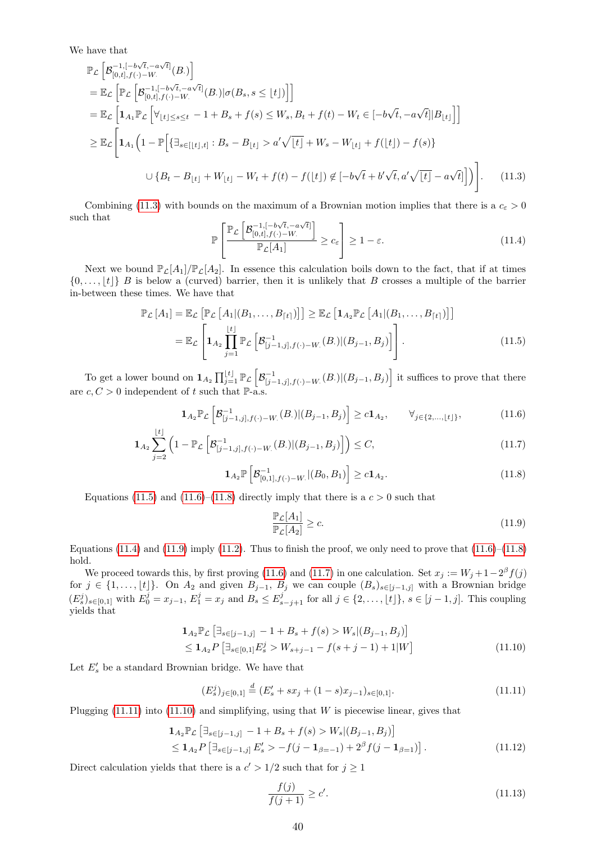We have that

$$
\mathbb{P}_{\mathcal{L}}\left[\mathcal{B}_{[0,t],f(\cdot)-W}^{-1,[-b\sqrt{t},-a\sqrt{t}]}(B.)\right]
$$
\n
$$
= \mathbb{E}_{\mathcal{L}}\left[\mathbb{P}_{\mathcal{L}}\left[\mathcal{B}_{[0,t],f(\cdot)-W}^{-1,[-b\sqrt{t},-a\sqrt{t}]}(B.)|\sigma(B_s,s\leq \lfloor t\rfloor)\right]\right]
$$
\n
$$
= \mathbb{E}_{\mathcal{L}}\left[\mathbf{1}_{A_1}\mathbb{P}_{\mathcal{L}}\left[\forall_{\lfloor t\rfloor\leq s\leq t}-1+B_s+f(s)\leq W_s,B_t+f(t)-W_t\in[-b\sqrt{t},-a\sqrt{t}][B_{\lfloor t\rfloor}]\right]\right]
$$
\n
$$
\geq \mathbb{E}_{\mathcal{L}}\left[\mathbf{1}_{A_1}\left(1-\mathbb{P}\left[\left\{\exists_{s\in[\lfloor t\rfloor,t\rfloor}:B_s-B_{\lfloor t\rfloor}>a'\sqrt{\lfloor t\rfloor}+W_s-W_{\lfloor t\rfloor}+f(\lfloor t\rfloor)-f(s)\right\}\right.\right]
$$
\n
$$
\cup\left\{B_t-B_{\lfloor t\rfloor}+W_{\lfloor t\rfloor}-W_t+f(t)-f(\lfloor t\rfloor)\notin[-b\sqrt{t}+b'\sqrt{t},a'\sqrt{\lfloor t\rfloor}-a\sqrt{t}]\right]\right).
$$
\n(11.3)

Combining [\(11.3\)](#page-39-0) with bounds on the maximum of a Brownian motion implies that there is a  $c_{\varepsilon} > 0$ such that √ √

<span id="page-39-4"></span><span id="page-39-0"></span>
$$
\mathbb{P}\left[\frac{\mathbb{P}_{\mathcal{L}}\left[\mathcal{B}_{[0,t],f}^{-1,[-b\sqrt{t},-a\sqrt{t}]} \right]}{\mathbb{P}_{\mathcal{L}}[A_1]}\geq c_{\varepsilon}\right] \geq 1-\varepsilon.
$$
\n(11.4)

Next we bound  $\mathbb{P}_{\mathcal{L}}[A_1]/\mathbb{P}_{\mathcal{L}}[A_2]$ . In essence this calculation boils down to the fact, that if at times  $\{0, \ldots, |t|\}$  B is below a (curved) barrier, then it is unlikely that B crosses a multiple of the barrier in-between these times. We have that

$$
\mathbb{P}_{\mathcal{L}}[A_{1}] = \mathbb{E}_{\mathcal{L}}\left[\mathbb{P}_{\mathcal{L}}\left[A_{1}|(B_{1},...,B_{\lceil t\rceil})\right]\right] \geq \mathbb{E}_{\mathcal{L}}\left[\mathbf{1}_{A_{2}}\mathbb{P}_{\mathcal{L}}\left[A_{1}|(B_{1},...,B_{\lceil t\rceil})\right]\right]
$$
\n
$$
= \mathbb{E}_{\mathcal{L}}\left[\mathbf{1}_{A_{2}}\prod_{j=1}^{\lfloor t\rfloor}\mathbb{P}_{\mathcal{L}}\left[\mathcal{B}_{\lceil j-1,j\rceil,f(\cdot)-W}(B_{\cdot})|(B_{j-1},B_{j})\right]\right].
$$
\n(11.5)

To get a lower bound on  $\mathbf{1}_{A_2} \prod_{j=1}^{\lfloor t \rfloor} \mathbb{P}_{\mathcal{L}} \left[ \mathcal{B}_{\lfloor j-1,j \rfloor,f(\cdot)-W_\cdot}(B_\cdot) | (B_{j-1},B_j) \right]$  it suffices to prove that there are  $c, C > 0$  independent of t such that  $\mathbb{P}\text{-a.s.}$ 

$$
\mathbf{1}_{A_2} \mathbb{P}_{\mathcal{L}} \left[ \mathcal{B}_{[j-1,j],f(\cdot)-W_\cdot}^{-1}(B_\cdot) \middle| (B_{j-1}, B_j) \right] \ge c \mathbf{1}_{A_2}, \qquad \forall_{j \in \{2,\dots, \lfloor t \rfloor\}},
$$
(11.6)

$$
\mathbf{1}_{A_2} \sum_{j=2}^{\lfloor t \rfloor} \left( 1 - \mathbb{P}_{\mathcal{L}} \left[ \mathcal{B}_{[j-1,j],f(\cdot)-W_\cdot}^{-1}(B_\cdot) \middle| (B_{j-1}, B_j) \right] \right) \le C, \tag{11.7}
$$

$$
\mathbf{1}_{A_2} \mathbb{P} \left[ \mathcal{B}_{[0,1],f(\cdot)-W_\cdot}^{-1} | (B_0, B_1) \right] \geq c \mathbf{1}_{A_2}.
$$
 (11.8)

Equations [\(11.5\)](#page-39-1) and [\(11.6\)](#page-39-2)–[\(11.8\)](#page-39-3) directly imply that there is a  $c > 0$  such that

<span id="page-39-8"></span><span id="page-39-6"></span><span id="page-39-5"></span><span id="page-39-3"></span><span id="page-39-2"></span><span id="page-39-1"></span>
$$
\frac{\mathbb{P}_{\mathcal{L}}[A_1]}{\mathbb{P}_{\mathcal{L}}[A_2]} \ge c.
$$
\n(11.9)

Equations [\(11.4\)](#page-39-4) and [\(11.9\)](#page-39-5) imply [\(11.2\)](#page-38-2). Thus to finish the proof, we only need to prove that  $(11.6)$ – $(11.8)$ hold.

We proceed towards this, by first proving [\(11.6\)](#page-39-2) and [\(11.7\)](#page-39-6) in one calculation. Set  $x_j := W_j + 1 - 2^{\beta} f(j)$ for  $j \in \{1, \ldots, \lfloor t \rfloor\}$ . On  $A_2$  and given  $B_{j-1}$ ,  $B_j$  we can couple  $(B_s)_{s\in [j-1,j]}$  with a Brownian bridge  $(E_s^j)_{s \in [0,1]}$  with  $E_0^j = x_{j-1}, E_1^j = x_j$  and  $B_s \le E_{s-j+1}^j$  for all  $j \in \{2, \ldots, \lfloor t \rfloor\}, s \in [j-1, j]$ . This coupling yields that

$$
\mathbf{1}_{A_2} \mathbb{P}_{\mathcal{L}} \left[ \exists_{s \in [j-1,j]} -1 + B_s + f(s) > W_s | (B_{j-1}, B_j) \right] \\
 \leq \mathbf{1}_{A_2} P \left[ \exists_{s \in [0,1]} E_s^j > W_{s+j-1} - f(s+j-1) + 1 | W \right] \n \tag{11.10}
$$

Let  $E'_s$  be a standard Brownian bridge. We have that

<span id="page-39-7"></span>
$$
(E_s^j)_{j \in [0,1]} \stackrel{d}{=} (E_s' + sx_j + (1-s)x_{j-1})_{s \in [0,1]}.
$$
\n(11.11)

Plugging  $(11.11)$  into  $(11.10)$  and simplifying, using that W is piecewise linear, gives that

$$
\mathbf{1}_{A_2} \mathbb{P}_{\mathcal{L}} \left[ \exists_{s \in [j-1,j]} -1 + B_s + f(s) > W_s | (B_{j-1}, B_j) \right] \\
 \leq \mathbf{1}_{A_2} P \left[ \exists_{s \in [j-1,j]} E'_s > -f(j - \mathbf{1}_{\beta=-1}) + 2^{\beta} f(j - \mathbf{1}_{\beta=1}) \right]. \tag{11.12}
$$

Direct calculation yields that there is a  $c' > 1/2$  such that for  $j \ge 1$ 

<span id="page-39-10"></span><span id="page-39-9"></span>
$$
\frac{f(j)}{f(j+1)} \ge c'.\tag{11.13}
$$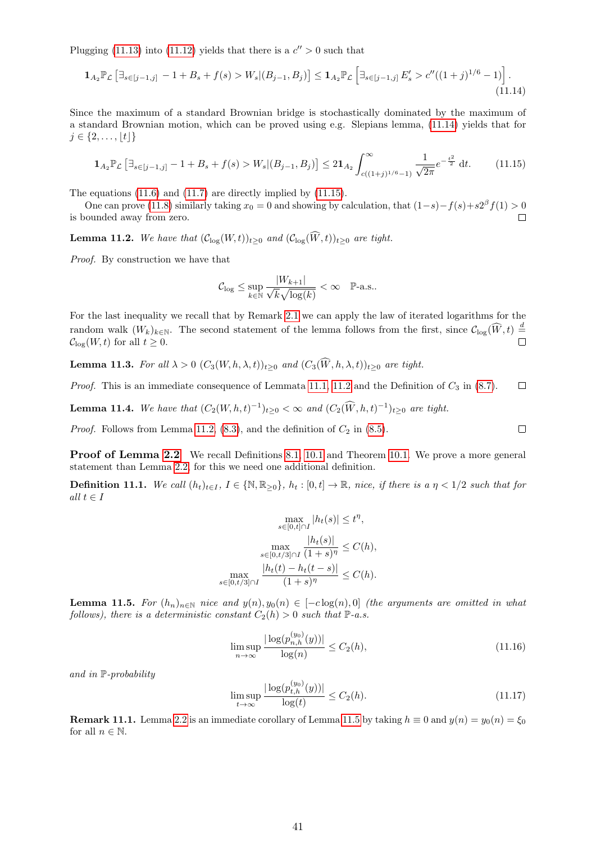Plugging [\(11.13\)](#page-39-9) into [\(11.12\)](#page-39-10) yields that there is a  $c'' > 0$  such that

$$
\mathbf{1}_{A_2} \mathbb{P}_{\mathcal{L}} \left[ \exists_{s \in [j-1,j]} -1 + B_s + f(s) > W_s | (B_{j-1}, B_j) \right] \leq \mathbf{1}_{A_2} \mathbb{P}_{\mathcal{L}} \left[ \exists_{s \in [j-1,j]} E'_s > c''((1+j)^{1/6} - 1) \right]. \tag{11.14}
$$

Since the maximum of a standard Brownian bridge is stochastically dominated by the maximum of a standard Brownian motion, which can be proved using e.g. Slepians lemma, [\(11.14\)](#page-40-0) yields that for  $j \in \{2, \ldots, |t|\}$ 

<span id="page-40-1"></span>
$$
\mathbf{1}_{A_2} \mathbb{P}_{\mathcal{L}} \left[ \exists_{s \in [j-1,j]} - 1 + B_s + f(s) > W_s | (B_{j-1}, B_j) \right] \leq 2 \mathbf{1}_{A_2} \int_{c((1+j)^{1/6}-1)}^{\infty} \frac{1}{\sqrt{2\pi}} e^{-\frac{t^2}{2}} \, \mathrm{d}t. \tag{11.15}
$$

The equations [\(11.6\)](#page-39-2) and [\(11.7\)](#page-39-6) are directly implied by [\(11.15\)](#page-40-1).

One can prove [\(11.8\)](#page-39-3) similarly taking  $x_0 = 0$  and showing by calculation, that  $(1-s) - f(s) + s2^{\beta} f(1) > 0$ is bounded away from zero.  $\Box$ 

<span id="page-40-2"></span>**Lemma 11.2.** We have that  $(\mathcal{C}_{\text{log}}(W, t))_{t \geq 0}$  and  $(\mathcal{C}_{\text{log}}(\widehat{W}, t))_{t \geq 0}$  are tight.

Proof. By construction we have that

<span id="page-40-0"></span>
$$
\mathcal{C}_{\log} \le \sup_{k \in \mathbb{N}} \frac{|W_{k+1}|}{\sqrt{k} \sqrt{\log(k)}} < \infty \quad \mathbb{P}\text{-a.s.}.
$$

For the last inequality we recall that by Remark [2.1](#page-2-5) we can apply the law of iterated logarithms for the random walk  $(W_k)_{k \in \mathbb{N}}$ . The second statement of the lemma follows from the first, since  $\mathcal{C}_{\log}(\widehat{W}, t) \stackrel{d}{=}$  $\Box$  $\mathcal{C}_{\log}(W, t)$  for all  $t \geq 0$ .

**Lemma 11.3.** For all  $\lambda > 0$   $(C_3(W, h, \lambda, t))_{t>0}$  and  $(C_3(\widehat{W}, h, \lambda, t))_{t>0}$  are tight.

*Proof.* This is an immediate consequence of Lemmata [11.1,](#page-38-3) [11.2](#page-40-2) and the Definition of  $C_3$  in [\(8.7\)](#page-17-10).  $\Box$ 

<span id="page-40-6"></span>**Lemma 11.4.** We have that  $(C_2(W, h, t)^{-1})_{t \geq 0} < \infty$  and  $(C_2(W, h, t)^{-1})_{t \geq 0}$  are tight.

*Proof.* Follows from Lemma [11.2,](#page-40-2) [\(8.3\)](#page-17-7), and the definition of  $C_2$  in [\(8.5\)](#page-17-11).

**Proof of Lemma [2.2](#page-3-7)** We recall Definitions [8.1,](#page-17-12) [10.1](#page-35-4) and Theorem [10.1.](#page-37-1) We prove a more general statement than Lemma [2.2,](#page-3-7) for this we need one additional definition.

**Definition 11.1.** We call  $(h_t)_{t\in I}$ ,  $I \in \{\mathbb{N}, \mathbb{R}_{\geq 0}\}$ ,  $h_t : [0, t] \to \mathbb{R}$ , nice, if there is a  $\eta < 1/2$  such that for all  $t \in I$ 

$$
\max_{s \in [0,t] \cap I} |h_t(s)| \le t^{\eta},
$$

$$
\max_{s \in [0,t/3] \cap I} \frac{|h_t(s)|}{(1+s)^{\eta}} \le C(h),
$$

$$
\max_{s \in [0,t/3] \cap I} \frac{|h_t(t) - h_t(t-s)|}{(1+s)^{\eta}} \le C(h).
$$

<span id="page-40-3"></span>**Lemma 11.5.** For  $(h_n)_{n\in\mathbb{N}}$  nice and  $y(n), y_0(n) \in [-c \log(n), 0]$  (the arguments are omitted in what follows), there is a deterministic constant  $C_2(h) > 0$  such that  $\mathbb{P}\text{-}a.s.$ 

<span id="page-40-4"></span>
$$
\limsup_{n \to \infty} \frac{|\log(p_{n,h}^{(y_0)}(y))|}{\log(n)} \le C_2(h),\tag{11.16}
$$

and in P-probability

<span id="page-40-5"></span>
$$
\limsup_{t \to \infty} \frac{|\log(p_{t,h}^{(y_0)}(y))|}{\log(t)} \le C_2(h). \tag{11.17}
$$

**Remark 11.1.** Lemma [2.2](#page-3-7) is an immediate corollary of Lemma [11.5](#page-40-3) by taking  $h \equiv 0$  and  $y(n) = y_0(n) = \xi_0$ for all  $n \in \mathbb{N}$ .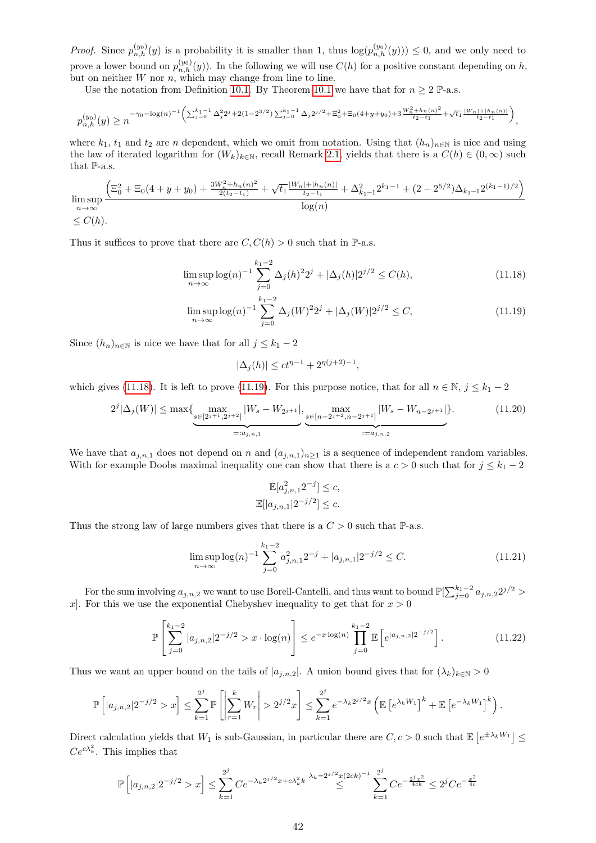*Proof.* Since  $p_{n,h}^{(y_0)}(y)$  is a probability it is smaller than 1, thus  $log(p_{n,h}^{(y_0)}(y)) \leq 0$ , and we only need to prove a lower bound on  $p_{n,h}^{(y_0)}(y)$ . In the following we will use  $C(h)$  for a positive constant depending on h, but on neither  $W$  nor  $n$ , which may change from line to line.

Use the notation from Definition [10.1.](#page-35-4) By Theorem [10.1](#page-37-1) we have that for  $n \geq 2$  P-a.s.

$$
p_{n,h}^{(y_0)}(y) \ge n^{-\gamma_0 - \log(n)^{-1} \left( \sum_{j=0}^{k_1-1} \Delta_j^2 2^j + 2(1-2^{3/2}) \sum_{j=0}^{k_1-1} \Delta_j 2^{j/2} + \Xi_0^2 + \Xi_0 (4+y+y_0) + 3 \frac{W_n^2 + h_n(n)^2}{t_2 - t_1} + \sqrt{t_1} \frac{|W_n| + |h_n(n)|}{t_2 - t_1} \right)},
$$

where  $k_1$ ,  $t_1$  and  $t_2$  are n dependent, which we omit from notation. Using that  $(h_n)_{n\in\mathbb{N}}$  is nice and using the law of iterated logarithm for  $(W_k)_{k\in\mathbb{N}}$ , recall Remark [2.1,](#page-2-5) yields that there is a  $C(h) \in (0,\infty)$  such that P-a.s.

$$
\limsup_{n \to \infty} \frac{\left(\Xi_0^2 + \Xi_0(4 + y + y_0) + \frac{3W_n^2 + h_n(n)^2}{2(t_2 - t_1)} + \sqrt{t_1} \frac{|W_n| + |h_n(n)|}{t_2 - t_1} + \Delta_{k_1 - 1}^2 2^{k_1 - 1} + (2 - 2^{5/2})\Delta_{k_1 - 1} 2^{(k_1 - 1)/2}\right)}{\log(n)}
$$
  
  $\leq C(h)$ .

Thus it suffices to prove that there are  $C, C(h) > 0$  such that in P-a.s.

$$
\limsup_{n \to \infty} \log(n)^{-1} \sum_{j=0}^{k_1 - 2} \Delta_j(h)^2 2^j + |\Delta_j(h)| 2^{j/2} \le C(h),\tag{11.18}
$$

$$
\limsup_{n \to \infty} \log(n)^{-1} \sum_{j=0}^{k_1 - 2} \Delta_j(W)^2 2^j + |\Delta_j(W)| 2^{j/2} \le C,\tag{11.19}
$$

Since  $(h_n)_{n\in\mathbb{N}}$  is nice we have that for all  $j \leq k_1 - 2$ 

<span id="page-41-1"></span><span id="page-41-0"></span>
$$
|\Delta_j(h)| \le ct^{\eta-1} + 2^{\eta(j+2)-1},
$$

which gives [\(11.18\)](#page-41-0). It is left to prove [\(11.19\)](#page-41-1). For this purpose notice, that for all  $n \in \mathbb{N}$ ,  $j \leq k_1 - 2$ 

$$
2^{j}|\Delta_j(W)| \le \max\{\max_{s \in [2^{j+1}, 2^{j+2}]} |W_s - W_{2^{j+1}}|, \underbrace{\max_{s \in [n-2^{j+2}, n-2^{j+1}]} |W_s - W_{n-2^{j+1}}|}_{:=a_{j,n,2}}\}.
$$
\n(11.20)

We have that  $a_{j,n,1}$  does not depend on n and  $(a_{j,n,1})_{n\geq 1}$  is a sequence of independent random variables. With for example Doobs maximal inequality one can show that there is a  $c > 0$  such that for  $j \leq k_1 - 2$ 

<span id="page-41-4"></span><span id="page-41-3"></span><span id="page-41-2"></span>
$$
\mathbb{E}[a_{j,n,1}^2 2^{-j}] \leq c,
$$
  

$$
\mathbb{E}[|a_{j,n,1}| 2^{-j/2}] \leq c.
$$

Thus the strong law of large numbers gives that there is a  $C > 0$  such that  $\mathbb{P}\text{-a.s.}$ 

$$
\limsup_{n \to \infty} \log(n)^{-1} \sum_{j=0}^{k_1 - 2} a_{j,n,1}^2 2^{-j} + |a_{j,n,1}| 2^{-j/2} \le C. \tag{11.21}
$$

For the sum involving  $a_{j,n,2}$  we want to use Borell-Cantelli, and thus want to bound  $\mathbb{P}[\sum_{j=0}^{k_1-2} a_{j,n,2} 2^{j/2} >$ x. For this we use the exponential Chebyshev inequality to get that for  $x > 0$ 

$$
\mathbb{P}\left[\sum_{j=0}^{k_1-2} |a_{j,n,2}| 2^{-j/2} > x \cdot \log(n) \right] \le e^{-x \log(n)} \prod_{j=0}^{k_1-2} \mathbb{E}\left[e^{|a_{j,n,2}| 2^{-j/2}}\right].\tag{11.22}
$$

Thus we want an upper bound on the tails of  $|a_{j,n,2}|$ . A union bound gives that for  $(\lambda_k)_{k\in\mathbb{N}}>0$ 

$$
\mathbb{P}\left[|a_{j,n,2}|2^{-j/2} > x\right] \leq \sum_{k=1}^{2^j} \mathbb{P}\left[\left|\sum_{r=1}^k W_r\right| > 2^{j/2} x\right] \leq \sum_{k=1}^{2^j} e^{-\lambda_k 2^{j/2} x} \left(\mathbb{E}\left[e^{\lambda_k W_1}\right]^k + \mathbb{E}\left[e^{-\lambda_k W_1}\right]^k\right).
$$

Direct calculation yields that  $W_1$  is sub-Gaussian, in particular there are  $C, c > 0$  such that  $\mathbb{E}\left[e^{\pm \lambda_k W_1}\right] \leq$  $Ce^{c\lambda_k^2}$ . This implies that

$$
\mathbb{P}\left[|a_{j,n,2}|2^{-j/2} > x\right] \leq \sum_{k=1}^{2^j} C e^{-\lambda_k 2^{j/2} x + c\lambda_k^2 k} \stackrel{\lambda_k = 2^{j/2} x (2ck)^{-1}}{\leq} \sum_{k=1}^{2^j} C e^{-\frac{2^j x^2}{4ck}} \leq 2^j C e^{-\frac{x^2}{4c}}
$$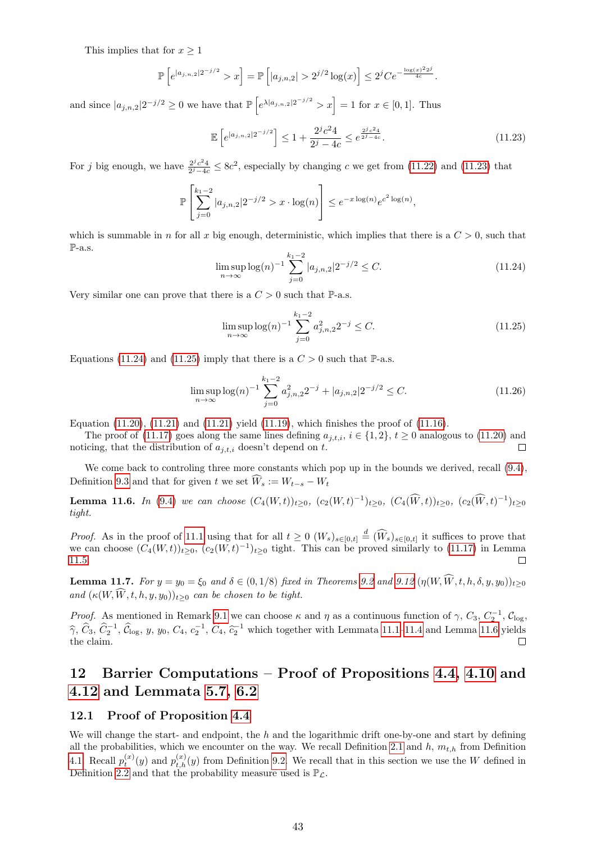This implies that for  $x \geq 1$ 

$$
\mathbb{P}\left[e^{|a_{j,n,2}|2^{-j/2}} > x\right] = \mathbb{P}\left[|a_{j,n,2}| > 2^{j/2}\log(x)\right] \le 2^j Ce^{-\frac{\log(x)^2 2^j}{4c}}.
$$

and since  $|a_{j,n,2}|2^{-j/2} \ge 0$  we have that  $\mathbb{P}\left[e^{\lambda |a_{j,n,2}|2^{-j/2}} > x\right] = 1$  for  $x \in [0,1]$ . Thus

<span id="page-42-1"></span>
$$
\mathbb{E}\left[e^{|a_{j,n,2}|2^{-j/2}}\right] \le 1 + \frac{2^j c^2 4}{2^j - 4c} \le e^{\frac{2^j c^2 4}{2^j - 4c}}.\tag{11.23}
$$

For j big enough, we have  $\frac{2^j c^2 4}{2^j-4c} \leq 8c^2$ , especially by changing c we get from [\(11.22\)](#page-41-2) and [\(11.23\)](#page-42-1) that

$$
\mathbb{P}\left[\sum_{j=0}^{k_1-2} |a_{j,n,2}| 2^{-j/2} > x \cdot \log(n)\right] \le e^{-x \log(n)} e^{c^2 \log(n)},
$$

which is summable in n for all x big enough, deterministic, which implies that there is a  $C > 0$ , such that P-a.s.

<span id="page-42-2"></span>
$$
\limsup_{n \to \infty} \log(n)^{-1} \sum_{j=0}^{k_1 - 2} |a_{j,n,2}| 2^{-j/2} \le C. \tag{11.24}
$$

Very similar one can prove that there is a  $C > 0$  such that  $\mathbb{P}\text{-a.s.}$ 

<span id="page-42-3"></span>
$$
\limsup_{n \to \infty} \log(n)^{-1} \sum_{j=0}^{k_1 - 2} a_{j, n, 2}^2 2^{-j} \le C. \tag{11.25}
$$

Equations [\(11.24\)](#page-42-2) and [\(11.25\)](#page-42-3) imply that there is a  $C > 0$  such that P-a.s.

$$
\limsup_{n \to \infty} \log(n)^{-1} \sum_{j=0}^{k_1 - 2} a_{j,n,2}^2 2^{-j} + |a_{j,n,2}| 2^{-j/2} \le C. \tag{11.26}
$$

Equation  $(11.20)$ ,  $(11.21)$  and  $(11.21)$  yield  $(11.19)$ , which finishes the proof of  $(11.16)$ .

The proof of [\(11.17\)](#page-40-5) goes along the same lines defining  $a_{i,t,i}$ ,  $i \in \{1,2\}$ ,  $t \ge 0$  analogous to [\(11.20\)](#page-41-3) and noticing, that the distribution of  $a_{j,t,i}$  doesn't depend on t.  $\Box$ 

We come back to controling three more constants which pop up in the bounds we derived, recall  $(9.4)$ , Definition [9.3](#page-30-5) and that for given t we set  $\widehat{W}_s := W_{t-s} - W_t$ 

<span id="page-42-4"></span>**Lemma 11.6.** In [\(9.4\)](#page-29-6) we can choose  $(C_4(W,t))_{t\geq0}$ ,  $(c_2(W,t)^{-1})_{t\geq0}$ ,  $(C_4(\widetilde{W},t))_{t\geq0}$ ,  $(c_2(\widetilde{W},t)^{-1})_{t\geq0}$ tight.

*Proof.* As in the proof of [11.1](#page-38-3) using that for all  $t \geq 0$   $(W_s)_{s\in[0,t]} \stackrel{d}{=} (\widehat{W}_s)_{s\in[0,t]}$  it suffices to prove that we can choose  $(C_4(W,t))_{t\geq0}$ ,  $(c_2(W,t)^{-1})_{t\geq0}$  tight. This can be proved similarly to [\(11.17\)](#page-40-5) in Lemma  $\Box$ [11.5.](#page-40-3)

<span id="page-42-5"></span>**Lemma 11.7.** For  $y = y_0 = \xi_0$  and  $\delta \in (0, 1/8)$  fixed in Theorems [9.2](#page-30-1) and [9.12](#page-34-4)  $(\eta(W, \widehat{W}, t, h, \delta, y, y_0))_{t \geq 0}$ and  $(\kappa(W, \tilde{W}, t, h, y, y_0))_{t>0}$  can be chosen to be tight.

*Proof.* As mentioned in Remark [9.1](#page-30-9) we can choose  $\kappa$  and  $\eta$  as a continuous function of  $\gamma$ ,  $C_3$ ,  $C_2^{-1}$ ,  $C_{\log}$ ,  $\hat{\gamma}, \hat{C}_3, \hat{C}_2^{-1}, \hat{C}_{\log}, y, y_0, C_4, c_2^{-1}, \hat{C}_4, \hat{c}_2^{-1}$  which together with Lemmata [11.1](#page-38-3)[–11.4](#page-40-6) and Lemma [11.6](#page-42-4) yields the claim the claim. П

# <span id="page-42-0"></span>12 Barrier Computations – Proof of Propositions [4.4,](#page-6-2) [4.10](#page-7-5) and [4.12](#page-8-0) and Lemmata [5.7,](#page-12-0) [6.2](#page-14-1)

#### <span id="page-42-6"></span>12.1 Proof of Proposition [4.4](#page-6-2)

We will change the start- and endpoint, the  $h$  and the logarithmic drift one-by-one and start by defining all the probabilities, which we encounter on the way. We recall Definition [2.1](#page-2-4) and  $h, m_{t,h}$  from Definition [4.1.](#page-6-7) Recall  $p_t^{(x)}(y)$  and  $p_{t,h}^{(x)}(y)$  from Definition [9.2.](#page-29-3) We recall that in this section we use the W defined in Definition [2.2](#page-2-0) and that the probability measure used is  $\mathbb{P}_{\mathcal{L}}$ .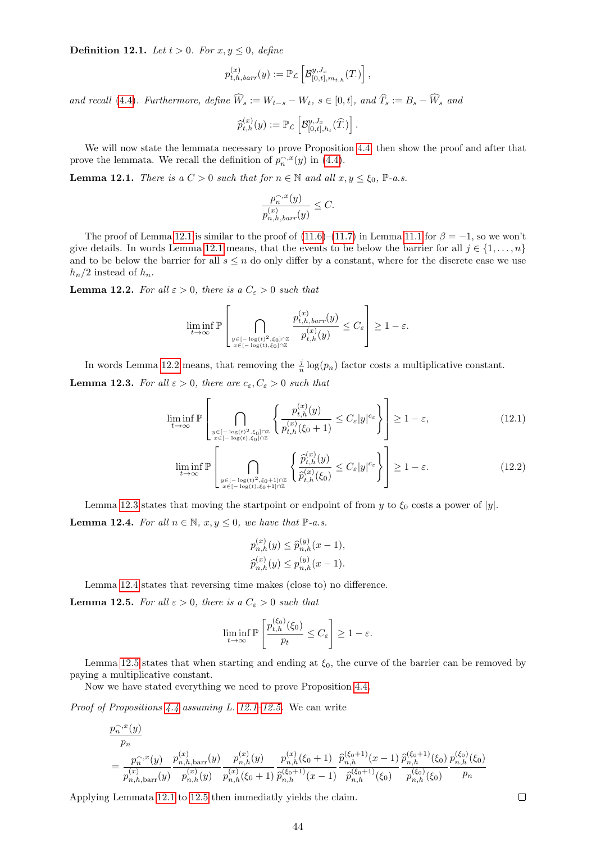<span id="page-43-7"></span>**Definition 12.1.** Let  $t > 0$ . For  $x, y \leq 0$ , define

$$
p_{t,h,barr}^{(x)}(y) := \mathbb{P}_{\mathcal{L}}\left[\mathcal{B}_{[0,t],m_{t,h}}^{y,J_x}(T)\right],
$$

and recall [\(4.4\)](#page-6-1). Furthermore, define  $\widehat{W}_s := W_{t-s} - W_t$ ,  $s \in [0, t]$ , and  $\widehat{T}_s := B_s - \widehat{W}_s$  and

$$
\widehat{p}_{t,h}^{(x)}(y) := \mathbb{P}_{\mathcal{L}}\left[\mathcal{B}_{[0,t],h_t}^{y, J_x}(\widehat{T})\right].
$$

We will now state the lemmata necessary to prove Proposition [4.4,](#page-6-2) then show the proof and after that prove the lemmata. We recall the definition of  $p_n^{\frown,x}(y)$  in [\(4.4\)](#page-6-1).

<span id="page-43-0"></span>**Lemma 12.1.** There is a  $C > 0$  such that for  $n \in \mathbb{N}$  and all  $x, y \leq \xi_0$ ,  $\mathbb{P}\text{-}a.s.$ 

$$
\frac{p_n^{\frown,x}(y)}{p_{n,h,barr}^{(x)}(y)} \leq C.
$$

The proof of Lemma [12.1](#page-43-0) is similar to the proof of  $(11.6)–(11.7)$  $(11.6)–(11.7)$  $(11.6)–(11.7)$  in Lemma [11.1](#page-38-3) for  $\beta = -1$ , so we won't give details. In words Lemma [12.1](#page-43-0) means, that the events to be below the barrier for all  $j \in \{1, \ldots, n\}$ and to be below the barrier for all  $s \leq n$  do only differ by a constant, where for the discrete case we use  $h_n/2$  instead of  $h_n$ .

<span id="page-43-1"></span>**Lemma 12.2.** For all  $\varepsilon > 0$ , there is a  $C_{\varepsilon} > 0$  such that

$$
\liminf_{t\to\infty}\mathbb{P}\left[\bigcap_{\stackrel{y\in[-\log(t)^2,\xi_0]\cap\mathbb{Z}}{x\in[-\log(t),\xi_0]\cap\mathbb{Z}}} \frac{p_{t,h,barr}^{(x)}(y)}{p_{t,h}^{(x)}(y)}\leq C_\varepsilon\right]\geq 1-\varepsilon.
$$

In words Lemma [12.2](#page-43-1) means, that removing the  $\frac{j}{n} \log(p_n)$  factor costs a multiplicative constant.

<span id="page-43-2"></span>**Lemma 12.3.** For all  $\varepsilon > 0$ , there are  $c_{\varepsilon}, C_{\varepsilon} > 0$  such that

$$
\liminf_{t \to \infty} \mathbb{P}\left[\bigcap_{\substack{y \in [-\log(t)^2, \xi_0] \cap \mathbb{Z} \\ x \in [-\log(t), \xi_0] \cap \mathbb{Z}}} \left\{ \frac{p_{t,h}^{(x)}(y)}{p_{t,h}^{(x)}(\xi_0 + 1)} \le C_{\varepsilon} |y|^{c_{\varepsilon}} \right\} \right] \ge 1 - \varepsilon,
$$
\n(12.1)

$$
\liminf_{t \to \infty} \mathbb{P} \left[ \bigcap_{\substack{y \in [-\log(t)^2, \xi_0 + 1] \cap \mathbb{Z} \\ x \in [-\log(t), \xi_0 + 1] \cap \mathbb{Z}}} \left\{ \frac{\widehat{p}_{t,h}^{(x)}(y)}{\widehat{p}_{t,h}^{(x)}(\xi_0)} \le C_{\varepsilon} |y|^{c_{\varepsilon}} \right\} \right] \ge 1 - \varepsilon. \tag{12.2}
$$

<span id="page-43-3"></span>Lemma [12.3](#page-43-2) states that moving the startpoint or endpoint of from y to  $\xi_0$  costs a power of |y|. **Lemma 12.4.** For all  $n \in \mathbb{N}$ ,  $x, y \leq 0$ , we have that  $\mathbb{P}\text{-}a.s.$ 

<span id="page-43-6"></span><span id="page-43-5"></span>
$$
p_{n,h}^{(x)}(y) \le \widehat{p}_{n,h}^{(y)}(x-1),
$$
  

$$
\widehat{p}_{n,h}^{(x)}(y) \le p_{n,h}^{(y)}(x-1).
$$

Lemma [12.4](#page-43-3) states that reversing time makes (close to) no difference.

<span id="page-43-4"></span>**Lemma 12.5.** For all  $\varepsilon > 0$ , there is a  $C_{\varepsilon} > 0$  such that

$$
\liminf_{t \to \infty} \mathbb{P}\left[\frac{p_{t,h}^{(\xi_0)}(\xi_0)}{p_t} \le C_{\varepsilon}\right] \ge 1 - \varepsilon.
$$

Lemma [12.5](#page-43-4) states that when starting and ending at  $\xi_0$ , the curve of the barrier can be removed by paying a multiplicative constant.

Now we have stated everything we need to prove Proposition [4.4.](#page-6-2)

*Proof of Propositions [4.4](#page-6-2) assuming L. [12.1–](#page-43-0)[12.5.](#page-43-4)* We can write

$$
\frac{p_n^{\gamma,x}(y)}{p_n} = \frac{p_n^{\gamma,x}(y)}{p_{n,h,\text{barr}}^{(x)}(y)} \frac{p_{n,h,\text{barr}}^{(x)}(y)}{p_{n,h}^{(x)}(y)} \frac{p_{n,h}^{(x)}(y)}{p_{n,h}^{(x)}(\xi_0+1)} \frac{p_{n,h}^{(x)}(\xi_0+1)}{p_{n,h}^{(x)}(\xi_0+1)} \frac{p_{n,h}^{(\xi_0+1)}(x-1)}{p_{n,h}^{(\xi_0+1)}(\xi_0)} \frac{p_{n,h}^{(\xi_0+1)}(\xi_0)}{p_{n,h}^{(\xi_0)}(\xi_0)} \frac{p_{n,h}^{(\xi_0)}(\xi_0)}{p_n}
$$

Applying Lemmata [12.1](#page-43-0) to [12.5](#page-43-4) then immediatly yields the claim.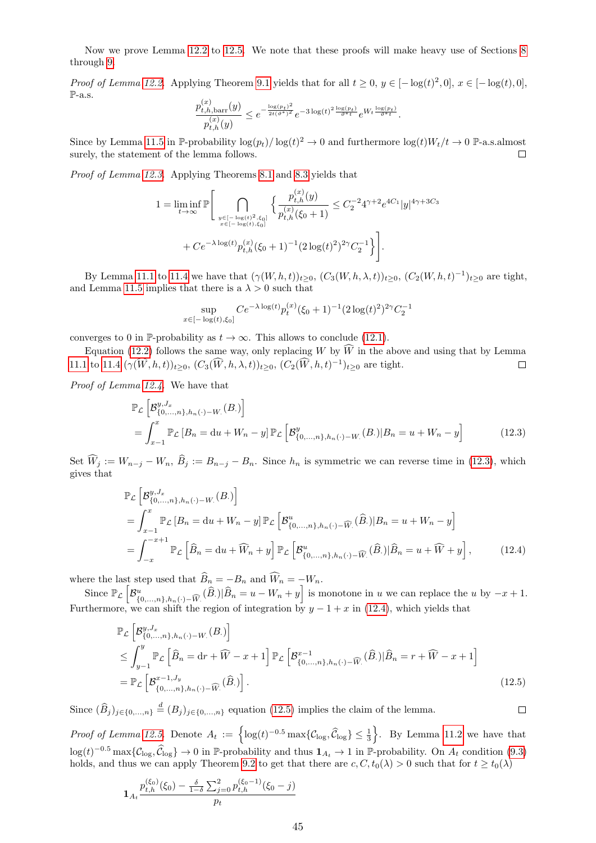Now we prove Lemma [12.2](#page-43-1) to [12.5.](#page-43-4) We note that these proofs will make heavy use of Sections [8](#page-17-0) through [9.](#page-28-0)

*Proof of Lemma [12.2.](#page-43-1)* Applying Theorem [9.1](#page-28-2) yields that for all  $t \ge 0$ ,  $y \in [-\log(t)^2, 0]$ ,  $x \in [-\log(t), 0]$ ,  $\mathbb{P}\text{-a.s.}$ 

$$
\frac{p_{t,h,\text{barr}}^{(x)}(y)}{p_{t,h}^{(x)}(y)} \leq e^{-\frac{\log(p_t)^2}{2t(\vartheta^*)^2}} e^{-3\log(t)^2 \frac{\log(p_t)}{\vartheta^* t}} e^{W_t \frac{\log(p_t)}{\vartheta^* t}}.
$$

Since by Lemma [11.5](#page-40-3) in P-probability  $\log(p_t)/\log(t)^2 \to 0$  and furthermore  $\log(t)W_t/t \to 0$  P-a.s.almost surely, the statement of the lemma follows.  $\Box$ 

Proof of Lemma [12.3.](#page-43-2) Applying Theorems [8.1](#page-18-2) and [8.3](#page-18-4) yields that

$$
1 = \liminf_{t \to \infty} \mathbb{P} \Bigg[ \bigcap_{\substack{y \in [-\log(t)^2, \xi_0] \\ x \in [-\log(t), \xi_0]}} \left\{ \frac{p_{t,h}^{(x)}(y)}{p_{t,h}^{(x)}(\xi_0 + 1)} \le C_2^{-2} 4^{\gamma + 2} e^{4C_1} |y|^{4\gamma + 3C_3} + C e^{-\lambda \log(t)} p_{t,h}^{(x)}(\xi_0 + 1)^{-1} (2 \log(t)^2)^{2\gamma} C_2^{-1} \right\} \Bigg].
$$

By Lemma [11.1](#page-38-3) to [11.4](#page-40-6) we have that  $(\gamma(W, h, t))_{t \geq 0}$ ,  $(C_3(W, h, \lambda, t))_{t \geq 0}$ ,  $(C_2(W, h, t)^{-1})_{t \geq 0}$  are tight, and Lemma [11.5](#page-40-3) implies that there is a  $\lambda > 0$  such that

<span id="page-44-0"></span>
$$
\sup_{x \in [-\log(t), \xi_0]} C e^{-\lambda \log(t)} p_t^{(x)} (\xi_0 + 1)^{-1} (2 \log(t)^2)^{2\gamma} C_2^{-1}
$$

converges to 0 in P-probability as  $t \to \infty$ . This allows to conclude [\(12.1\)](#page-43-5).

Equation [\(12.2\)](#page-43-6) follows the same way, only replacing W by  $\widehat{W}$  in the above and using that by Lemma 1 to 11.4  $(\gamma(\widehat{W}, h, t))_{t>0}$ ,  $(C_3(\widehat{W}, h, \lambda, t))_{t>0}$ ,  $(C_2(\widehat{W}, h, t)^{-1})_{t>0}$  are tight. [11.1](#page-38-3) to [11.4](#page-40-6)  $(\gamma(\hat{W}, h, t))_{t \geq 0}, (C_3(\hat{W}, h, \lambda, t))_{t \geq 0}, (C_2(\hat{W}, h, t)^{-1})_{t \geq 0}$  are tight.

Proof of Lemma [12.4.](#page-43-3) We have that

$$
\mathbb{P}_{\mathcal{L}}\left[\mathcal{B}_{\{0,\ldots,n\},h_n(\cdot)-W_\cdot}^{y,J_x}(B_\cdot)\right] \n= \int_{x-1}^x \mathbb{P}_{\mathcal{L}}\left[B_{n} = du + W_n - y\right] \mathbb{P}_{\mathcal{L}}\left[\mathcal{B}_{\{0,\ldots,n\},h_n(\cdot)-W_\cdot}^{y}(B_\cdot)|B_n = u + W_n - y\right]
$$
\n(12.3)

Set  $\widehat{W}_j := W_{n-j} - W_n$ ,  $\widehat{B}_j := B_{n-j} - B_n$ . Since  $h_n$  is symmetric we can reverse time in [\(12.3\)](#page-44-0), which gives that

<span id="page-44-1"></span>
$$
\mathbb{P}_{\mathcal{L}}\left[\mathcal{B}_{\{0,\ldots,n\},h_n(\cdot)-W_\cdot}^{y,J_x}(B_\cdot)\right]
$$
\n
$$
=\int_{x-1}^x \mathbb{P}_{\mathcal{L}}\left[B_n = \mathrm{d}u + W_n - y\right] \mathbb{P}_{\mathcal{L}}\left[\mathcal{B}_{\{0,\ldots,n\},h_n(\cdot)-\widehat{W}_\cdot}^{u}(\widehat{B}_\cdot)|B_n = u + W_n - y\right]
$$
\n
$$
=\int_{-x}^{-x+1} \mathbb{P}_{\mathcal{L}}\left[\widehat{B}_n = \mathrm{d}u + \widehat{W}_n + y\right] \mathbb{P}_{\mathcal{L}}\left[\mathcal{B}_{\{0,\ldots,n\},h_n(\cdot)-\widehat{W}_\cdot}^{u}(\widehat{B}_\cdot)|\widehat{B}_n = u + \widehat{W} + y\right],\tag{12.4}
$$

where the last step used that  $B_n = -B_n$  and  $W_n = -W_n$ .

Since  $\mathbb{P}_{\mathcal{L}}\left[\mathcal{B}_{\mathcal{L}}^{u}\right]$  ${u \choose {0,\ldots,n},h_{n}(\cdot)-\widehat{W}}(\widehat{B})|\widehat{B}_n=u-W_n+y\Bigr]$  is monotone in u we can replace the u by  $-x+1$ . Furthermore, we can shift the region of integration by  $y - 1 + x$  in [\(12.4\)](#page-44-1), which yields that

<span id="page-44-2"></span>
$$
\mathbb{P}_{\mathcal{L}}\left[\mathcal{B}_{\{0,\ldots,n\},h_n(\cdot)-W}^{y,J_x}(\tilde{B})\right]
$$
\n
$$
\leq \int_{y-1}^{y} \mathbb{P}_{\mathcal{L}}\left[\widehat{B}_n = \mathrm{d}r + \widehat{W} - x + 1\right] \mathbb{P}_{\mathcal{L}}\left[\mathcal{B}_{\{0,\ldots,n\},h_n(\cdot)-\widehat{W}(\cdot)}^{x-1}(\widehat{B})|\widehat{B}_n = r + \widehat{W} - x + 1\right]
$$
\n
$$
= \mathbb{P}_{\mathcal{L}}\left[\mathcal{B}_{\{0,\ldots,n\},h_n(\cdot)-\widehat{W}(\cdot)}^{x-1}(\widehat{B})\right].
$$
\n(12.5)

Since  $(\widehat{B}_j)_{j\in\{0,\ldots,n\}} \stackrel{d}{=} (B_j)_{j\in\{0,\ldots,n\}}$  equation [\(12.5\)](#page-44-2) implies the claim of the lemma.

Proof of Lemma [12.5.](#page-43-4) Denote  $A_t := \left\{ \log(t)^{-0.5} \max\{ \mathcal{C}_{\log}, \widehat{\mathcal{C}}_{\log} \} \leq \frac{1}{3} \right\}$ . By Lemma [11.2](#page-40-2) we have that  $\log(t)^{-0.5} \max\{\mathcal{C}_{\log}, \widehat{\mathcal{C}}_{\log}\} \to 0$  in P-probability and thus  $\mathbf{1}_{A_t} \to 1$  in P-probability. On  $A_t$  condition [\(9.3\)](#page-29-4) holds, and thus we can apply Theorem [9.2](#page-30-1) to get that there are  $c, C, t_0(\lambda) > 0$  such that for  $t \ge t_0(\lambda)$ 

$$
\mathbf{1}_{A_t} \frac{p_{t,h}^{(\xi_0)}(\xi_0) - \frac{\delta}{1-\delta} \sum_{j=0}^2 p_{t,h}^{(\xi_0-1)}(\xi_0-j)}{p_t}
$$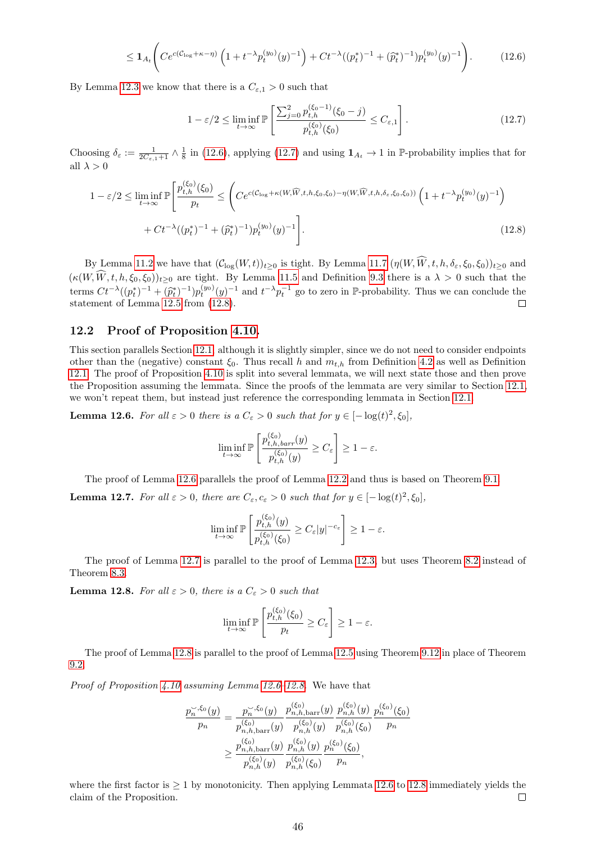$$
\leq \mathbf{1}_{A_t} \Bigg( C e^{c(C_{\log} + \kappa - \eta)} \left( 1 + t^{-\lambda} p_t^{(y_0)}(y)^{-1} \right) + C t^{-\lambda} ((p_t^*)^{-1} + (\widehat{p}_t^*)^{-1}) p_t^{(y_0)}(y)^{-1} \Bigg). \tag{12.6}
$$

By Lemma [12.3](#page-43-2) we know that there is a  $C_{\varepsilon,1} > 0$  such that

<span id="page-45-2"></span><span id="page-45-1"></span><span id="page-45-0"></span>
$$
1 - \varepsilon/2 \le \liminf_{t \to \infty} \mathbb{P}\left[\frac{\sum_{j=0}^{2} p_{t,h}^{(\xi_0 - 1)}(\xi_0 - j)}{p_{t,h}^{(\xi_0)}(\xi_0)} \le C_{\varepsilon,1}\right].
$$
\n(12.7)

Choosing  $\delta_{\varepsilon} := \frac{1}{2C_{\varepsilon,1}+1} \wedge \frac{1}{8}$  in [\(12.6\)](#page-45-0), applying [\(12.7\)](#page-45-1) and using  $\mathbf{1}_{A_t} \to 1$  in P-probability implies that for all  $\lambda > 0$ 

$$
1 - \varepsilon/2 \le \liminf_{t \to \infty} \mathbb{P}\left[\frac{p_{t,h}^{(\xi_0)}(\xi_0)}{p_t} \le \left( Ce^{c(C_{\log} + \kappa(W, \widehat{W}, t, h, \xi_0, \xi_0) - \eta(W, \widehat{W}, t, h, \delta_{\varepsilon}, \xi_0, \xi_0))} \left( 1 + t^{-\lambda} p_t^{(y_0)}(y)^{-1} \right) + Ct^{-\lambda}((p_t^*)^{-1} + (\widehat{p}_t^*)^{-1}) p_t^{(y_0)}(y)^{-1} \right].
$$
\n(12.8)

By Lemma [11.2](#page-40-2) we have that  $(C_{\log}(W,t))_{t\geq 0}$  is tight. By Lemma [11.7](#page-42-5)  $(\eta(W,\widehat{W},t,h,\delta_{\varepsilon},\xi_0,\xi_0))_{t\geq 0}$  and  $(\kappa(W, \widehat{W}, t, h, \xi_0, \xi_0))_{t \geq 0}$  are tight. By Lemma [11.5](#page-40-3) and Definition [9.3](#page-30-5) there is a  $\lambda > 0$  such that the terms  $Ct^{-\lambda}((p_t^*)^{-1} + (\hat{p}_t^*)^{-1})p_t^{(y_0)}(y)^{-1}$  and  $t^{-\lambda}p_t^{-1}$  go to zero in P-probability. Thus we can conclude the statement of Lemma [12.5](#page-43-4) from [\(12.8\)](#page-45-2).  $\Box$ 

#### 12.2 Proof of Proposition [4.10.](#page-7-5)

This section parallels Section [12.1,](#page-42-6) although it is slightly simpler, since we do not need to consider endpoints other than the (negative) constant  $\xi_0$ . Thus recall h and  $m_{t,h}$  from Definition [4.2](#page-7-8) as well as Definition [12.1.](#page-43-7) The proof of Proposition [4.10](#page-7-5) is split into several lemmata, we will next state those and then prove the Proposition assuming the lemmata. Since the proofs of the lemmata are very similar to Section [12.1,](#page-42-6) we won't repeat them, but instead just reference the corresponding lemmata in Section [12.1.](#page-42-6)

<span id="page-45-3"></span>**Lemma 12.6.** For all  $\varepsilon > 0$  there is a  $C_{\varepsilon} > 0$  such that for  $y \in [-\log(t)^2, \xi_0]$ ,

$$
\liminf_{t \to \infty} \mathbb{P}\left[\frac{p_{t,h,barr}^{(\xi_0)}(y)}{p_{t,h}^{(\xi_0)}(y)} \ge C_{\varepsilon}\right] \ge 1 - \varepsilon.
$$

The proof of Lemma [12.6](#page-45-3) parallels the proof of Lemma [12.2](#page-43-1) and thus is based on Theorem [9.1.](#page-28-2)

<span id="page-45-4"></span>**Lemma 12.7.** For all  $\varepsilon > 0$ , there are  $C_{\varepsilon}, c_{\varepsilon} > 0$  such that for  $y \in [-\log(t)^2, \xi_0]$ ,

$$
\liminf_{t \to \infty} \mathbb{P}\left[\frac{p_{t,h}^{(\xi_0)}(y)}{p_{t,h}^{(\xi_0)}(\xi_0)} \ge C_{\varepsilon}|y|^{-c_{\varepsilon}}\right] \ge 1 - \varepsilon.
$$

The proof of Lemma [12.7](#page-45-4) is parallel to the proof of Lemma [12.3,](#page-43-2) but uses Theorem [8.2](#page-18-3) instead of Theorem [8.3.](#page-18-4)

<span id="page-45-5"></span>**Lemma 12.8.** For all  $\varepsilon > 0$ , there is a  $C_{\varepsilon} > 0$  such that

$$
\liminf_{t \to \infty} \mathbb{P}\left[\frac{p_{t,h}^{(\xi_0)}(\xi_0)}{p_t} \ge C_{\varepsilon}\right] \ge 1 - \varepsilon.
$$

The proof of Lemma [12.8](#page-45-5) is parallel to the proof of Lemma [12.5](#page-43-4) using Theorem [9.12](#page-34-4) in place of Theorem [9.2.](#page-30-1)

*Proof of Proposition [4.10](#page-7-5) assuming Lemma [12.6](#page-45-3)[–12.8.](#page-45-5)* We have that

$$
\frac{p_n^{\sim,\xi_0}(y)}{p_n} = \frac{p_n^{\sim,\xi_0}(y)}{p_{n,h,\text{barr}}^{(\xi_0)}(y)} \frac{p_{n,h,\text{barr}}^{(\xi_0)}(y)}{p_{n,h}^{(\xi_0)}(y)} \frac{p_n^{(\xi_0)}(y)}{p_{n,h}^{(\xi_0)}(\xi_0)} \frac{p_n^{(\xi_0)}(\xi_0)}{p_n}
$$
\n
$$
\geq \frac{p_{n,h,\text{barr}}^{(\xi_0)}(y)}{p_{n,h}^{(\xi_0)}(y)} \frac{p_n^{(\xi_0)}(y)}{p_{n,h}^{(\xi_0)}(\xi_0)} \frac{p_n^{(\xi_0)}(\xi_0)}{p_n},
$$

(ξ0)

(ξ0)

where the first factor is  $\geq 1$  by monotonicity. Then applying Lemmata [12.6](#page-45-3) to [12.8](#page-45-5) immediately yields the claim of the Proposition. П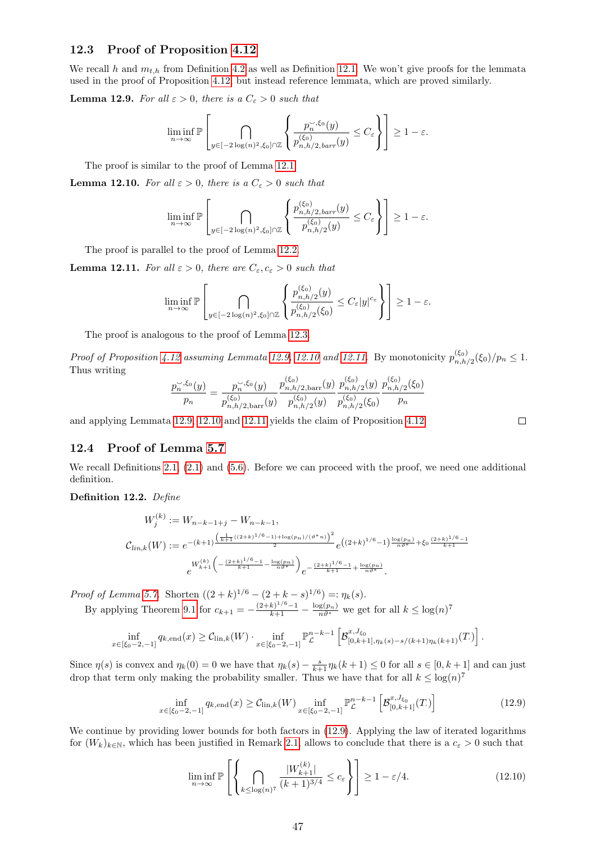#### 12.3 Proof of Proposition [4.12](#page-8-0)

We recall h and  $m_{t,h}$  from Definition [4.2](#page-7-8) as well as Definition [12.1.](#page-43-7) We won't give proofs for the lemmata used in the proof of Proposition [4.12,](#page-8-0) but instead reference lemmata, which are proved similarly.

<span id="page-46-0"></span>**Lemma 12.9.** For all  $\varepsilon > 0$ , there is a  $C_{\varepsilon} > 0$  such that

$$
\liminf_{n\to\infty} \mathbb{P}\left[\bigcap_{y\in[-2\log(n)^2,\xi_0]\cap\mathbb{Z}}\left\{\frac{p_n^{\sim,\xi_0}(y)}{p_{n,h/2,barr}^{(\xi_0)}(y)}\leq C_{\varepsilon}\right\}\right] \geq 1-\varepsilon.
$$

The proof is similar to the proof of Lemma [12.1.](#page-43-0)

<span id="page-46-1"></span>**Lemma 12.10.** For all  $\varepsilon > 0$ , there is a  $C_{\varepsilon} > 0$  such that

$$
\liminf_{n \to \infty} \mathbb{P} \left[ \bigcap_{y \in [-2\log(n)^2, \xi_0] \cap \mathbb{Z}} \left\{ \frac{p_{n,h/2,bar}(y)}{p_{n,h/2}^{(\xi_0)}(y)} \le C_{\varepsilon} \right\} \right] \ge 1 - \varepsilon.
$$

The proof is parallel to the proof of Lemma [12.2.](#page-43-1)

<span id="page-46-2"></span>**Lemma 12.11.** For all  $\varepsilon > 0$ , there are  $C_{\varepsilon}, c_{\varepsilon} > 0$  such that

$$
\liminf_{n\to\infty} \mathbb{P}\left[\bigcap_{y\in[-2\log(n)^2,\xi_0]\cap\mathbb{Z}}\left\{\frac{p_{n,h/2}^{(\xi_0)}(y)}{p_{n,h/2}^{(\xi_0)}(\xi_0)}\leq C_{\varepsilon}|y|^{c_{\varepsilon}}\right\}\right] \geq 1-\varepsilon.
$$

The proof is analogous to the proof of Lemma [12.3.](#page-43-2)

*Proof of Proposition [4.12](#page-8-0) assuming Lemmata [12.9,](#page-46-0) [12.10](#page-46-1) and [12.11.](#page-46-2)* By monotonicity  $p_{n,h}^{(\xi_0)}$  $\zeta_{n,h/2}^{(50)}(\xi_0)/p_n \leq 1.$ Thus writing  $\sqrt{2}$  $\sqrt{2}$  $\sqrt{2}$ 

$$
\frac{p_n^{\sim,\xi_0}(y)}{p_n} = \frac{p_n^{\sim,\xi_0}(y)}{p_{n,h/2,\text{barr}}^{(\xi_0)}(y)} \frac{p_{n,h/2,\text{barr}}^{(\xi_0)}(y)}{p_{n,h/2}^{(\xi_0)}(y)} \frac{p_{n,h/2}^{(\xi_0)}(y)}{p_{n,h/2}^{(\xi_0)}(\xi_0)} \frac{p_{n,h/2}^{(\xi_0)}(\xi_0)}{p_n}
$$

and applying Lemmata [12.9,](#page-46-0) [12.10](#page-46-1) and [12.11](#page-46-2) yields the claim of Proposition [4.12.](#page-8-0)

#### 12.4 Proof of Lemma [5.7](#page-12-0)

We recall Definitions [2.1,](#page-2-4)  $(2.1)$  and  $(5.6)$ . Before we can proceed with the proof, we need one additional definition.

Definition 12.2. Define

$$
W_j^{(k)} := W_{n-k-1+j} - W_{n-k-1},
$$
  
\n
$$
C_{lin,k}(W) := e^{-(k+1)\frac{\left(\frac{1}{k+1}\left((2+k)^{1/6}-1\right)+\log\left(p_n\right)/\left(\vartheta^*\right)n\right)^2}{2}} e^{\left((2+k)^{1/6}-1\right)\frac{\log\left(p_n\right)}{n\vartheta^*} + \xi_0\frac{\left(2+k\right)^{1/6}-1}{k+1}}.
$$
  
\n
$$
e^{W_{k+1}^{(k)}\left(-\frac{\left(2+k\right)^{1/6}-1}{k+1}-\frac{\log\left(p_n\right)}{n\vartheta^*}\right)} e^{-\frac{\left(2+k\right)^{1/6}-1}{k+1}+\frac{\log\left(p_n\right)}{n\vartheta^*}}.
$$

*Proof of Lemma [5.7.](#page-12-0)* Shorten  $((2 + k)^{1/6} - (2 + k - s)^{1/6}) =: \eta_k(s)$ .

By applying Theorem [9.1](#page-28-2) for  $c_{k+1} = -\frac{(2+k)^{1/6}-1}{k+1} - \frac{\log(p_n)}{n\vartheta^*}$  we get for all  $k \leq \log(n)^7$ 

$$
\inf_{x \in [\xi_0 - 2, -1]} q_{k, \text{end}}(x) \geq C_{\text{lin}, k}(W) \cdot \inf_{x \in [\xi_0 - 2, -1]} \mathbb{P}_{\mathcal{L}}^{n-k-1} \left[ \mathcal{B}_{[0, k+1], \eta_k(s) - s/(k+1) \eta_k(k+1)}^{x, J_{\xi_0}}(T) \right].
$$

Since  $\eta(s)$  is convex and  $\eta_k(0) = 0$  we have that  $\eta_k(s) - \frac{s}{k+1}\eta_k(k+1) \leq 0$  for all  $s \in [0, k+1]$  and can just drop that term only making the probability smaller. Thus we have that for all  $k \leq \log(n)^7$ 

$$
\inf_{x \in [\xi_0 - 2, -1]} q_{k, \text{end}}(x) \geq C_{\text{lin}, k}(W) \inf_{x \in [\xi_0 - 2, -1]} \mathbb{P}_{\mathcal{L}}^{n-k-1} \left[ \mathcal{B}_{[0, k+1]}^{x, J_{\xi_0}}(T) \right]
$$
(12.9)

We continue by providing lower bounds for both factors in  $(12.9)$ . Applying the law of iterated logarithms for  $(W_k)_{k\in\mathbb{N}}$ , which has been justified in Remark [2.1,](#page-2-5) allows to conclude that there is a  $c_{\varepsilon} > 0$  such that

<span id="page-46-4"></span>
$$
\liminf_{n \to \infty} \mathbb{P}\left[\left\{\bigcap_{k \le \log(n)^7} \frac{|W_{k+1}^{(k)}|}{(k+1)^{3/4}} \le c_{\varepsilon}\right\}\right] \ge 1 - \varepsilon/4. \tag{12.10}
$$

<span id="page-46-3"></span>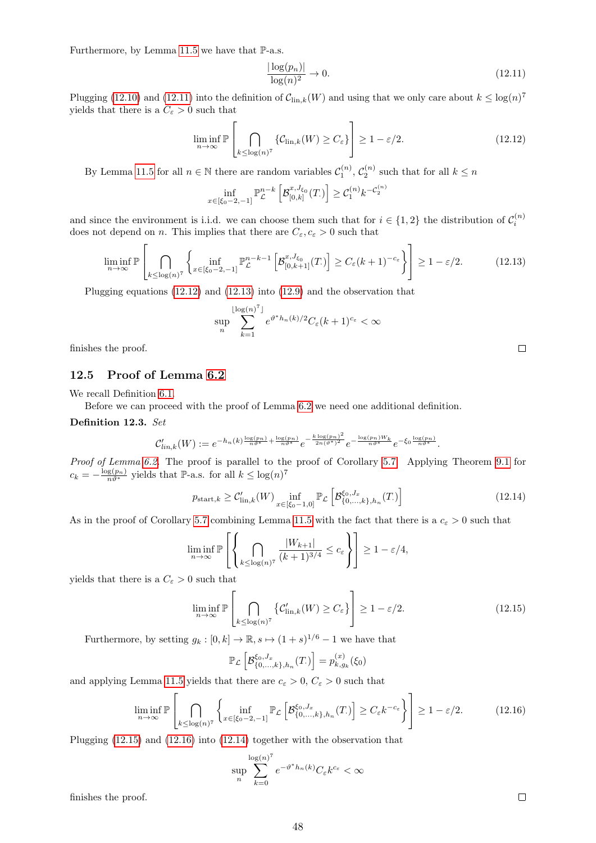Furthermore, by Lemma [11.5](#page-40-3) we have that  $\mathbb{P}\text{-a.s.}$ 

<span id="page-47-0"></span>
$$
\frac{|\log(p_n)|}{\log(n)^2} \to 0. \tag{12.11}
$$

Plugging [\(12.10\)](#page-46-4) and [\(12.11\)](#page-47-0) into the definition of  $C_{\text{lin},k}(W)$  and using that we only care about  $k \leq \log(n)^7$ yields that there is a  $C_\varepsilon>0$  such that

<span id="page-47-1"></span>
$$
\liminf_{n \to \infty} \mathbb{P}\left[\bigcap_{k \le \log(n)^7} \{\mathcal{C}_{\text{lin},k}(W) \ge C_{\varepsilon}\}\right] \ge 1 - \varepsilon/2. \tag{12.12}
$$

By Lemma [11.5](#page-40-3) for all  $n \in \mathbb{N}$  there are random variables  $\mathcal{C}_1^{(n)}$ ,  $\mathcal{C}_2^{(n)}$  such that for all  $k \le n$ 

$$
\inf_{x \in [\xi_0 - 2, -1]} \mathbb{P}_{\mathcal{L}}^{n-k} \left[ \mathcal{B}_{[0,k]}^{x, J_{\xi_0}}(T) \right] \geq \mathcal{C}_1^{(n)} k^{-\mathcal{C}_2^{(n)}}
$$

and since the environment is i.i.d. we can choose them such that for  $i \in \{1,2\}$  the distribution of  $\mathcal{C}_i^{(n)}$ does not depend on *n*. This implies that there are  $C_{\varepsilon}, c_{\varepsilon} > 0$  such that

<span id="page-47-2"></span>
$$
\liminf_{n \to \infty} \mathbb{P}\left[\bigcap_{k \leq \log(n)^7} \left\{ \inf_{x \in [\xi_0 - 2, -1]} \mathbb{P}_{\mathcal{L}}^{n-k-1} \left[ \mathcal{B}_{[0, k+1]}^{x, J_{\xi_0}}(T) \right] \geq C_{\varepsilon}(k+1)^{-c_{\varepsilon}} \right\} \right] \geq 1 - \varepsilon/2. \tag{12.13}
$$

Plugging equations [\(12.12\)](#page-47-1) and [\(12.13\)](#page-47-2) into [\(12.9\)](#page-46-3) and the observation that

$$
\sup_{n}\sum_{k=1}^{\lfloor \log(n)^{7} \rfloor} e^{\vartheta^{*}h_{n}(k)/2}C_{\varepsilon}(k+1)^{c_{\varepsilon}} < \infty
$$

finishes the proof.

#### 12.5 Proof of Lemma [6.2](#page-14-1)

We recall Definition [6.1.](#page-14-7)

Before we can proceed with the proof of Lemma [6.2](#page-14-1) we need one additional definition.

Definition 12.3. Set

$$
\mathcal{C}'_{lin,k}(W) := e^{-h_n(k)\frac{\log(p_n)}{n\vartheta^*} + \frac{\log(p_n)}{n\vartheta^*}} e^{-\frac{k\log(p_n)^2}{2n(\vartheta^*)^2}} e^{-\frac{\log(p_n)W_k}{n\vartheta^*}} e^{-\xi_0\frac{\log(p_n)}{n\vartheta^*}}.
$$

Proof of Lemma [6.2.](#page-14-1) The proof is parallel to the proof of Corollary [5.7.](#page-12-0) Applying Theorem [9.1](#page-28-2) for  $c_k = -\frac{\log(p_n)}{n\vartheta^*}$  yields that  $\mathbb{P}\text{-a.s.}$  for all  $k \le \log(n)^7$ 

<span id="page-47-5"></span>
$$
p_{\text{start},k} \geq C'_{\text{lin},k}(W) \inf_{x \in [\xi_0 - 1,0]} \mathbb{P}_{\mathcal{L}} \left[ \mathcal{B}^{\xi_0, J_x}_{\{0, \dots, k\}, h_n}(T) \right] \tag{12.14}
$$

As in the proof of Corollary [5.7](#page-12-0) combining Lemma [11.5](#page-40-3) with the fact that there is a  $c_{\varepsilon} > 0$  such that

$$
\liminf_{n \to \infty} \mathbb{P}\left[\left\{\bigcap_{k \le \log(n)^7} \frac{|W_{k+1}|}{(k+1)^{3/4}} \le c_{\varepsilon}\right\}\right] \ge 1 - \varepsilon/4,
$$

yields that there is a  $C_{\varepsilon} > 0$  such that

<span id="page-47-3"></span>
$$
\liminf_{n \to \infty} \mathbb{P}\left[\bigcap_{k \le \log(n)^7} \left\{ \mathcal{C}'_{\text{lin},k}(W) \ge C_{\varepsilon} \right\} \right] \ge 1 - \varepsilon/2. \tag{12.15}
$$

Furthermore, by setting  $g_k : [0, k] \to \mathbb{R}, s \mapsto (1 + s)^{1/6} - 1$  we have that

$$
\mathbb{P}_{\mathcal{L}}\left[\mathcal{B}_{\{0,\ldots,k\},h_n}^{\xi_0,J_x}(T.)\right] = p_{k,g_k}^{(x)}(\xi_0)
$$

and applying Lemma [11.5](#page-40-3) yields that there are  $c_{\varepsilon} > 0$ ,  $C_{\varepsilon} > 0$  such that

<span id="page-47-4"></span>
$$
\liminf_{n \to \infty} \mathbb{P}\left[\bigcap_{k \leq \log(n)^7} \left\{ \inf_{x \in [\xi_0 - 2, -1]} \mathbb{P}_{\mathcal{L}}\left[\mathcal{B}_{\{0, \ldots, k\}, h_n}^{\xi_0, J_x}(T) \right] \geq C_{\varepsilon} k^{-c_{\varepsilon}} \right\} \right] \geq 1 - \varepsilon/2. \tag{12.16}
$$

Plugging [\(12.15\)](#page-47-3) and [\(12.16\)](#page-47-4) into [\(12.14\)](#page-47-5) together with the observation that

$$
\sup_{n}\sum_{k=0}^{\log(n)^7} e^{-\vartheta^*h_n(k)}C_{\varepsilon}k^{c_{\varepsilon}} < \infty
$$

finishes the proof.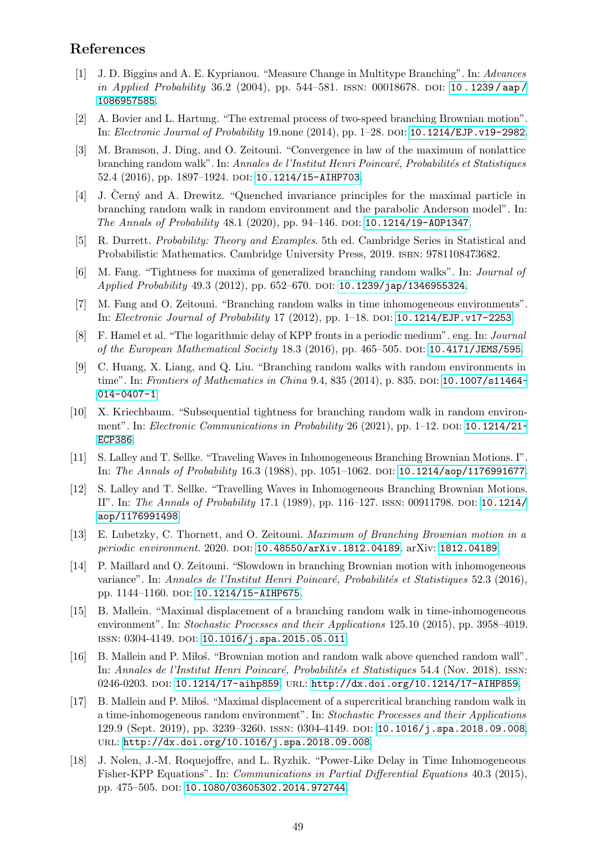## References

- <span id="page-48-2"></span>[1] J. D. Biggins and A. E. Kyprianou. "Measure Change in Multitype Branching". In: Advances in Applied Probability 36.2 (2004), pp. 544–581. ISSN: 00018678. DOI: [10 . 1239 / aap /](https://doi.org/10.1239/aap/1086957585) [1086957585](https://doi.org/10.1239/aap/1086957585).
- <span id="page-48-7"></span>[2] A. Bovier and L. Hartung. "The extremal process of two-speed branching Brownian motion". In: Electronic Journal of Probability 19.none (2014), pp. 1–28. doi: [10.1214/EJP.v19-2982](https://doi.org/10.1214/EJP.v19-2982).
- <span id="page-48-16"></span>[3] M. Bramson, J. Ding, and O. Zeitouni. "Convergence in law of the maximum of nonlattice branching random walk". In: Annales de l'Institut Henri Poincaré, Probabilités et Statistiques 52.4 (2016), pp. 1897-1924. DOI: [10.1214/15-AIHP703](https://doi.org/10.1214/15-AIHP703).
- <span id="page-48-4"></span>[4] J. Černý and A. Drewitz. "Quenched invariance principles for the maximal particle in branching random walk in random environment and the parabolic Anderson model". In: The Annals of Probability 48.1 (2020), pp. 94–146. DOI: 10.1214/19-A0P1347.
- <span id="page-48-17"></span>[5] R. Durrett. Probability: Theory and Examples. 5th ed. Cambridge Series in Statistical and Probabilistic Mathematics. Cambridge University Press, 2019. isbn: 9781108473682.
- <span id="page-48-6"></span>[6] M. Fang. "Tightness for maxima of generalized branching random walks". In: Journal of Applied Probability 49.3 (2012), pp. 652-670. DOI: [10.1239/jap/1346955324](https://doi.org/10.1239/jap/1346955324).
- <span id="page-48-8"></span>[7] M. Fang and O. Zeitouni. "Branching random walks in time inhomogeneous environments". In: *Electronic Journal of Probability* 17 (2012), pp. 1–18. DOI: [10.1214/EJP.v17-2253](https://doi.org/10.1214/EJP.v17-2253).
- <span id="page-48-13"></span>[8] F. Hamel et al. "The logarithmic delay of KPP fronts in a periodic medium". eng. In: Journal of the European Mathematical Society 18.3 (2016), pp. 465–505. DOI: [10.4171/JEMS/595](https://doi.org/10.4171/JEMS/595).
- <span id="page-48-3"></span>[9] C. Huang, X. Liang, and Q. Liu. "Branching random walks with random environments in time". In: Frontiers of Mathematics in China 9.4, 835 (2014), p. 835. DOI: [10.1007/s11464-](https://doi.org/10.1007/s11464-014-0407-1) [014-0407-1](https://doi.org/10.1007/s11464-014-0407-1).
- <span id="page-48-5"></span>[10] X. Kriechbaum. "Subsequential tightness for branching random walk in random environment". In: Electronic Communications in Probability 26 (2021), pp.  $1-12$ . DOI: [10.1214/21-](https://doi.org/10.1214/21-ECP386) [ECP386](https://doi.org/10.1214/21-ECP386).
- <span id="page-48-14"></span>[11] S. Lalley and T. Sellke. "Traveling Waves in Inhomogeneous Branching Brownian Motions. I". In: The Annals of Probability 16.3 (1988), pp. 1051–1062. doi: [10.1214/aop/1176991677](https://doi.org/10.1214/aop/1176991677).
- <span id="page-48-15"></span>[12] S. Lalley and T. Sellke. "Travelling Waves in Inhomogeneous Branching Brownian Motions. II". In: The Annals of Probability 17.1 (1989), pp. 116–127. issn: 00911798. doi: [10.1214/](https://doi.org/10.1214/aop/1176991498) [aop/1176991498](https://doi.org/10.1214/aop/1176991498).
- <span id="page-48-12"></span>[13] E. Lubetzky, C. Thornett, and O. Zeitouni. Maximum of Branching Brownian motion in a periodic environment. 2020. DOI: [10.48550/arXiv.1812.04189](https://doi.org/10.48550/arXiv.1812.04189). arXiv: [1812.04189](https://arxiv.org/abs/1812.04189).
- <span id="page-48-9"></span>[14] P. Maillard and O. Zeitouni. "Slowdown in branching Brownian motion with inhomogeneous variance". In: Annales de l'Institut Henri Poincaré, Probabilités et Statistiques 52.3 (2016), pp. 1144-1160. doi: [10.1214/15-AIHP675](https://doi.org/10.1214/15-AIHP675).
- <span id="page-48-10"></span>[15] B. Mallein. "Maximal displacement of a branching random walk in time-inhomogeneous environment". In: Stochastic Processes and their Applications 125.10 (2015), pp. 3958–4019. ISSN: 0304-4149. DOI: [10.1016/j.spa.2015.05.011](https://doi.org/10.1016/j.spa.2015.05.011).
- <span id="page-48-1"></span>[16] B. Mallein and P. Miloś. "Brownian motion and random walk above quenched random wall". In: Annales de l'Institut Henri Poincaré, Probabilités et Statistiques 54.4 (Nov. 2018). ISSN: 0246-0203. DOI: [10.1214/17-aihp859](https://doi.org/10.1214/17-aihp859). URL: <http://dx.doi.org/10.1214/17-AIHP859>.
- <span id="page-48-0"></span>[17] B. Mallein and P. Milos. "Maximal displacement of a supercritical branching random walk in a time-inhomogeneous random environment". In: Stochastic Processes and their Applications 129.9 (Sept. 2019), pp. 3239–3260. issn: 0304-4149. doi: [10.1016/j.spa.2018.09.008](https://doi.org/10.1016/j.spa.2018.09.008). url: <http://dx.doi.org/10.1016/j.spa.2018.09.008>.
- <span id="page-48-11"></span>[18] J. Nolen, J.-M. Roquejoffre, and L. Ryzhik. "Power-Like Delay in Time Inhomogeneous Fisher-KPP Equations". In: Communications in Partial Differential Equations 40.3 (2015), pp. 475–505. doi: [10.1080/03605302.2014.972744](https://doi.org/10.1080/03605302.2014.972744).